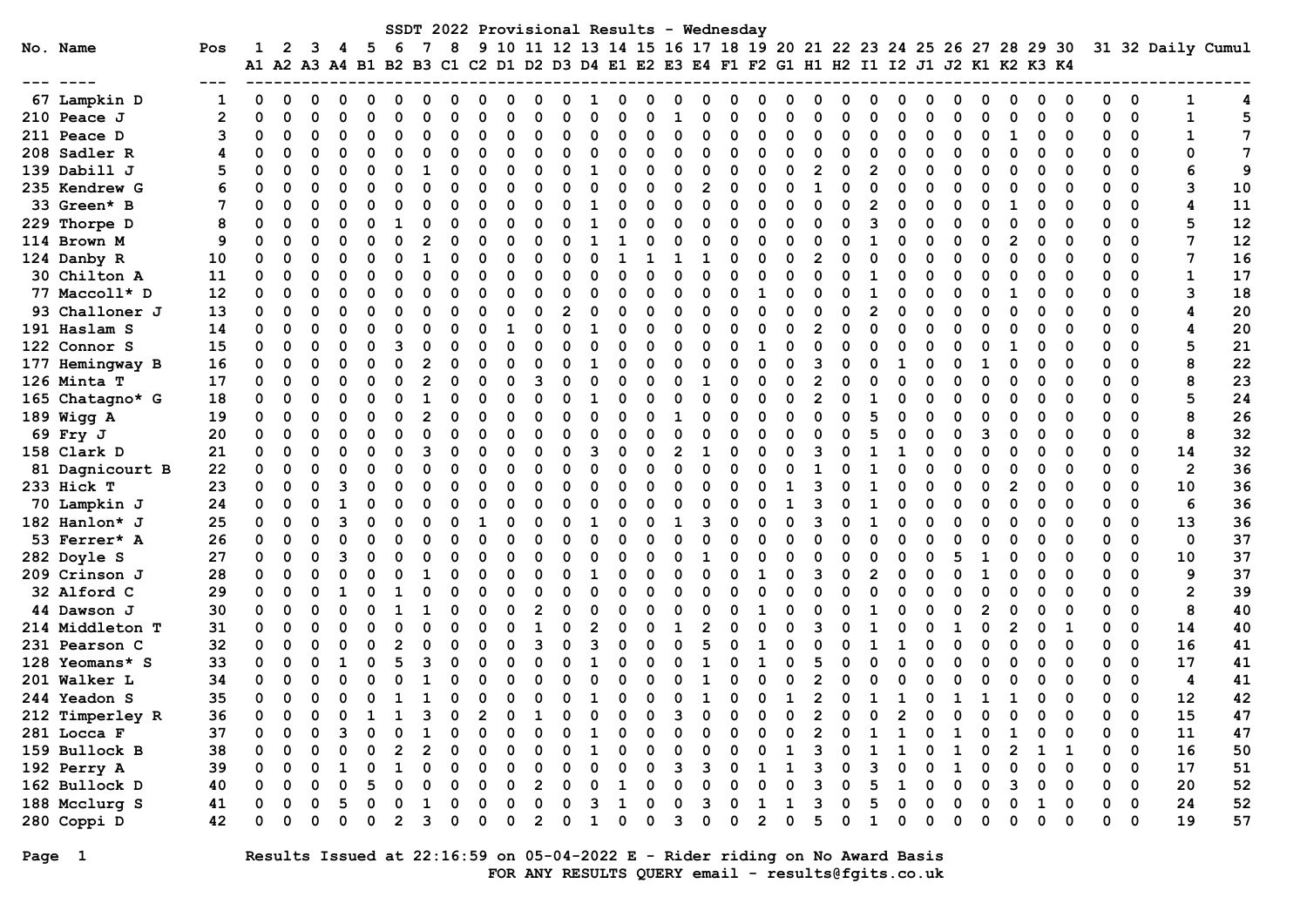| SSDT 2022 Provisional Results - Wednesday<br>10 11 12 13 14 15 16 17 18 19 20 21 22 23 24 25 26 27 28 29 30 31 32 Daily Cumul<br>No. Name |                                  |          |        |                      |          |   |          |    |   |               |   |        |                |   |               |   |          |             |   |                                                                                           |                |    |                |          |   |              |   |              |                     |   |        |        |        |               |                |                 |
|-------------------------------------------------------------------------------------------------------------------------------------------|----------------------------------|----------|--------|----------------------|----------|---|----------|----|---|---------------|---|--------|----------------|---|---------------|---|----------|-------------|---|-------------------------------------------------------------------------------------------|----------------|----|----------------|----------|---|--------------|---|--------------|---------------------|---|--------|--------|--------|---------------|----------------|-----------------|
|                                                                                                                                           |                                  | Pos      | 1      | 2                    |          |   | 5        | -6 |   | 8             | 9 |        |                |   |               |   |          |             |   |                                                                                           |                |    |                |          |   |              |   |              |                     |   |        |        |        |               |                |                 |
|                                                                                                                                           |                                  |          |        |                      |          |   |          |    |   |               |   |        |                |   |               |   |          |             |   | A1 A2 A3 A4 B1 B2 B3 C1 C2 D1 D2 D3 D4 E1 E2 E3 E4 F1 F2 G1 H1 H2 I1 I2 J1 J2 K1 K2 K3 K4 |                |    |                |          |   |              |   |              |                     |   |        |        |        |               |                |                 |
|                                                                                                                                           | 67 Lampkin D                     |          | 0      | 0                    |          |   |          |    |   |               |   |        |                |   |               |   |          |             |   |                                                                                           |                |    |                |          |   |              |   |              |                     |   |        |        |        | 0             | 1              | 4               |
|                                                                                                                                           | 210 Peace J                      | 2        |        | $\Omega$             |          |   | O        |    |   |               |   |        | n              |   | U             |   |          | 1           |   | n                                                                                         |                |    | U              |          |   | $\Omega$     |   |              | O                   |   | ი      | O      |        | 0             | $\mathbf{1}$   | 5               |
|                                                                                                                                           | 211 Peace D                      | 3        |        | 0                    | ∩        |   | O        |    |   | O             |   | O      | $\Omega$       |   | $\Omega$      |   | U        | $\mathbf 0$ | ი | O                                                                                         |                |    | O              | ∩        |   | 0            |   |              | 0                   |   | 0      | 0      | 0      | 0             | $\mathbf{1}$   | $7\phantom{.0}$ |
|                                                                                                                                           | 208 Sadler R                     | 4        | O      | $\Omega$             | O        |   | O        |    |   |               | O | 0      | 0              |   | O             | n | n        | $\Omega$    | O | O                                                                                         |                |    | O              | ∩        |   | $\Omega$     |   |              | O                   | O | 0      | 0      | 0      | $\Omega$      | 0              | $\overline{7}$  |
|                                                                                                                                           | 139 Dabill J                     | 5        |        | $\Omega$             | ∩        |   | O        |    |   |               |   | O      | $\Omega$       |   |               |   |          | O           | O | n                                                                                         |                |    | 2              | O        |   | $\Omega$     |   |              | ŋ                   |   | ი      |        |        | $\Omega$      | 6              | 9               |
|                                                                                                                                           | 235 Kendrew G                    |          |        | $\Omega$             | O        |   | $\Omega$ |    |   |               |   | O      | $\Omega$       |   | 0             | C | n        | $\Omega$    | 2 | O                                                                                         | ∩              |    | 1              | O        |   | $\Omega$     | O |              | O                   |   | ი      | O      |        | $\Omega$      | 3              | 10              |
|                                                                                                                                           | 33 Green* B                      | 7        |        | $\Omega$             | O        |   | $\Omega$ |    |   |               |   | O      | $\Omega$       |   | 1             |   |          | $\Omega$    |   | ŋ                                                                                         |                |    | O              | O        |   | $\Omega$     |   |              | O                   |   | ი      | ∩      |        | $\Omega$      | 4              | 11              |
|                                                                                                                                           | 229 Thorpe D                     | 8        |        | $\Omega$             | 0        |   | O        |    |   |               |   |        | $\Omega$       |   |               |   |          | ŋ           |   | n                                                                                         |                |    | O              | O        |   | $\Omega$     |   |              | O                   |   | O      |        |        | $\Omega$      | 5              | 12              |
|                                                                                                                                           | 114 Brown M                      | 9        | O      | $\Omega$             |          |   | O        |    |   |               |   |        |                |   |               |   |          |             |   |                                                                                           |                |    | O              | O        |   | O            |   |              | O                   |   |        |        |        | $\Omega$      | 7              | 12              |
|                                                                                                                                           | 124 Danby R                      | 10       |        | $\Omega$             |          |   | ŋ        |    |   |               |   |        |                |   | O             |   |          |             |   |                                                                                           |                |    | $\overline{2}$ |          |   | O            |   |              | O                   |   |        |        |        | 0             | 7              | 16              |
|                                                                                                                                           | 30 Chilton A                     | 11       | O      | O                    |          |   | O        |    |   |               |   |        |                |   | ი             |   |          | O           |   |                                                                                           |                |    | U              |          |   |              |   |              |                     |   |        |        |        | $\Omega$      | 1              | 17              |
|                                                                                                                                           | 77 Maccoll* D                    | 12       | 0      | $\Omega$             |          |   | O        |    |   |               |   |        | O              |   | ი             |   |          | $\Omega$    |   |                                                                                           |                |    | O              |          |   | O            |   |              |                     |   |        |        |        | $\Omega$      | 3              | 18              |
|                                                                                                                                           | 93 Challoner J                   | 13       | 0      | $\Omega$             | O        |   | $\Omega$ |    |   | $\Omega$      |   | O      | $\Omega$       |   | O             | O | O        | $\Omega$    |   | n                                                                                         |                | O  | 0              | O        |   | $\Omega$     |   |              | O                   |   | O      | O      |        | $\Omega$      | 4              | 20              |
|                                                                                                                                           | 191 Haslam S                     | 14       | 0      | $\Omega$             | O        |   | O        |    |   |               |   |        | $\Omega$       |   | 1             | O |          | $\Omega$    | O | n                                                                                         |                | O  | $\overline{2}$ | $\Omega$ |   | U            |   |              | ŋ                   |   | n      |        |        | $\Omega$      | 4              | 20              |
|                                                                                                                                           | 122 Connor S                     | 15       | O      | $\Omega$             | O        |   | $\Omega$ |    |   |               |   | ი      | $\Omega$       |   | 0             | C | n        | $\Omega$    |   | n                                                                                         | 1              | O  | O              | O        |   | 0            |   |              | n                   |   | n      |        |        | $\Omega$      | 5              | 21              |
|                                                                                                                                           | 177 Hemingway B                  | 16       | O      | $\Omega$             | O        |   | O        |    |   |               |   |        |                |   |               |   |          | $\Omega$    |   |                                                                                           |                |    | 3              | O        |   |              |   |              |                     |   |        |        |        | $\Omega$      | 8              | 22              |
|                                                                                                                                           | 126 Minta T                      | 17       | 0      | $\Omega$             | O        |   | O        |    |   |               |   |        | ٩              |   |               | O |          | $\Omega$    |   |                                                                                           |                | O  | $\mathbf{2}$   | $\Omega$ |   | O            |   |              | $\Omega$            |   |        |        |        | $\Omega$      | 8              | 23              |
|                                                                                                                                           | 165 Chatagno* G                  | 18       | 0      | $\Omega$             |          |   | O        |    |   |               |   |        | O              |   |               |   |          | O           |   |                                                                                           |                | O  | $\overline{2}$ | $\Omega$ |   |              |   |              |                     |   |        |        |        | $\Omega$      | 5              | 24              |
|                                                                                                                                           | 189 Wigg A                       | 19       | 0      | $\Omega$             |          |   | O        |    |   |               |   |        | O              |   | 0             |   |          | 1           |   |                                                                                           |                | O  | O              |          |   | O            |   |              | O                   |   |        |        |        | $\Omega$      | 8              | 26              |
|                                                                                                                                           | 69 Fry J                         | 20       |        | $\Omega$             |          |   | O        |    |   | ∩             |   | ი      | O              |   | O             |   |          | O           |   |                                                                                           |                |    | U              |          |   | U            |   |              | 3                   |   | O      | ∩      |        | $\Omega$      | 8              | 32              |
|                                                                                                                                           | 158 Clark D                      | 21       | 0      | $\Omega$             | O        |   | O        |    |   | O             |   | O      | $\Omega$       |   | 3             | n | O        | 2           |   | n                                                                                         |                |    | 3              |          |   |              |   |              | $\Omega$            |   | 0      | O      | 0      | $\Omega$      | 14             | 32              |
|                                                                                                                                           | 81 Dagnicourt B                  | 22       | 0      | $\Omega$             | $\Omega$ |   | $\Omega$ |    |   | O             | O | 0      | 0              |   | $\Omega$      | O | O        | $\Omega$    | O | ŋ                                                                                         |                | O  |                | O        |   | O            |   |              | O                   |   | 0      | 0      | 0      | 0             | $\overline{2}$ | 36              |
|                                                                                                                                           | 233 Hick T                       | 23       | 0      | $\Omega$             | $\Omega$ |   | O        |    |   |               |   | O      | $\Omega$       |   | ი             | n |          | O           | ŋ | n                                                                                         |                |    | 3              |          |   | $\Omega$     |   |              | O                   | 2 | 0      | O      | O      | $\Omega$      | 10             | 36              |
|                                                                                                                                           | 70 Lampkin J                     | 24       | 0      | $\Omega$             | O        |   | 0        |    |   |               |   | O      | $\Omega$       | n | O             | C |          | $\Omega$    |   | n                                                                                         |                | 1  | 3              | O        |   | $\Omega$     | O |              | O                   |   | ი      | O      | O      | $\Omega$      | 6              | 36              |
|                                                                                                                                           | 182 Hanlon* J                    | 25       | O      | $\Omega$             | O        |   | $\Omega$ |    |   |               |   | ი      | $\Omega$       |   | 1             |   |          | 1           |   | O                                                                                         |                |    | 3              | O        |   | $\Omega$     |   |              | O                   |   | ი      | ∩      | O      | $\Omega$      | 13             | 36              |
|                                                                                                                                           | 53 Ferrer* A                     | 26       | 0      | 0                    | $\Omega$ |   | $\Omega$ |    |   |               |   |        | 0              | O | $\Omega$      | C |          | O           |   |                                                                                           |                | O  | O              |          |   | $\Omega$     |   |              | O                   |   | 0      | 0      | 0      | 0             | $\mathbf 0$    | 37              |
|                                                                                                                                           | 282 Doyle S                      | 27       | 0      | 0                    |          |   | O        |    |   |               |   |        |                |   | O             | n |          | O           |   |                                                                                           |                |    | ი              |          |   |              |   |              |                     |   | O      |        |        | 0             | 10             | 37              |
|                                                                                                                                           | 209 Crinson J                    | 28       | 0      | $\Omega$             |          |   | O        |    |   |               |   |        |                |   |               |   |          | O           |   |                                                                                           |                |    | 3              |          |   | O            |   |              |                     |   |        |        |        | $\Omega$      | 9              | 37              |
|                                                                                                                                           | 32 Alford C                      | 29       | O      | $\Omega$             |          |   | O        |    |   |               |   |        |                |   | O             | O |          | O           |   |                                                                                           |                |    | U              |          |   | U            |   |              |                     |   |        |        |        | $\Omega$      | $\mathbf{2}$   | 39              |
|                                                                                                                                           | 44 Dawson J                      | 30       | 0      | $\Omega$<br>$\Omega$ | O        |   | O<br>O   |    |   | $\Omega$<br>O |   | O      | 2              |   | $\Omega$<br>2 | O | O        | O           |   | ŋ                                                                                         |                | O  | O<br>3         |          |   | O<br>O       |   |              | $\overline{2}$<br>0 |   | O      | O      | O      | $\Omega$<br>0 | 8              | 40              |
|                                                                                                                                           | 214 Middleton T<br>231 Pearson C | 31<br>32 | 0      | $\Omega$             | O        |   | 0        |    |   |               |   | 0<br>ი | ิว             |   | 3             |   |          | $\Omega$    |   | n                                                                                         |                |    | U              |          |   | 1            |   |              | O                   |   | 0<br>n | 1<br>O | 0<br>O | 0             | 14<br>16       | 40<br>41        |
|                                                                                                                                           |                                  | 33       | 0<br>O | $\Omega$             | O        |   | $\Omega$ |    |   |               |   | ი      | O              |   | -1            | C |          | $\Omega$    |   |                                                                                           | 1              | O  | 5              | O        |   | 0            |   |              | ŋ                   |   | n      | ∩      | ŋ      | $\Omega$      | 17             |                 |
|                                                                                                                                           | 128 Yeomans* S                   | 34       | O      | 0                    |          |   | $\Omega$ |    |   |               |   |        | n              |   |               |   |          | O           |   |                                                                                           |                |    | $\overline{2}$ |          |   | O            |   |              |                     |   |        |        |        | $\Omega$      | 4              | 41              |
|                                                                                                                                           | 201 Walker L<br>244 Yeadon S     | 35       | O      | 0                    | 0        |   | 0        |    |   | O             |   | ი      | 0              | O | 1             | 0 | $\Omega$ | 0           |   | 0                                                                                         | 0              | -1 | $\overline{2}$ | 0        |   | 1            | 0 | 1            | 1                   |   | 0      | 0      | O      | 0             | 12             | 41<br>42        |
|                                                                                                                                           | 212 Timperley R                  | 36       | 0      | $\mathbf 0$          | 0        | 0 | 1        | 1  | 3 | 0             | 2 | 0      | 1              | 0 | 0             | 0 | 0        | 3           | 0 | 0                                                                                         | 0              | 0  | $\overline{2}$ | 0        | 0 | $\mathbf{2}$ | 0 | $\mathbf{0}$ | 0                   | 0 | 0      | 0      | 0      | $\Omega$      | 15             | 47              |
|                                                                                                                                           |                                  | 37       |        |                      |          |   |          |    |   |               |   |        |                |   |               |   |          |             |   |                                                                                           |                |    |                |          |   |              |   |              |                     |   |        |        |        | 0             | 11             | 47              |
|                                                                                                                                           | 281 Locca F<br>159 Bullock B     | 38       |        |                      |          |   |          |    |   |               |   |        |                |   |               |   |          |             |   |                                                                                           |                |    |                |          |   |              |   |              |                     |   |        |        |        | 0             | 16             | 50              |
|                                                                                                                                           | 192 Perry A                      | 39       |        |                      |          |   |          |    |   |               |   |        |                |   |               |   |          |             |   |                                                                                           |                |    |                |          |   |              |   |              |                     |   |        |        | 0      | 0             | 17             | 51              |
|                                                                                                                                           | 162 Bullock D                    | 40       | 0      | 0                    |          |   |          |    |   |               |   |        | 2              |   |               |   |          | 0           |   |                                                                                           |                |    | 3              | ი        |   |              |   |              |                     |   |        | 0      | 0      | 0             | 20             | 52              |
|                                                                                                                                           | 188 Mcclurg S                    | 41       |        |                      |          |   |          |    |   |               |   | O      | 0              |   | 3             |   | O        | 0           | з | 0                                                                                         |                |    | з              |          |   | U            |   |              |                     |   |        | 0      | 0      | 0             | ${\bf 24}$     | 52              |
|                                                                                                                                           | 280 Coppi D                      | 42       |        | 0                    |          |   | O        |    |   |               |   | 0      | $\overline{2}$ |   | 1             | 0 | $\Omega$ | 3           |   | O                                                                                         | $\overline{2}$ | 0  | 5              | $\Omega$ | 1 | 0            |   | O            | 0                   |   | 0      | 0      | 0      | $\mathbf 0$   | 19             | 57              |
|                                                                                                                                           |                                  |          |        |                      |          |   |          |    |   |               |   |        |                |   |               |   |          |             |   |                                                                                           |                |    |                |          |   |              |   |              |                     |   |        |        |        |               |                |                 |

Page 1 Results Issued at 22:16:59 on 05-04-2022 E - Rider riding on No Award Basis FOR ANY RESULTS QUERY email - results@fgits.co.uk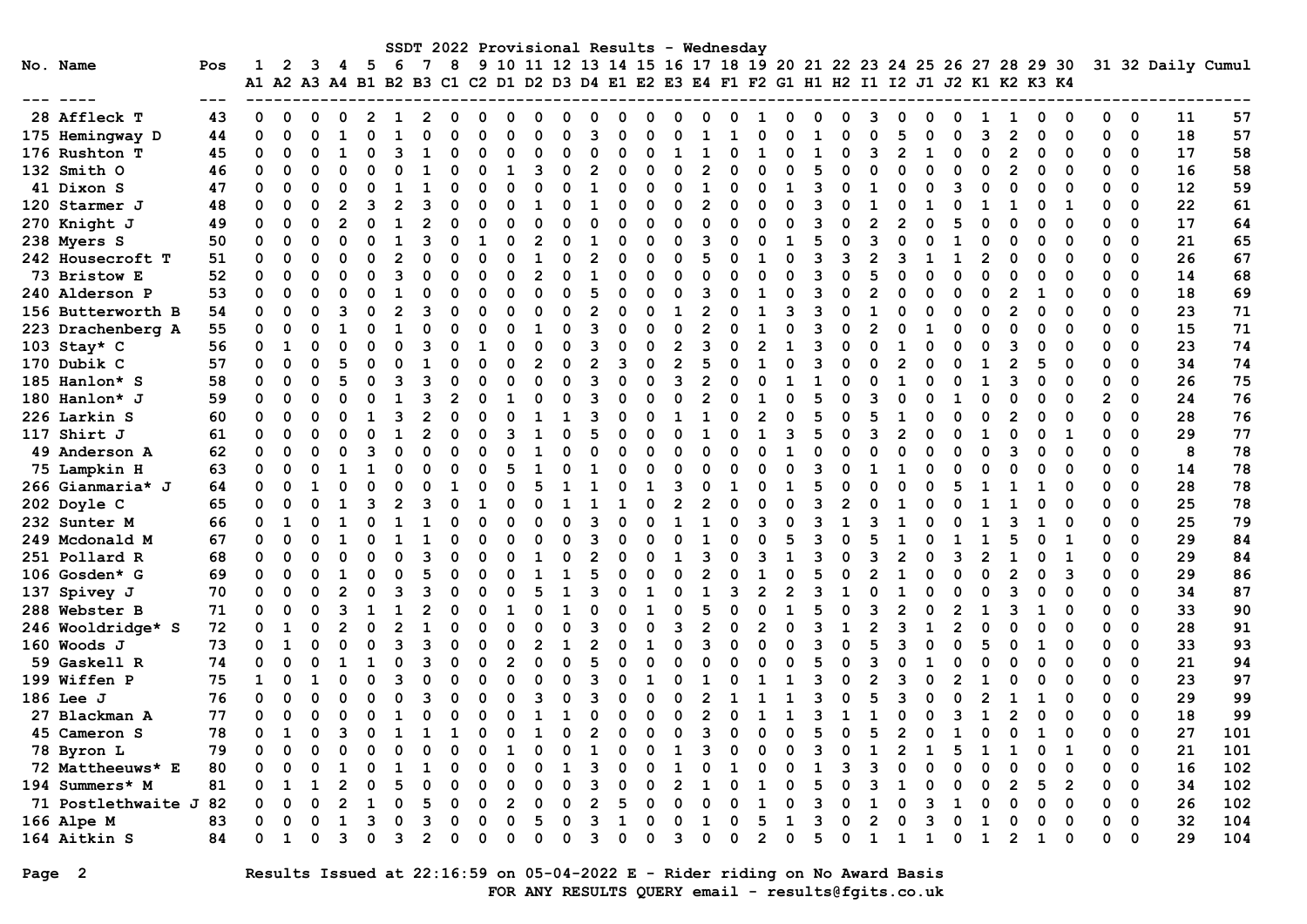|                       |       |              |              |             |    |    |          |   |                |   |   |                |    |                |          |   |                |                | SSDT 2022 Provisional Results - Wednesday                                                 |                |    |          |          |   |                |          |    |                |                |          |                |                |             |                   |     |
|-----------------------|-------|--------------|--------------|-------------|----|----|----------|---|----------------|---|---|----------------|----|----------------|----------|---|----------------|----------------|-------------------------------------------------------------------------------------------|----------------|----|----------|----------|---|----------------|----------|----|----------------|----------------|----------|----------------|----------------|-------------|-------------------|-----|
| No. Name              | Pos   | 1            | $\mathbf{2}$ | 3           | 4  | -5 | 6        | 7 | 8              |   |   |                |    |                |          |   |                |                | 9 10 11 12 13 14 15 16 17 18 19 20 21 22 23 24 25 26 27 28 29 30                          |                |    |          |          |   |                |          |    |                |                |          |                |                |             | 31 32 Daily Cumul |     |
|                       | $---$ |              |              |             |    |    |          |   |                |   |   |                |    |                |          |   |                |                | A1 A2 A3 A4 B1 B2 B3 C1 C2 D1 D2 D3 D4 E1 E2 E3 E4 F1 F2 G1 H1 H2 I1 I2 J1 J2 K1 K2 K3 K4 |                |    |          |          |   |                |          |    |                |                |          |                |                |             |                   |     |
| 28 Affleck T          | 43    | 0            | $\Omega$     | $\Omega$    | n  | 2  |          |   | 0              | O | O | $\Omega$       | O  | n              | n        | o | O              | C              |                                                                                           | 1              |    | O        |          |   | o              | O        |    | 1              | 1              | 0        | 0              | 0              | 0           | 11                | 57  |
| 175 Hemingway D       | 44    | 0            | $\Omega$     | $\Omega$    |    | O  |          |   | $\Omega$       | n |   | $\Omega$       |    |                |          |   |                |                |                                                                                           | $\Omega$       |    |          |          |   | 5              | O        |    | 3              | 2              | 0        | $\mathbf 0$    | $\mathbf 0$    | $\mathbf 0$ | 18                | 57  |
| 176 Rushton T         | 45    | 0            | $\Omega$     | $\Omega$    |    | O  | З        |   | O              |   |   | $\Omega$       |    |                | O        |   | 1              | $\mathbf{1}$   |                                                                                           | $\mathbf{1}$   |    |          | ∩        | ٩ | $\mathfrak{p}$ | 1        |    | 0              |                | $\Omega$ | $\Omega$       | 0              | 0           | 17                | 58  |
| 132 Smith O           | 46    | $\Omega$     | $\Omega$     | $\Omega$    | ი  | O  |          |   | $\Omega$       | O |   | 3              | O  |                | $\Omega$ | O | $\Omega$       | $\overline{2}$ | O                                                                                         | $\Omega$       |    | 5        | $\Omega$ | n | $\Omega$       | $\Omega$ |    | $\Omega$       | $\overline{2}$ | ŋ        | $\Omega$       | $\Omega$       | $\Omega$    | 16                | 58  |
| 41 Dixon S            | 47    | 0            | O            | O           |    | n  |          |   | O              | n |   | O              | O  |                | O        | O | 0              | 1              |                                                                                           | $\Omega$       |    | 3        | ∩        | 1 | O              | O        | ิว | 0              |                | 0        | ∩              | 0              | $\Omega$    | 12                | 59  |
| 120 Starmer J         | 48    | 0            | $\Omega$     | $\Omega$    |    | 3  |          |   | O              |   |   |                |    |                | $\Omega$ |   | $\Omega$       |                |                                                                                           | O              |    |          |          |   |                |          |    |                |                | 0        | 1              | $\mathbf 0$    | $\mathbf 0$ | 22                | 61  |
| 270 Knight J          | 49    | 0            | 0            | $\mathbf 0$ |    | O  |          |   | $\Omega$       | n |   | $\Omega$       |    |                | O        | U | O              | C              |                                                                                           | O              |    | ٩        |          |   | $\overline{2}$ | 0        |    | $\Omega$       |                | O        | $\Omega$       | 0              | $\mathbf 0$ | 17                | 64  |
| 238 Myers S           | 50    | 0            | O            | $\Omega$    |    |    |          |   | O              |   |   | $\mathfrak{p}$ |    |                |          |   | O              | З              |                                                                                           | O              |    |          |          |   | O              |          |    | 0              |                | O        | ∩              | $\Omega$       | $\Omega$    | 21                | 65  |
| 242 Housecroft T      | 51    | $\Omega$     | $\Omega$     | $\Omega$    |    | O  |          |   | O              |   |   |                |    |                |          |   | O              | 5              |                                                                                           |                |    | ٩        | ٦        |   | ٩              |          |    | 2              |                | O        | $\Omega$       | 0              | $\Omega$    | 26                | 67  |
| 73 Bristow E          | 52    | $\Omega$     | $\Omega$     | $\Omega$    |    | O  | З        |   | O              | O |   | $\mathfrak{p}$ |    |                |          | O | $\Omega$       |                |                                                                                           | $\Omega$       |    | ٩        |          |   | $\Omega$       |          |    | $\Omega$       |                | O        | $\Omega$       | $\Omega$       | $\Omega$    | 14                | 68  |
| 240 Alderson P        | 53    | $\Omega$     | O            | $\Omega$    |    | O  |          |   | O              | O |   | $\Omega$       |    | 5              | $\Omega$ |   | O              | ٩              |                                                                                           |                | O  | ٩        | n        |   | $\Omega$       | O        |    | $\Omega$       |                | 1        | $\Omega$       | 0              | 0           | 18                | 69  |
| 156 Butterworth B     | 54    | $\Omega$     | $\Omega$     | $\Omega$    | ิว | O  | 2        |   | $\Omega$       |   |   | $\Omega$       | O  | $\mathfrak{p}$ |          |   | 1              | $\mathcal{P}$  |                                                                                           | $\mathbf{1}$   | ิว | จ        | $\Omega$ | 1 | $\Omega$       |          |    | $\Omega$       | 2              | O        | $\Omega$       | $\Omega$       | $\Omega$    | 23                | 71  |
| 223 Drachenberg A     | 55    | $\Omega$     | $\Omega$     | $\Omega$    |    | O  |          |   | O              |   |   |                |    | 3              |          | U | $\Omega$       |                | n                                                                                         |                |    | 3        | $\Omega$ |   | $\Omega$       |          |    | $\Omega$       |                | 0        | $\Omega$       | 0              | $\Omega$    | 15                | 71  |
| 103 Stay* C           | 56    | $\mathbf 0$  | 1            | O           |    | O  |          |   | O              |   |   | $\Omega$       |    | २              | $\Omega$ |   | $\mathfrak{p}$ | 3              |                                                                                           |                |    | 3        |          |   |                |          |    | O              |                | 0        |                | $\Omega$       | $\mathbf 0$ | 23                | 74  |
| 170 Dubik C           | 57    | 0            | $\Omega$     | $\Omega$    |    | O  | ∩        |   | $\Omega$       | C |   | $\overline{2}$ | O  | 2              | 3        | O | $\overline{2}$ | 5              |                                                                                           | 1              |    | ٩        | ∩        |   | $\overline{2}$ | n        |    | 1              |                | 5        | $\Omega$       | $\Omega$       | $\mathbf 0$ | 34                | 74  |
| 185 Hanlon* S         | 58    | 0            | $\Omega$     | $\Omega$    | 5  | O  | 3        |   | $\Omega$       |   |   | $\Omega$       | O  | २              | $\Omega$ | O | 3              | 2              |                                                                                           | O              |    |          |          | O | 1              | 0        |    | 1              | 3              | O        | $\Omega$       | $\Omega$       | $\Omega$    | 26                | 75  |
| 180 Hanlon* J         | 59    | $\Omega$     | $\Omega$     | $\Omega$    |    | O  |          |   | $\mathfrak{p}$ |   |   | $\Omega$       |    | ٩              | $\Omega$ | O | $\Omega$       |                |                                                                                           |                |    |          | $\Omega$ |   | $\Omega$       |          |    | $\Omega$       |                | O        | $\Omega$       | $\overline{2}$ | $\Omega$    | 24                | 76  |
| 226 Larkin S          | 60    | $\Omega$     | $\Omega$     | $\Omega$    |    |    | З        |   | $\Omega$       |   |   |                |    |                | $\Omega$ | O | 1              |                |                                                                                           | $\overline{2}$ |    | 5        | ∩        |   | 1              |          |    | 0              |                | O        | $\Omega$       | $\mathbf 0$    | $\Omega$    | 28                | 76  |
| 117 Shirt J           | 61    | $\Omega$     | O            | $\Omega$    |    | O  |          |   | O              |   |   | $\mathbf{1}$   |    |                | O        |   | $\Omega$       | $\mathbf{1}$   |                                                                                           | 1              | ٩  |          |          |   | $\mathfrak{p}$ |          |    | $\mathbf{1}$   |                | O        | 1              | $\Omega$       | $\Omega$    | 29                | 77  |
| 49 Anderson A         | 62    | $\Omega$     | $\Omega$     | O           |    | ٩  | O        |   | $\Omega$       |   |   | $\mathbf{1}$   |    |                |          | O | O              | $\Omega$       |                                                                                           | $\Omega$       |    | $\Omega$ |          |   | $\Omega$       | O        |    | $\Omega$       |                | O        | ∩              | $\Omega$       | $\Omega$    | 8                 | 78  |
| 75 Lampkin H          | 63    | $\Omega$     | $\Omega$     | $\Omega$    |    |    |          |   | $\Omega$       |   |   | $\mathbf{1}$   |    |                | $\Omega$ | O | $\Omega$       | C              |                                                                                           | $\Omega$       |    | ٩        | $\Omega$ |   |                | O        |    | O              |                | O        | $\Omega$       | $\Omega$       | $\Omega$    | 14                | 78  |
| 266 Gianmaria* J      | 64    | 0            | O            | -1          |    | O  | n        |   | 1              |   |   | 5              |    |                | O        |   | 3              | O              |                                                                                           | $\Omega$       |    | 5        |          |   | n              |          |    | 1              |                | 1        | 0              | 0              | $\Omega$    | 28                | 78  |
| 202 Doyle C           | 65    | $\Omega$     | O            | $\Omega$    |    | 3  |          |   | U              |   |   | $\Omega$       | -1 |                | 1        | O | $\overline{2}$ |                |                                                                                           | U              | O  | ว        | 2        |   | 1              |          |    | 1              |                | n        | ∩              | $\Omega$       | $\Omega$    | 25                | 78  |
| 232 Sunter M          | 66    | 0            | 1            | $\Omega$    |    | O  |          |   |                |   |   | U              |    | 3              | $\Omega$ | U | $\mathbf{1}$   |                |                                                                                           | २              |    | ٩        |          |   | 1              | 0        |    | 1              |                |          |                | O              | $\mathbf 0$ | 25                | 79  |
| 249 Mcdonald M        | 67    | 0            | $\Omega$     | $\Omega$    |    | O  |          |   | O              |   |   | O              |    |                |          |   | O              |                |                                                                                           |                |    |          |          |   |                |          |    |                |                |          |                | 0              | $\mathbf 0$ | 29                | 84  |
| 251 Pollard R         | 68    | 0            | 0            | $\Omega$    |    | O  | O        |   | 0              |   |   | 1              |    |                | O        |   |                |                |                                                                                           |                |    | 3        |          |   | $\overline{2}$ | O        |    | $\mathfrak{p}$ |                | O        | 1              | $\Omega$       | $\mathbf 0$ | 29                | 84  |
| 106 Gosden* G         | 69    | $\Omega$     | $\Omega$     | $\Omega$    |    | O  | $\Omega$ |   | $\Omega$       | O |   | $\mathbf{1}$   |    |                | $\Omega$ |   | $\Omega$       |                |                                                                                           | $\mathbf{1}$   |    |          |          |   |                |          |    | O              |                | O        | 3              | $\Omega$       | $\Omega$    | 29                | 86  |
| 137 Spivey J          | 70    | $\Omega$     | $\Omega$     | $\Omega$    |    | O  | З        |   | O              |   |   |                |    | ٩              |          |   | $\Omega$       |                |                                                                                           | $\mathfrak{p}$ |    | ٩        |          |   |                |          |    | O              |                | O        | $\Omega$       | $\mathbf 0$    | $\Omega$    | 34                | 87  |
| 288 Webster B         | 71    | $\Omega$     | $\Omega$     | $\Omega$    |    |    |          |   | O              |   |   | $\Omega$       |    |                |          |   | O              |                |                                                                                           | $\Omega$       |    |          |          |   | $\mathfrak{p}$ |          |    |                |                |          | $\Omega$       | $\Omega$       | 0           | 33                | 90  |
| 246 Wooldridge* S     | 72    | 0            | 1            | $\Omega$    |    | O  |          |   | O              |   |   | $\Omega$       |    |                |          |   | 3              | 2              |                                                                                           |                |    | ٩        |          |   | ٩              |          |    | $\Omega$       |                | O        | $\Omega$       | $\Omega$       | $\Omega$    | 28                | 91  |
| 160 Woods J           | 73    | $\Omega$     | $\mathbf{1}$ | O           |    | O  | З        |   | $\Omega$       | ∩ |   | $\overline{2}$ | 1  |                | $\Omega$ |   | $\Omega$       | ৭              |                                                                                           | $\Omega$       | O  | ว        | $\Omega$ |   | २              |          |    | 5              |                |          | ∩              | $\mathbf 0$    | $\Omega$    | 33                | 93  |
| 59 Gaskell R          | 74    | 0            | $\Omega$     | $\Omega$    |    |    | $\Omega$ |   | $\Omega$       | O |   | $\Omega$       | O  |                | O        |   | U              |                |                                                                                           | O              | U  |          | ∩        |   | U              |          |    | $\Omega$       |                | O        | $\Omega$       | 0              | $\Omega$    | 21                | 94  |
| 199 Wiffen P          | 75    | $\mathbf{1}$ | $\Omega$     |             |    | O  | З        |   | $\Omega$       |   |   | $\Omega$       |    | 3              | $\Omega$ |   | O              |                |                                                                                           |                |    | 3        |          |   | 3              |          |    |                |                | 0        | 0              | $\mathbf 0$    | $\mathbf 0$ | 23                | 97  |
| 186 Lee J             | 76    | $\Omega$     | $\Omega$     | $\Omega$    |    | O  |          |   | $\Omega$       | C |   | 3              |    | ٩              | n        |   | O              | 2              |                                                                                           | 1              |    | ٩        | O        |   | 3              | O        |    | $\overline{2}$ |                |          | $\Omega$       | 0              | $\mathbf 0$ | 29                | 99  |
| 27 Blackman A         | 77    | 0            | $\Omega$     | $\Omega$    |    | O  |          |   | O              |   |   | 1              |    |                |          |   | O              | 2              |                                                                                           |                |    |          |          |   |                |          | ิว | 1              |                | O        |                | 0              | $\Omega$    | 18                | 99  |
| 45 Cameron S          | 78    | $\Omega$     | $\mathbf{1}$ | O           |    | O  |          |   |                |   |   |                |    |                |          |   | n              | ٩              |                                                                                           | $\Omega$       |    |          |          |   |                |          |    | O              |                |          |                | $\Omega$       | $\Omega$    | 27                | 101 |
| 78 Byron L            | 79    | $\Omega$     | $\Omega$     | $\Omega$    |    | O  | O        |   | $\Omega$       |   |   | $\Omega$       |    |                | 0        |   |                |                |                                                                                           | 0              |    | ٩        | ∩        |   | $\mathfrak{p}$ |          |    | 1              |                | O        | 1              | $\Omega$       | $\mathbf 0$ | 21                | 101 |
| 72 Mattheeuws* E      | 80    | $\Omega$     | O            | $\Omega$    | 1  | O  | 1        |   | O              |   |   | $\Omega$       | -1 | ٩              | $\Omega$ |   | 1              | C              |                                                                                           | $\Omega$       | O  |          | 3        |   | $\Omega$       | $\Omega$ |    | $\Omega$       |                | O        | $\Omega$       | $\Omega$       | $\Omega$    | 16                | 102 |
| 194 Summers* M        | 81    | $\Omega$     | 1            |             |    | O  |          |   | U              |   |   | O              |    | ર              |          |   | $\mathfrak{p}$ |                |                                                                                           |                |    |          |          |   |                |          |    | O              |                | 5        | $\overline{2}$ | $\Omega$       | $\Omega$    | 34                | 102 |
| 71 Postlethwaite J 82 |       | 0            | O            | O           |    |    |          |   | O              |   |   | O              |    |                |          |   |                |                |                                                                                           |                |    |          |          |   |                |          |    |                |                | ი        | ∩              | 0              | $\Omega$    | 26                | 102 |
| 166 Alpe M            | 83    | O            | O            | $\Omega$    |    | 3  |          | 3 | O              |   |   | 5              |    | 3              |          |   | ი              | 1              |                                                                                           | 5              |    | ٩        |          |   | ი              |          |    | 1              |                | O        | $\Omega$       | $\Omega$       | $\Omega$    | 32                | 104 |
| 164 Aitkin S          | 84    | $\Omega$     | 1            | ŋ           | ٦  | U  | З        |   | 0              |   |   | U              | U  | ٩              | ∩        | n | 3              | ∩              | n                                                                                         | $\overline{2}$ | U  | 5        | $\Omega$ | 1 | 1              | 1        |    | $\mathbf{1}$   | $\overline{2}$ | 1        | $\Omega$       | $\Omega$       | $\Omega$    | 29                | 104 |

# Page 2 Results Issued at 22:16:59 on 05-04-2022 E - Rider riding on No Award Basis FOR ANY RESULTS QUERY email - results@fgits.co.uk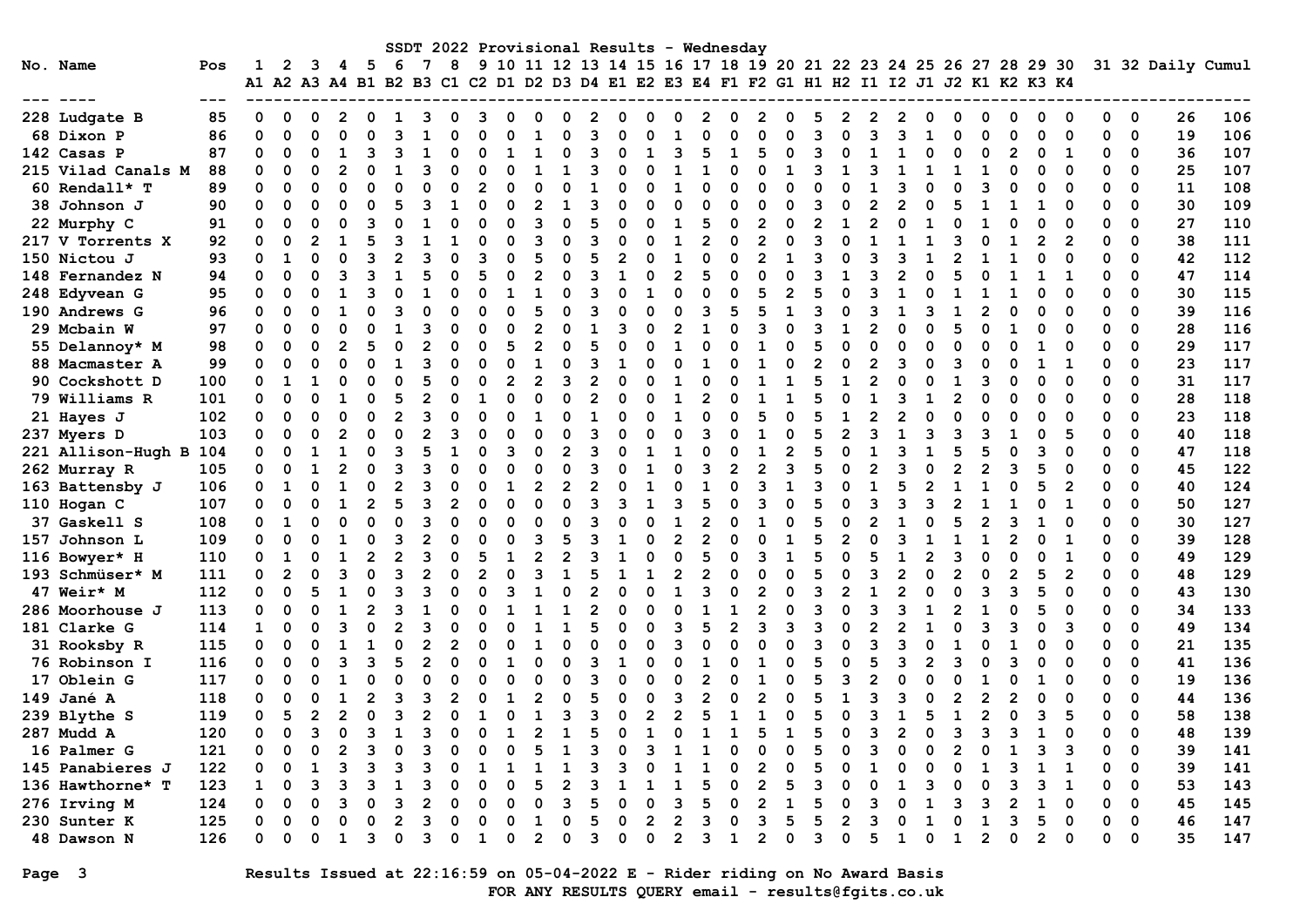| SSDT 2022 Provisional Results - Wednesday<br>9 10 11 12 13 14 15 16 17 18 19 20 21 22 23 24 25 26 27 28 29 30<br>8<br>No. Name<br>- 5<br>-6<br>31 32 Daily Cumul<br>2<br>3<br>4<br>Pos |                    |     |                      |                |   |  |   |   |  |                |  |   |                |    |   |             |   |                |   |                                                                      |                |   |   |   |              |             |   |                         |   |              |                |   |                         |    |     |
|----------------------------------------------------------------------------------------------------------------------------------------------------------------------------------------|--------------------|-----|----------------------|----------------|---|--|---|---|--|----------------|--|---|----------------|----|---|-------------|---|----------------|---|----------------------------------------------------------------------|----------------|---|---|---|--------------|-------------|---|-------------------------|---|--------------|----------------|---|-------------------------|----|-----|
|                                                                                                                                                                                        |                    |     |                      |                |   |  |   |   |  |                |  |   |                |    |   |             |   |                |   |                                                                      |                |   |   |   |              |             |   |                         |   |              |                |   |                         |    |     |
|                                                                                                                                                                                        |                    |     | A1 A2 A3 A4 B1 B2 B3 |                |   |  |   |   |  |                |  |   |                |    |   |             |   |                |   | C1 C2 D1 D2 D3 D4 E1 E2 E3 E4 F1 F2 G1 H1 H2 I1 I2 J1 J2 K1 K2 K3 K4 |                |   |   |   |              |             |   |                         |   |              |                |   |                         |    |     |
|                                                                                                                                                                                        |                    |     |                      |                |   |  |   |   |  |                |  |   |                |    |   |             |   |                |   |                                                                      |                |   |   |   |              |             |   |                         |   |              |                |   |                         |    |     |
|                                                                                                                                                                                        | 228 Ludgate B      | 85  | O                    |                |   |  |   |   |  |                |  |   |                |    |   |             |   |                |   |                                                                      |                |   |   |   |              |             |   |                         |   |              |                |   | 0                       | 26 | 106 |
|                                                                                                                                                                                        | 68 Dixon P         | 86  | $\Omega$             | $\Omega$       |   |  |   |   |  |                |  |   |                |    |   |             |   |                |   |                                                                      |                |   |   |   | ٩            |             |   | O                       |   |              | ∩              | ŋ | $\mathbf 0$             | 19 | 106 |
|                                                                                                                                                                                        | 142 Casas P        | 87  | 0                    | O              |   |  |   |   |  |                |  |   |                |    |   |             |   |                |   |                                                                      |                |   |   |   |              |             |   | O                       |   |              |                |   | 0                       | 36 | 107 |
|                                                                                                                                                                                        | 215 Vilad Canals M | 88  | 0                    |                |   |  |   |   |  |                |  |   |                |    |   |             |   |                |   |                                                                      |                |   |   |   |              |             |   |                         |   |              |                |   | $\mathbf 0$             | 25 | 107 |
|                                                                                                                                                                                        | 60 Rendall* T      | 89  | 0                    | O              |   |  |   |   |  |                |  |   |                |    |   |             |   |                |   |                                                                      |                |   |   |   |              |             |   |                         |   |              |                |   | $\Omega$                | 11 | 108 |
|                                                                                                                                                                                        | 38 Johnson J       | 90  | 0                    |                |   |  |   |   |  |                |  |   |                |    |   |             |   |                |   |                                                                      |                |   |   |   |              |             |   |                         |   |              |                |   | $\Omega$                | 30 | 109 |
|                                                                                                                                                                                        | 22 Murphy C        | 91  | 0                    | O              |   |  | ٩ |   |  | U              |  |   | ิว             |    |   |             |   |                |   |                                                                      |                |   |   |   | O            |             |   |                         |   |              |                | O | $\mathbf 0$             | 27 | 110 |
|                                                                                                                                                                                        | 217 V Torrents X   | 92  | 0                    | O              |   |  |   |   |  |                |  |   |                |    |   |             |   |                |   |                                                                      | 2              |   | ٩ |   |              |             |   |                         |   |              | 2              | 0 | $\Omega$                | 38 | 111 |
|                                                                                                                                                                                        | 150 Nictou J       | 93  | O                    | 1              | ∩ |  | 3 |   |  | U              |  |   |                |    |   |             |   |                |   |                                                                      | $\mathfrak{p}$ |   | ว |   | ٩            |             |   |                         |   | O            | ∩              |   | $\Omega$                | 42 | 112 |
|                                                                                                                                                                                        | 148 Fernandez N    | 94  | O                    | O              |   |  |   |   |  | O              |  |   | 2              |    |   |             |   |                |   |                                                                      |                |   |   |   | 2            |             |   |                         |   |              |                | ŋ | $\Omega$                | 47 | 114 |
|                                                                                                                                                                                        | 248 Edyvean G      | 95  | O                    | O              |   |  |   |   |  |                |  |   |                |    |   |             |   |                |   |                                                                      |                |   |   |   |              |             |   |                         |   |              |                |   | $\mathbf 0$             | 30 | 115 |
|                                                                                                                                                                                        | 190 Andrews G      | 96  | O                    | O              |   |  |   |   |  |                |  |   |                |    |   |             |   |                |   |                                                                      |                |   |   |   |              |             |   |                         |   |              |                | O | $\mathbf 0$             | 39 | 116 |
|                                                                                                                                                                                        | 29 Mcbain W        | 97  | O                    |                |   |  |   |   |  |                |  |   |                |    |   |             |   |                |   |                                                                      |                |   |   |   |              |             |   |                         |   |              |                |   | $\mathbf 0$             | 28 | 116 |
|                                                                                                                                                                                        | 55 Delannoy* M     | 98  | O                    |                |   |  |   |   |  | O              |  |   | 2              |    |   |             |   |                |   |                                                                      |                |   |   |   |              |             |   |                         |   |              |                |   | $\Omega$                | 29 | 117 |
|                                                                                                                                                                                        | 88 Macmaster A     | 99  | O                    |                |   |  | O |   |  |                |  |   |                |    |   |             |   |                |   |                                                                      |                |   |   |   |              |             |   |                         |   |              |                |   | $\Omega$                | 23 | 117 |
|                                                                                                                                                                                        | 90 Cockshott D     | 100 | 0                    |                |   |  |   |   |  |                |  |   |                |    |   |             |   |                |   |                                                                      |                |   |   |   |              |             |   |                         |   |              |                | O | $\Omega$                | 31 | 117 |
|                                                                                                                                                                                        | 79 Williams R      | 101 | 0                    | O              |   |  | O |   |  |                |  |   |                |    |   |             |   |                |   |                                                                      |                |   |   |   |              |             |   |                         |   |              |                | O | $\Omega$                | 28 | 118 |
|                                                                                                                                                                                        | 21 Hayes J         | 102 | 0                    | $\Omega$       | ∩ |  | O |   |  | $\Omega$       |  |   |                |    |   | O           |   |                |   |                                                                      |                | 0 |   |   | 2            |             |   |                         |   |              |                |   | $\Omega$                | 23 | 118 |
|                                                                                                                                                                                        | 237 Myers D        | 103 | 0                    | O              |   |  | O | ∩ |  |                |  |   |                |    |   | O           |   |                |   |                                                                      |                |   |   |   | $\mathbf{1}$ |             |   |                         |   |              |                |   | $\Omega$                | 40 | 118 |
|                                                                                                                                                                                        | 221 Allison-Hugh B | 104 | U                    | O              |   |  |   |   |  |                |  |   |                |    | ર |             |   |                |   |                                                                      |                |   |   |   | 3            |             |   |                         |   |              |                |   | $\mathbf 0$             | 47 | 118 |
|                                                                                                                                                                                        | 262 Murray R       | 105 | 0                    | O              |   |  |   |   |  |                |  |   |                |    |   |             |   |                |   |                                                                      | 2              |   |   |   |              |             |   |                         |   |              |                |   | $\Omega$                | 45 | 122 |
|                                                                                                                                                                                        | 163 Battensby J    | 106 | 0                    |                |   |  |   |   |  |                |  |   |                |    |   |             |   |                |   |                                                                      |                |   |   |   |              |             |   |                         |   |              |                |   | $\Omega$                | 40 | 124 |
|                                                                                                                                                                                        | 110 Hogan C        | 107 | O                    | O              |   |  |   |   |  | $\overline{2}$ |  |   |                |    |   | ิจ          |   |                |   |                                                                      |                |   |   |   | ٩            |             |   |                         |   |              |                |   | $\Omega$                | 50 | 127 |
|                                                                                                                                                                                        | 37 Gaskell S       | 108 | O                    |                |   |  |   |   |  |                |  |   |                |    |   |             |   |                |   |                                                                      |                |   |   |   |              |             |   |                         |   |              |                |   | $\Omega$                | 30 | 127 |
|                                                                                                                                                                                        | 157 Johnson L      | 109 | 0                    | O              |   |  |   |   |  |                |  |   | ٩              |    |   |             |   |                |   |                                                                      |                |   |   |   |              |             |   |                         |   |              |                | O | $\mathbf 0$             | 39 | 128 |
|                                                                                                                                                                                        | 116 Bowyer* H      | 110 | 0                    |                |   |  | 2 |   |  | O              |  |   | 2              |    |   |             |   | ∩              |   |                                                                      | ٩              |   |   |   |              |             |   | U                       |   |              |                |   | $\Omega$                | 49 | 129 |
|                                                                                                                                                                                        | 193 Schmüser* M    | 111 | 0                    | $\overline{2}$ |   |  | O |   |  | O              |  |   | ิว             | 1  |   |             |   | 2              |   |                                                                      | U              |   |   |   | 2            |             |   | U                       |   | 5            | $\overline{2}$ |   | $\Omega$                | 48 | 129 |
|                                                                                                                                                                                        | 47 Weir* M         | 112 | 0                    | $\Omega$       |   |  | O |   |  | O              |  |   |                |    |   |             |   |                |   |                                                                      | 2              |   | ٩ |   | 2            |             |   |                         |   |              |                |   | $\Omega$                | 43 | 130 |
|                                                                                                                                                                                        | 286 Moorhouse J    | 113 | 0                    | $\Omega$       |   |  |   |   |  |                |  |   |                |    |   |             |   | O              |   |                                                                      | $\mathfrak{p}$ |   | ٩ |   |              |             |   |                         |   |              |                |   | $\mathbf 0$             | 34 | 133 |
|                                                                                                                                                                                        | 181 Clarke G       | 114 | 1                    | O              |   |  |   |   |  |                |  |   |                |    |   |             |   |                |   |                                                                      |                |   |   |   |              |             |   |                         |   |              |                |   | 0                       | 49 | 134 |
|                                                                                                                                                                                        | 31 Rooksby R       | 115 | 0                    |                |   |  |   |   |  | 2              |  |   |                |    |   |             |   |                |   |                                                                      |                |   |   |   |              |             |   |                         |   |              |                |   | $\mathbf 0$             | 21 | 135 |
|                                                                                                                                                                                        | 76 Robinson I      | 116 | O                    |                |   |  |   |   |  | O              |  |   |                |    |   |             |   |                |   |                                                                      |                |   |   |   |              |             |   |                         |   |              |                |   | $\Omega$                | 41 | 136 |
|                                                                                                                                                                                        | 17 Oblein G        | 117 | 0                    |                |   |  |   |   |  |                |  |   |                |    |   |             |   |                |   |                                                                      |                |   |   |   |              |             |   |                         |   |              |                |   | $\Omega$                | 19 | 136 |
|                                                                                                                                                                                        | 149 Jané A         | 118 | O                    | n              |   |  | 2 |   |  |                |  |   |                |    |   |             |   |                |   |                                                                      |                |   |   |   | ٩            |             |   | $\mathfrak{p}$          |   |              |                | O | $\mathbf 0$             | 44 | 136 |
|                                                                                                                                                                                        | 239 Blythe S       | 119 | 0                    | 5              | 2 |  | O |   |  | $\Omega$       |  |   | 1              |    | з | $\Omega$    |   | $\overline{2}$ | 5 |                                                                      |                | ი | 5 | O | 1            | 5           |   | $\overline{2}$          | O | 3            | 5              |   | $\Omega$                | 58 | 138 |
|                                                                                                                                                                                        | 287 Mudd A         | 120 | 0                    | $\mathbf 0$    | 3 |  | 3 |   |  | 0              |  |   | ົ              |    |   | $\mathbf 0$ |   | 0              |   |                                                                      |                |   | 5 | 0 | 2            | 0           |   | 3                       | ີ |              | $\mathbf 0$    |   | $\overline{\mathbf{0}}$ | 48 | 139 |
|                                                                                                                                                                                        | 16 Palmer G        | 121 | 0                    | 0              |   |  | 3 |   |  | 0              |  | O |                | -1 | 3 | $\Omega$    |   | 1              |   |                                                                      | O              |   |   |   | 0            | 0           |   | 0                       |   | ٩            | 3              |   | 0                       | 39 | 141 |
|                                                                                                                                                                                        | 145 Panabieres J   | 122 | 0                    |                |   |  |   |   |  |                |  |   |                |    |   |             |   |                |   |                                                                      |                |   |   |   | 0            | 0           |   | 1                       |   |              |                | O | 0                       | 39 | 141 |
|                                                                                                                                                                                        | 136 Hawthorne* T   | 123 | 1                    | 0              |   |  |   |   |  |                |  |   |                |    | 3 |             |   |                |   |                                                                      | $\overline{2}$ |   | 3 |   |              | 3           |   | 0                       |   | 3            |                | 0 | 0                       | 53 | 143 |
|                                                                                                                                                                                        | 276 Irving M       | 124 | 0                    |                |   |  |   |   |  |                |  |   |                |    |   |             |   | 3              |   |                                                                      | $\overline{2}$ |   |   |   | 0            |             |   | 3                       |   |              |                | 0 | 0                       | 45 | 145 |
|                                                                                                                                                                                        | 230 Sunter K       | 125 | 0                    |                |   |  |   |   |  | O              |  |   | 1              |    | 5 | 0           |   | 2              |   |                                                                      | 3              | 5 | 5 | 2 | 0            |             |   | $\mathbf{1}$            |   | 5            | 0              | 0 | 0                       | 46 | 147 |
|                                                                                                                                                                                        | 48 Dawson N        | 126 | 0                    | 0              | 0 |  | 3 |   |  | 0              |  | ი | $\overline{2}$ | O  | 3 | 0           | 0 | 2              | 3 | 1                                                                    | $\overline{2}$ | O | 3 |   | 1            | $\mathbf 0$ | 1 | $\overline{\mathbf{c}}$ | 0 | $\mathbf{2}$ | 0              | 0 | 0                       | 35 | 147 |

# Page 3 Results Issued at 22:16:59 on 05-04-2022 E - Rider riding on No Award Basis FOR ANY RESULTS QUERY email - results@fgits.co.uk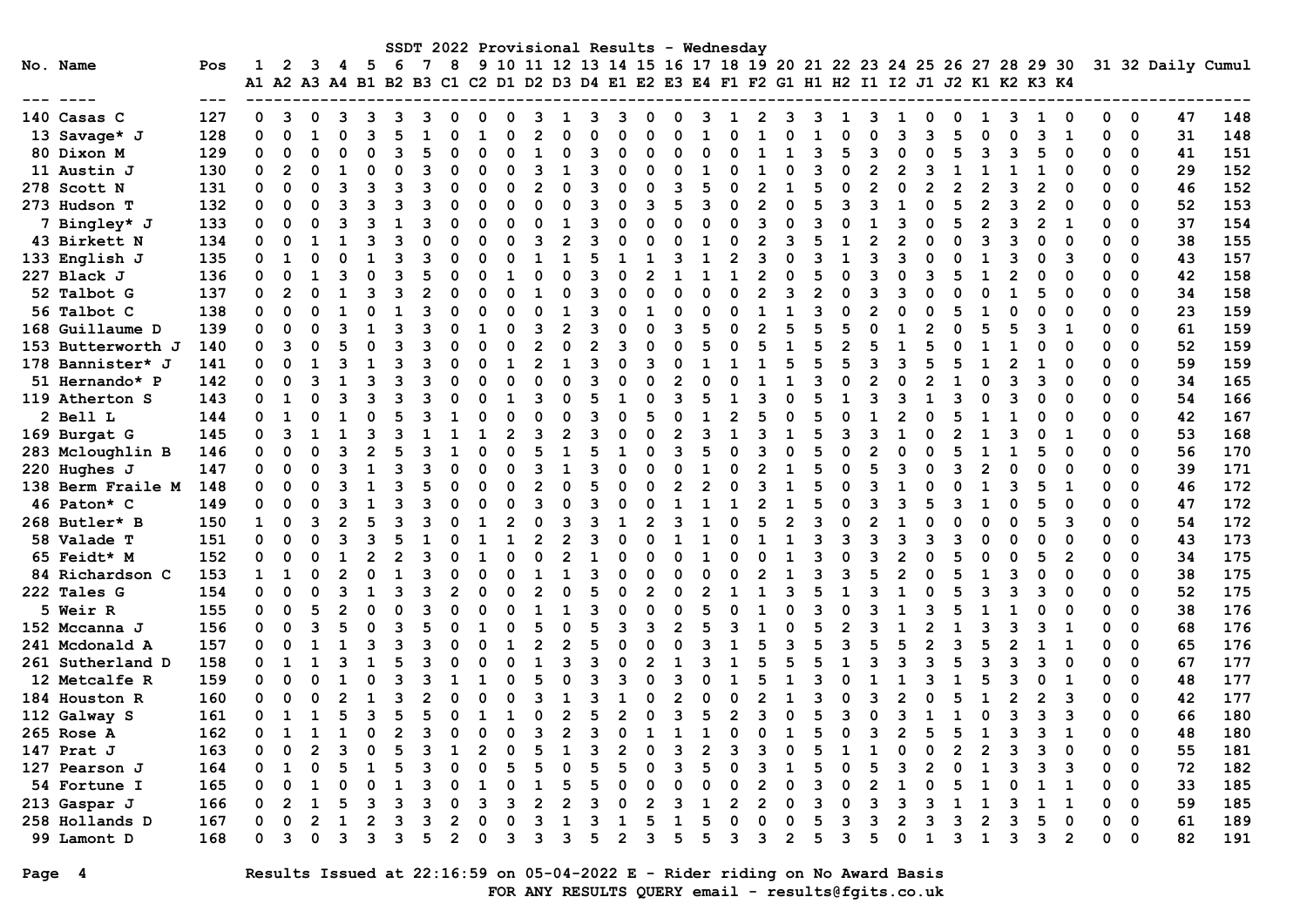|                   |         |              |                |                |    |                |          |    |                |          |                |                |          |                | SSDT 2022 Provisional Results |          |                |   | – Wednesday    |                |   |                |          |   |                |              |   |                |          |                                                                                                                                                               |                |          |             |                   |     |
|-------------------|---------|--------------|----------------|----------------|----|----------------|----------|----|----------------|----------|----------------|----------------|----------|----------------|-------------------------------|----------|----------------|---|----------------|----------------|---|----------------|----------|---|----------------|--------------|---|----------------|----------|---------------------------------------------------------------------------------------------------------------------------------------------------------------|----------------|----------|-------------|-------------------|-----|
| No. Name          | Pos     | 1            | 2              | 3              | 4  | - 5            | -6       | 7  | 8              |          |                |                |          |                |                               |          |                |   |                |                |   |                |          |   |                |              |   |                |          | 9 10 11 12 13 14 15 16 17 18 19 20 21 22 23 24 25 26 27 28 29 30<br>A1 A2 A3 A4 B1 B2 B3 C1 C2 D1 D2 D3 D4 E1 E2 E3 E4 F1 F2 G1 H1 H2 I1 I2 J1 J2 K1 K2 K3 K4 |                |          |             | 31 32 Daily Cumul |     |
| --- ----          | $- - -$ |              |                |                |    |                |          |    |                |          |                |                |          |                |                               |          |                |   |                |                |   |                |          |   |                |              |   |                |          |                                                                                                                                                               |                |          |             |                   |     |
| 140 Casas C       | 127     | 0            | 3              | 0              | 3  | 3              | 3        | ٦  | $\Omega$       | 0        | O              | 3              | 1        | 3              | З                             | n        | $\Omega$       | З | 1              | $\mathbf{2}$   | 3 | 3              | 1        | З | 1              | 0            | 0 | 1              | 3        | 1                                                                                                                                                             | O              | $\Omega$ | $\mathbf 0$ | 47                | 148 |
| 13 Savage* J      | 128     | 0            | $\mathbf 0$    | $\mathbf{1}$   |    | २              | 5        |    | $\Omega$       |          | O              | 2              |          | U              |                               |          | O              |   | n              |                |   |                | O        |   | 3              | २            | 5 | $\Omega$       | $\Omega$ | 3                                                                                                                                                             | $\mathbf{1}$   | 0        | $\mathbf 0$ | 31                | 148 |
| 80 Dixon M        | 129     | 0            | $\mathbf 0$    | $\mathbf 0$    |    | 0              | 3        |    | $\Omega$       |          | O              | $\mathbf{1}$   |          | 3              |                               |          | $\Omega$       |   |                |                |   | 3              | 5        | 3 | $\Omega$       |              | 5 | 3              | 3        | 5                                                                                                                                                             | $\Omega$       | 0        | 0           | 41                | 151 |
| 11 Austin J       | 130     | $\mathbf 0$  | $\overline{2}$ | $\Omega$       |    | $\Omega$       | $\Omega$ |    | $\Omega$       | $\Omega$ | O              | 3              | 1        | 3              | C                             |          | $\Omega$       |   | O              | 1              |   | 3              | $\Omega$ | 2 | $\overline{2}$ | 3            |   | $\mathbf{1}$   | -1       | 1                                                                                                                                                             | $\Omega$       | $\Omega$ | 0           | 29                | 152 |
| 278 Scott N       | 131     | 0            | $\Omega$       | $\Omega$       |    | २              | 3        | ٩  | $\Omega$       | O        | ŋ              | 2              | $\Omega$ | २              | $\Omega$                      |          | 3              | 5 | O              | $\overline{2}$ | 1 | 5              | $\Omega$ | 2 | $\Omega$       | 2            |   | $\overline{2}$ | ٦        | $\overline{2}$                                                                                                                                                | $\Omega$       | O        | $\Omega$    | 46                | 152 |
| 273 Hudson T      | 132     | $\mathbf 0$  | 0              | $\Omega$       |    | ٩              |          |    | $\Omega$       |          | O              | $\Omega$       | $\Omega$ | ٩              | $\Omega$                      |          |                |   | O              | $\mathcal{P}$  | O | 5              | ٩        |   |                |              |   | $\mathfrak{p}$ |          | 2                                                                                                                                                             | $\Omega$       | $\Omega$ | $\Omega$    | 52                | 153 |
| 7 Bingley* J      | 133     | 0            | $\mathbf 0$    | 0              |    | २              |          |    | $\Omega$       |          | O              | $\Omega$       | 1        | 3              | C                             |          | $\Omega$       | O | O              | 3              |   | ٩              | $\Omega$ |   | २              |              |   | $\overline{2}$ | 3        | $\overline{2}$                                                                                                                                                | $\mathbf{1}$   | $\Omega$ | 0           | 37                | 154 |
| 43 Birkett N      | 134     | 0            | 0              | $\mathbf{1}$   |    | ર              |          |    | $\Omega$       |          | O              | 3              | 2        | २              | $\Omega$                      |          | $\Omega$       |   | n              | $\mathcal{P}$  |   |                |          |   | 2              |              |   | २              |          | O                                                                                                                                                             | $\Omega$       | O        | 0           | 38                | 155 |
| 133 English J     | 135     | 0            | $\mathbf{1}$   | $\Omega$       |    |                |          |    |                |          | n              |                |          | 5              |                               |          |                |   |                |                |   | २              |          |   | 3              |              |   |                |          | n                                                                                                                                                             | 3              | $\Omega$ | 0           | 43                | 157 |
| 227 Black J       | 136     | 0            | $\mathbf 0$    | 1              |    | $\Omega$       |          |    | $\Omega$       |          |                | $\Omega$       | O        | 3              | $\Omega$                      |          | $\mathbf{1}$   |   |                | $\overline{2}$ |   | 5              | $\Omega$ |   | $\Omega$       |              |   |                |          | O                                                                                                                                                             | $\Omega$       | $\Omega$ | 0           | 42                | 158 |
| 52 Talbot G       | 137     | 0            | $\overline{2}$ | $\Omega$       |    | 3              | З        |    | $\Omega$       |          | O              | 1              |          | 3              | 0                             |          | $\Omega$       | O | O              | $\overline{2}$ | 3 | $\overline{2}$ | $\Omega$ | 3 | 3              |              |   | $\Omega$       |          | 5                                                                                                                                                             | $\Omega$       | 0        | 0           | 34                | 158 |
| 56 Talbot C       | 138     | 0            | $\Omega$       | $\Omega$       |    | $\Omega$       |          |    | $\Omega$       | n        | O              | $\Omega$       |          | २              | $\mathbf{C}$                  |          | $\Omega$       | O | O              | $\mathbf{1}$   | 1 | २              | $\Omega$ |   | $\Omega$       | O            |   | 1              |          | O                                                                                                                                                             | $\Omega$       | $\Omega$ | $\Omega$    | 23                | 159 |
| 168 Guillaume D   | 139     | 0            | $\Omega$       | $\Omega$       |    |                | ٩        |    |                |          | O              | 3              |          | २              | C                             |          | २              | 5 | $\Omega$       | $\mathfrak{p}$ | 5 | 5              | 5        |   |                |              |   |                | 5        | 3                                                                                                                                                             | $\mathbf{1}$   | $\Omega$ | 0           | 61                | 159 |
| 153 Butterworth J | 140     | 0            | 3              | $\Omega$       |    | O              |          |    | $\Omega$       |          | O              | 2              |          | $\mathfrak{p}$ | ٩                             |          | $\Omega$       |   | O              |                |   |                |          |   |                |              |   |                |          | O                                                                                                                                                             | $\Omega$       | $\Omega$ | $\Omega$    | 52                | 159 |
| 178 Bannister* J  | 141     | 0            | $\mathbf 0$    |                |    | 1              | ٩        |    | $\Omega$       |          |                | $\mathcal{P}$  | 1        | ٩              | C                             | ৭        | $\mathbf 0$    |   |                |                |   | 5              | 5        |   | २              | 5            |   | 1              |          |                                                                                                                                                               | ∩              | $\Omega$ | 0           | 59                | 159 |
| 51 Hernando* P    | 142     | 0            | 0              | 3              |    | 3              | 3        |    | $\Omega$       |          | O              | $\Omega$       | O        | 3              | $\Omega$                      |          | $\overline{2}$ |   |                |                | 1 | 3              | $\Omega$ |   | $\Omega$       | 2            |   | $\Omega$       |          | 3                                                                                                                                                             | $\Omega$       | $\Omega$ | 0           | 34                | 165 |
| 119 Atherton S    | 143     | 0            | $\mathbf{1}$   | $\Omega$       |    | 3              | ٩        |    |                |          |                | З              | U        | 5              |                               |          | 3              |   |                |                |   | 5              |          |   |                |              |   |                |          | O                                                                                                                                                             | $\Omega$       | $\Omega$ | 0           | 54                | 166 |
| 2 Bell L          | 144     | $\Omega$     | 1              | $\Omega$       |    | $\Omega$       | 5        |    |                |          |                | $\Omega$       | O        | २              |                               |          | $\Omega$       |   | $\overline{2}$ |                |   | 5              | $\Omega$ |   | $\overline{2}$ |              |   |                |          | O                                                                                                                                                             | $\Omega$       | $\Omega$ | 0           | 42                | 167 |
| 169 Burgat G      | 145     | 0            | 3              |                |    | ٩              |          |    |                |          |                | 3              |          | ٩              | C                             |          | 2              | २ |                |                |   | 5              | ٩        |   |                |              |   |                |          | O                                                                                                                                                             | 1              | $\Omega$ | 0           | 53                | 168 |
| 283 Mcloughlin B  | 146     | 0            | 0              | $\Omega$       |    | $\overline{2}$ |          |    | 1              | O        | ŋ              |                |          |                |                               |          | २              | 5 | O              |                | O | 5              | $\Omega$ |   | $\Omega$       |              |   | 1              |          |                                                                                                                                                               | $\Omega$       | $\Omega$ | $\Omega$    | 56                | 170 |
| 220 Hughes J      | 147     | 0            | 0              | $\Omega$       |    | $\mathbf{1}$   | 3        |    | $\Omega$       |          | O              | 3              |          | ٩              | C                             |          | $\Omega$       |   | $\Omega$       | 2              |   | 5              | $\Omega$ |   | 3              | n            | З | $\mathfrak{p}$ |          | O                                                                                                                                                             | $\Omega$       | $\Omega$ | $\Omega$    | 39                | 171 |
| 138 Berm Fraile M | 148     | 0            | $\Omega$       | $\Omega$       |    | $\mathbf{1}$   |          |    |                |          |                | $\overline{2}$ |          | 5              |                               |          | $\mathfrak{p}$ |   | O              |                |   | 5              | $\Omega$ |   | $\mathbf{1}$   |              |   |                |          | 5                                                                                                                                                             | $\mathbf{1}$   | $\Omega$ | 0           | 46                | 172 |
| 46 Paton* C       | 149     | 0            | 0              | $\Omega$       |    | 1              | 3        |    | ∩              |          | n              | 3              | n        | 3              | C                             |          | 1              |   | 1              | $\overline{2}$ | 1 | 5              | ∩        |   | 3              | 5            |   | 1              | O        | 5                                                                                                                                                             | $\Omega$       | 0        | $\mathbf 0$ | 47                | 172 |
| 268 Butler* B     | 150     | 1            | $\Omega$       | 3              |    | 5              | 3        |    | ∩              |          | $\overline{2}$ | $\Omega$       |          | २              |                               |          | 3              |   | O              | 5              | 2 | २              | $\Omega$ |   |                |              |   | O              |          | 5                                                                                                                                                             | 3              | $\Omega$ | $\Omega$    | 54                | 172 |
| 58 Valade T       | 151     | 0            | 0              | $\Omega$       |    | ٩              |          |    |                |          |                | 2              |          | ٩              | $\Omega$                      |          | 1              |   | O              |                |   | ٩              | ٩        |   | 3              | ٩            | ٩ | Û              |          | O                                                                                                                                                             | $\Omega$       | 0        | $\Omega$    | 43                | 173 |
| 65 Feidt* M       | 152     | 0            | $\mathbf 0$    | $\Omega$       |    | $\overline{2}$ |          |    |                |          |                | $\Omega$       |          |                |                               |          | $\Omega$       |   |                |                |   | 3              | $\Omega$ |   | $\overline{2}$ |              |   | $\Omega$       |          | 5                                                                                                                                                             | $\overline{2}$ | $\Omega$ | 0           | 34                | 175 |
| 84 Richardson C   | 153     | $\mathbf{1}$ | $\mathbf{1}$   | $\Omega$       |    | $\Omega$       |          |    | O              |          | ŋ              | $\mathbf{1}$   |          | २              | O                             |          | $\Omega$       | O | n              |                | 1 | ٩              | з        |   | $\mathfrak{p}$ | O            |   | $\mathbf{1}$   | ٩        | O                                                                                                                                                             | $\Omega$       | $\Omega$ | $\Omega$    | 38                | 175 |
| 222 Tales G       | 154     | $\Omega$     | $\Omega$       | $\Omega$       |    | 1              | ٩        |    | $\mathcal{P}$  |          |                | $\mathcal{P}$  | O        | 5              |                               |          | $\Omega$       |   |                |                |   | 5              |          |   | 1              |              |   | २              |          | ٩                                                                                                                                                             | $\Omega$       | $\Omega$ | $\Omega$    | 52                | 175 |
| 5 Weir R          | 155     | $\mathbf 0$  | $\mathbf 0$    | 5              |    | O              | O        |    |                |          | O              |                |          | २              | O                             | $\Omega$ | $\mathbf 0$    |   | O              |                |   | ٩              | $\Omega$ |   | 1              |              |   |                |          | O                                                                                                                                                             | $\Omega$       | $\Omega$ | 0           | 38                | 176 |
| 152 Mccanna J     | 156     | 0            | 0              | Р              |    | O              | 3        |    |                |          |                | 5              |          | 5              | 3                             | จ        | $\mathfrak{p}$ |   |                |                |   | 5              |          |   |                |              |   | 3              |          | 3                                                                                                                                                             | 1              | 0        | 0           | 68                | 176 |
| 241 Mcdonald A    | 157     | 0            | 0              |                |    | 3              | З        |    | n              |          |                | $\overline{2}$ |          | 5              | C                             |          | 0              |   |                |                |   | 5              | ٩        |   | 5              |              | ٩ | 5              |          | 1                                                                                                                                                             | 1              | 0        | $\mathbf 0$ | 65                | 176 |
| 261 Sutherland D  | 158     | 0            | $\mathbf{1}$   | $\mathbf{1}$   |    | 1              | 5        |    | $\Omega$       |          | O              | $\mathbf{1}$   | २        | 3              | $\Omega$                      |          | 1              | ٩ |                | 5              | 5 | 5              |          |   | 3              | Р            |   | 3              | ٦        | 3                                                                                                                                                             | $\Omega$       | $\Omega$ | $\Omega$    | 67                | 177 |
| 12 Metcalfe R     | 159     | $\mathbf 0$  | $\Omega$       | $\Omega$       |    | $\Omega$       |          |    |                |          |                | 5              |          | ٩              |                               |          |                |   |                |                |   |                |          |   |                |              |   |                |          | $\Omega$                                                                                                                                                      |                | $\Omega$ | $\Omega$    | 48                | 177 |
| 184 Houston R     | 160     | 0            | $\mathbf 0$    | $\Omega$       |    | 1              | ٩        |    |                |          |                | 3              |          | २              |                               |          | $\mathfrak{p}$ |   | O              |                |   | ٩              | $\Omega$ |   | $\overline{2}$ |              |   | $\mathbf{1}$   |          | $\overline{2}$                                                                                                                                                | 3              | $\Omega$ | 0           | 42                | 177 |
| 112 Galway S      | 161     | 0            | $\mathbf{1}$   | 1              |    | ٩              | 5        |    | O              |          |                | $\Omega$       |          | 5              | 2                             |          | २              | 5 | 2              | २              |   | 5              | з        |   | ٩              |              |   | $\Omega$       |          | ٩                                                                                                                                                             | 3              | $\Omega$ | $\Omega$    | 66                | 180 |
| 265 Rose A        | 162     | O            | $\mathbf{1}$   |                |    | U              |          |    |                |          |                | ৭              |          |                |                               |          |                |   |                |                |   | 5              | O        |   | $\mathbf{c}$   |              |   |                |          | 3                                                                                                                                                             | 1              | O        | $\Omega$    | 48                | 180 |
| 147 Prat J        | 163     | 0            | $\mathbf 0$    | $\overline{2}$ |    | O              |          |    |                |          |                |                |          | 3              | $\overline{2}$                |          | 3              |   | ٩              | 3              |   | 5              |          |   | O              |              |   | $\overline{2}$ |          | 3                                                                                                                                                             | $\Omega$       | O        | 0           | 55                | 181 |
| 127 Pearson J     | 164     | 0            | $\mathbf{1}$   | $\Omega$       |    | 1              | 5        |    | $\Omega$       |          | 5              | 5              |          | 5              | 5                             |          | 3              | 5 | n              | ॎ              | 1 | 5              | $\Omega$ |   | 3              |              |   | 1              |          | 3                                                                                                                                                             | 3              | 0        | $\mathbf 0$ | 72                | 182 |
| 54 Fortune I      | 165     | 0            | $\Omega$       | 1              |    | $\Omega$       |          |    | O              |          | O              | $\mathbf{1}$   |          | 5              | C                             |          | $\Omega$       | O | n              | 2              | O | २              | $\Omega$ |   | 1              | n            |   | 1              |          |                                                                                                                                                               | $\mathbf{1}$   | $\Omega$ | $\Omega$    | 33                | 185 |
| 213 Gaspar J      | 166     | 0            | $\overline{2}$ | $\mathbf{1}$   |    | 3              | Р        |    | O              |          | ٩              |                |          | ٩              | O                             |          | २              |   | 2              | 2              |   | २              | ∩        | २ | 3              | ٩            |   | 1              | ٩        | $\mathbf{1}$                                                                                                                                                  | $\mathbf{1}$   | O        | $\Omega$    | 59                | 185 |
| 258 Hollands D    | 167     | 0            | $\Omega$       | $\mathfrak{p}$ |    | 2              | ٩        | २  | $\mathfrak{p}$ | O        | O              | २              |          | 3              |                               |          | 1              | 5 | O              | $\Omega$       | O | 5              | 3        | २ | $\overline{2}$ | ٩            | 3 | $\mathfrak{p}$ |          | 5                                                                                                                                                             | $\Omega$       | $\Omega$ | $\Omega$    | 61                | 189 |
| 99 Lamont D       | 168     | U            | 3              | $\Omega$       | ิว | 3              | ٩        | б, | $\overline{2}$ | O        | ٩              | 3              | 3        | 5              | 2                             | 3        | 5              | 5 | ٩              | 3              | 2 | 5              | ٩        | 5 | $\Omega$       | $\mathbf{1}$ | २ | $\mathbf{1}$   | 3        | 3                                                                                                                                                             | $\overline{2}$ | $\Omega$ | 0           | 82                | 191 |

Page 4 Results Issued at 22:16:59 on 05-04-2022 E - Rider riding on No Award Basis FOR ANY RESULTS QUERY email - results@fgits.co.uk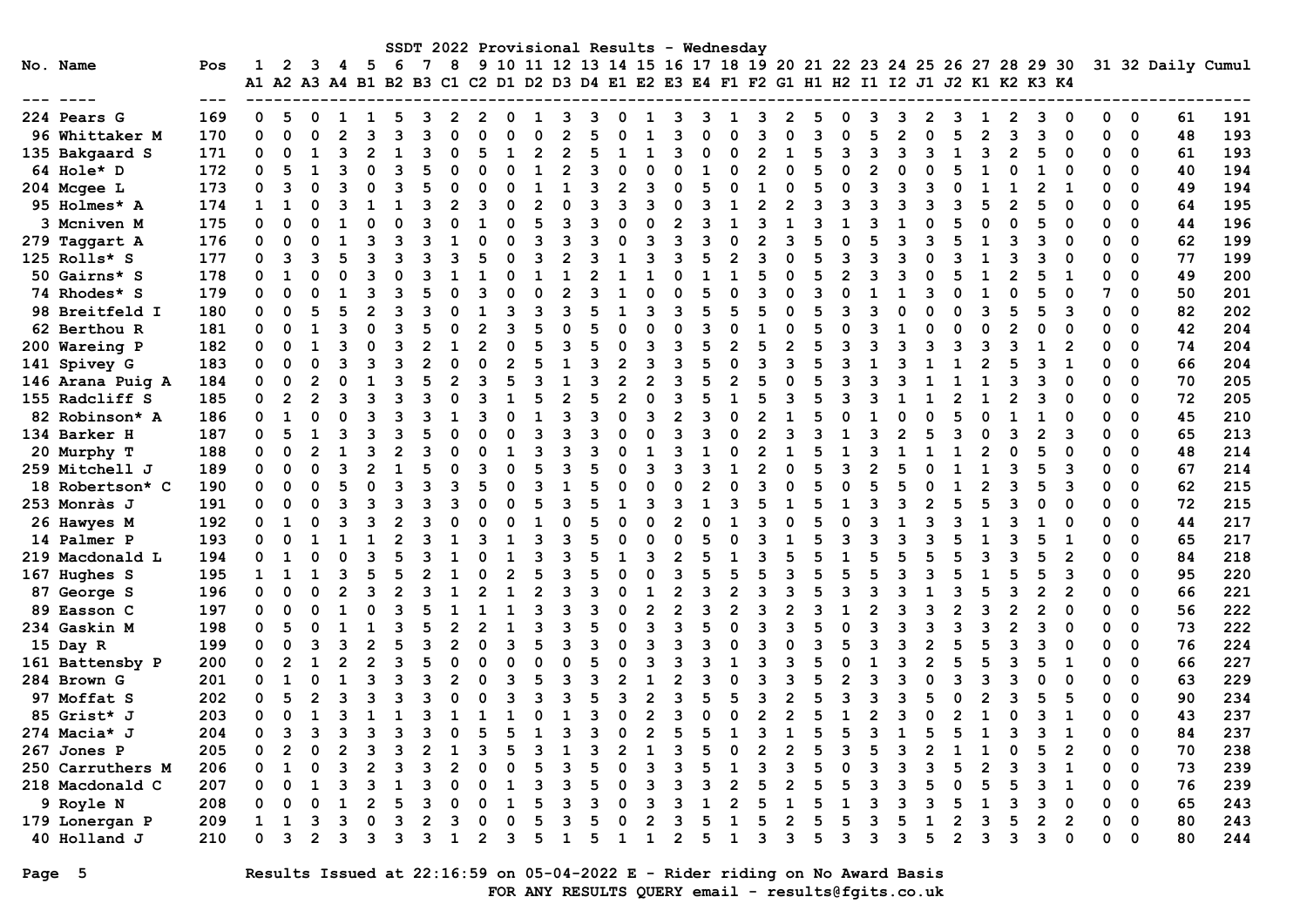|                         |       |              |                |                |    |                |                |   |                |   |                |                |   |                | SSDT 2022 Provisional Results |    |                |              | – Wednesday |                |   |   |              |   |                |   |              |                |   |                                                                                                                                                               |                |          |             |                   |            |
|-------------------------|-------|--------------|----------------|----------------|----|----------------|----------------|---|----------------|---|----------------|----------------|---|----------------|-------------------------------|----|----------------|--------------|-------------|----------------|---|---|--------------|---|----------------|---|--------------|----------------|---|---------------------------------------------------------------------------------------------------------------------------------------------------------------|----------------|----------|-------------|-------------------|------------|
| No. Name                | Pos   | 1            | 2              | 3              | 4  | -5             | -6             | 7 | 8              |   |                |                |   |                |                               |    |                |              |             |                |   |   |              |   |                |   |              |                |   | 9 10 11 12 13 14 15 16 17 18 19 20 21 22 23 24 25 26 27 28 29 30<br>A1 A2 A3 A4 B1 B2 B3 C1 C2 D1 D2 D3 D4 E1 E2 E3 E4 F1 F2 G1 H1 H2 I1 I2 J1 J2 K1 K2 K3 K4 |                |          |             | 31 32 Daily Cumul |            |
|                         | $---$ |              |                |                |    |                |                |   |                |   |                |                |   |                |                               |    |                |              |             |                |   |   |              |   |                |   |              |                |   |                                                                                                                                                               |                |          |             |                   |            |
| 224 Pears G             | 169   | 0            | 5              | 0              | L. | 1              | 5              | З | 2              | 2 | O              | 1              | 3 | 3              | 0                             | п. | 3              | З            | ı           | 3              | 2 | 5 | 0            | ٦ | 3              | 2 | 3            | 1              | 2 | 3                                                                                                                                                             | 0              | 0        | 0           | 61                | 191        |
| 96 Whittaker M          | 170   | 0            | $\Omega$       | $\Omega$       |    | 3              | 3              | 3 | $\Omega$       |   | O              | $\Omega$       |   | 5              |                               |    | २              |              | O           | 3              |   | २ | $\Omega$     |   | $\overline{2}$ | O |              | $\overline{2}$ | 3 | 3                                                                                                                                                             | 0              | 0        | $\mathbf 0$ | 48                | 193        |
| 135 Bakgaard S          | 171   | 0            | 0              | 1              |    | $\overline{2}$ |                |   | $\Omega$       | 5 |                | 2              |   | 5              |                               |    | २              | O            | O           |                |   | 5 | २            | વ | 3              | ٩ |              | 3              |   | 5                                                                                                                                                             | $\Omega$       | 0        | 0           | 61                | 193        |
| 64 Hole* D              | 172   | $\Omega$     | 5              | 1              |    | 0              | 3              |   | O              |   | ŋ              | 1              | 2 | 3              | $\Omega$                      |    | 0              |              | O           | $\overline{2}$ |   | 5 | 0            |   | 0              | C |              | $\mathbf{1}$   |   |                                                                                                                                                               | O              | 0        | 0           | 40                | 194        |
| 204 Mcgee L             | 173   | 0            | 3              | $\Omega$       |    | 0              | 3              |   | $\Omega$       | 0 | O              | 1              | 1 | 3              | $\overline{2}$                | 3  | 0              | 5            | O           | $\mathbf{1}$   | O | 5 | 0            | 3 | 3              | 3 |              | 1              |   | $\overline{2}$                                                                                                                                                | 1              | O        | 0           | 49                | 194        |
| 95 Holmes* A            | 174   | $\mathbf{1}$ | 1              |                |    |                |                |   | 2              |   |                | $\overline{2}$ |   | 3              | ٩                             |    | O              |              |             |                |   | ٩ |              |   |                |   |              |                |   |                                                                                                                                                               | $\Omega$       | 0        | 0           | 64                | 195        |
| 3 Mcniven M             | 175   | $\Omega$     | 0              | $\Omega$       |    | 0              | O              |   | $\Omega$       |   | ŋ              | 5              | 3 | 3              | O                             |    | $\overline{2}$ | ٩            |             | 3              |   | 3 |              |   |                |   |              | $\Omega$       |   | 5                                                                                                                                                             | $\Omega$       | O        | 0           | 44                | 196        |
| 279 Taggart A           | 176   | $\Omega$     | O              | $\Omega$       |    | ٩              | Р              |   |                |   | n              | 3              | ٩ | २              | O                             |    | ٩              | ٩            | O           | $\mathfrak{p}$ | ٩ |   | $\Omega$     |   | ٩              |   |              | 1              | Р | 3                                                                                                                                                             | $\Omega$       | O        | $\Omega$    | 62                | 199        |
| 125 Rolls* S            | 177   | 0            | 3              | З              |    | ٩              | ٩              |   |                |   |                | В              |   | २              |                               |    | ર              | 5            |             |                |   | 5 | ٩            |   | ٩              |   |              |                |   | ٩                                                                                                                                                             |                | O        | $\Omega$    | 77                | 199        |
| 50 Gairns* S            | 178   | 0            | $\mathbf{1}$   | $\Omega$       |    | २              |                |   |                |   |                |                |   | $\overline{2}$ |                               |    | O              |              |             |                |   | 5 | 2            |   | ٩              |   |              |                |   |                                                                                                                                                               | 1              | 0        | 0           | 49                | 200        |
| 74 Rhodes* S            | 179   | 0            | 0              | ∩              |    | 3              | 3              |   | $\Omega$       |   |                | $\Omega$       |   | 3              |                               |    | 0              | 5            |             | 3              | ი | 3 | O            |   |                |   |              | 1              |   | 5                                                                                                                                                             | $\Omega$       | 7        | 0           | 50                | 201        |
| 98 Breitfeld I          | 180   | 0            | $\Omega$       | 5              |    | $\overline{2}$ | Р              |   | U              |   | ٩              | В              | ٩ | 5              | -1                            | ٩  | 3              | 5            | 5           | 5              | ∩ | 5 | ٩            |   | U              |   |              | 3              | 5 | 5                                                                                                                                                             | 3              | 0        | $\Omega$    | 82                | 202        |
| 62 Berthou R            | 181   | 0            | 0              | 1              |    | O              | 3              |   | $\Omega$       |   | 3              | 5              | O | 5              | O                             |    | 0              | 3            | $\Omega$    |                | O | 5 | 0            |   |                |   |              | $\Omega$       |   | O                                                                                                                                                             |                | 0        | 0           | 42                | 204        |
| 200 Wareing P           | 182   | 0            | 0              | 1              |    | O              | ٩              |   |                |   |                | 5              |   | 5              | $\Omega$                      |    | 3              | 5            |             | 5              | 2 | 5 | 3            |   | ٩              |   |              | 3              |   |                                                                                                                                                               | $\overline{2}$ | O        | 0           | 74                | 204        |
| 141 Spivey G            | 183   | 0            | 0              | $\Omega$       |    | 3              | 3              |   | $\mathbf 0$    | 0 |                | 5              | 1 | 3              | $\overline{2}$                | ิว | 3              | 5            | O           | 3              |   | 5 | 3            |   | 3              |   |              | $\overline{2}$ |   | 3                                                                                                                                                             | 1              | O        | $\mathbf 0$ | 66                | 204        |
| 146 Arana Puig A        | 184   | O            | $\Omega$       | $\overline{2}$ |    | 1              | З              |   | $\overline{2}$ | З | 5              | 3              | 1 | 3              | $\overline{2}$                | 2  | 3              | 5            |             | 5              | O |   | ٦            |   | २              |   |              | $\mathbf{1}$   | ٩ | 3                                                                                                                                                             | $\Omega$       | O        | $\Omega$    | 70                | 205        |
| 155 Radcliff S          | 185   | 0            | $\overline{2}$ | $\mathfrak{p}$ |    | २              |                |   | O              |   |                |                |   | 5              | $\mathfrak{p}$                |    | २              |              |             |                |   |   |              |   |                |   |              |                |   | ٩                                                                                                                                                             |                | O        | 0           | 72                | 205        |
| 82 Robinson* A          | 186   | 0            | 1              | $\Omega$       |    | २              | ٩              |   |                |   | O              | $\mathbf{1}$   |   | २              | $\Omega$                      | 3  | $\overline{2}$ | ٩            | $\Omega$    |                |   | 5 |              |   |                |   |              | O              |   |                                                                                                                                                               | O              | O        | 0           | 45                | 210        |
| 134 Barker H            | 187   | 0            | 5              | 1              |    | 3              |                |   | O              |   |                | 3              |   | 3              | O                             |    | 3              | З            |             |                |   | ٩ |              |   | 2              |   |              | 0              |   | 2                                                                                                                                                             | 3              | 0        | 0           | 65                | 213        |
| 20 Murphy T             | 188   | 0            | $\Omega$       | $\mathbf{2}$   |    | ٩              |                |   | U              |   |                | В              |   | ٩              | n                             |    | ٦              |              |             | 2              |   | 5 |              |   |                |   |              | $\overline{2}$ |   | 5                                                                                                                                                             |                | O        | $\Omega$    | 48                | 214        |
| 259 Mitchell J          | 189   | 0            | 0              | $\Omega$       |    | $\overline{2}$ |                |   | $\Omega$       |   |                |                |   | 5              | 0                             |    | 3              |              |             | 2              |   | 5 | 3            |   | 5              |   |              |                | 3 |                                                                                                                                                               | 3              | 0        | 0           | 67                | 214        |
| 18 Robertson* C         | 190   | 0            | O              | $\Omega$       |    | $\Omega$       | ٩              | З | 3              | 5 |                | 3              |   | 5              | $\Omega$                      |    | O              |              |             |                |   | 5 | $\Omega$     |   | 5              |   |              | $\overline{2}$ |   | 5                                                                                                                                                             | 3              | 0        | 0           | 62                | 215        |
| 253 Monràs J            | 191   | 0            | $\Omega$       | $\Omega$       |    | 3              | З              |   | 3              |   | n              | 5              | ٩ | 5              | $\mathbf{1}$                  | ॎ  | 3              | $\mathbf{1}$ | ٩           | 5              | 1 | 5 | $\mathbf{1}$ |   | 3              |   |              | 5              | ٩ | O                                                                                                                                                             | $\Omega$       | 0        | 0           | 72                | 215        |
| 26 Hawyes M             | 192   | 0            | $\mathbf 1$    | $\Omega$       |    | २              | $\overline{2}$ |   | $\Omega$       | O | 0              | $\mathbf{1}$   | O | 5              | $\Omega$                      |    | $\overline{2}$ | O            |             | २              | O | 5 | $\Omega$     |   |                | ٩ |              | $\mathbf{1}$   |   |                                                                                                                                                               |                | O        | $\Omega$    | 44                | 217        |
| 14 Palmer P             | 193   | $\Omega$     | O              |                |    |                |                |   |                |   |                | 3              |   | 5              | O                             |    | $\Omega$       |              |             |                |   |   | ٩            |   | ٩              |   |              |                |   | 5                                                                                                                                                             |                | 0        | $\Omega$    | 65                | 217        |
| 219 Macdonald L         | 194   | 0            | 1              | $\Omega$       |    | 3              |                |   | 1              |   |                | Р              |   | 5              |                               |    | $\overline{2}$ | 5            |             | 3              | 5 | 5 |              |   | 5              |   |              | 3              |   |                                                                                                                                                               | $\overline{2}$ | ŋ        | 0           | 84                | 218        |
| 167 Hughes S            | 195   | $\mathbf{1}$ | 1              | 1              | з  | 5              | 5              |   | 1              |   | $\overline{2}$ | 5              |   | 5              | $\Omega$                      |    | 3              | 5            | 5           | 5              | 3 | 5 | 5            |   | 3              | ٩ |              | $\mathbf{1}$   | 5 | 5                                                                                                                                                             | 3              | 0        | 0           | 95                | 220        |
| 87 George S             | 196   | 0            | O              | $\Omega$       |    | ٩              |                |   |                |   |                | 2              |   | ٩              | O                             |    | 2              |              |             |                |   |   | ٩            |   | ٩              |   |              | 5              |   | $\overline{2}$                                                                                                                                                | 2              | O        | 0           | 66                | 221        |
| 89 Easson C             | 197   | 0            | 0              | $\Omega$       |    | O              | 3              |   |                |   |                | 3              |   | 3              | O                             |    | $\overline{2}$ | 3            |             | 3              |   | ٩ |              |   | 3              |   |              | 3              | 2 | $\overline{2}$                                                                                                                                                |                | O        | 0           | 56                | 222        |
| 234 Gaskin M            | 198   | 0            | 5              | $\Omega$       |    |                |                |   |                |   |                | 3              |   | 5              | 0                             |    | 3              | 5            |             |                |   | 5 | $\Omega$     |   | 3              |   |              | 3              |   | 3                                                                                                                                                             | $\Omega$       | O        | 0           | 73                | 222        |
| 15 Day R                | 199   | 0            | O              | З              |    | $\overline{2}$ |                |   | $\overline{2}$ |   | ٩              | 5              |   | ٩              | $\Omega$                      | ॎ  | 3              | ٩            | O           | ิว             |   | ٩ | 5            |   | 3              |   |              | 5              |   | ٩                                                                                                                                                             | ∩              | $\Omega$ | 0           | 76                | 224        |
| 161 Battensby P         | 200   | $\Omega$     | $\overline{2}$ | $\mathbf{1}$   |    | $\mathfrak{p}$ | 3              |   | O              | C | n              | $\Omega$       | O | 5              | $\Omega$                      |    | २              | ٩            |             | ॎ              |   | 5 | $\Omega$     |   | ٩              |   |              | 5              | ٦ | 5                                                                                                                                                             | 1              | O        | 0           | 66                | 227        |
| 284 Brown G             | 201   | 0            | $\mathbf{1}$   | $\Omega$       |    | 3              |                |   | 2              |   |                |                |   | ٩              |                               |    | 2              |              |             |                |   |   |              |   | ٩              |   |              | 3              |   | O                                                                                                                                                             | $\Omega$       | 0        | 0           | 63                | 229        |
| 97 Moffat S             | 202   | $\mathbf 0$  | 5              | $\overline{2}$ |    | 3              | 3              |   | $\Omega$       |   | ว              | 3              |   | 5              | 3                             |    | 3              | 5            | 5           | 3              |   | 5 | 3            |   | 3              |   |              | $\overline{2}$ | 3 | 5                                                                                                                                                             | 5              | O        | 0           | 90                | 234        |
| 85 Grist* J             | 203   | 0            | U              | 1              |    |                |                |   |                |   |                | ∩              |   | 3              | O                             |    | 3              |              |             | 2              |   |   |              |   |                |   |              | 1              |   | 3                                                                                                                                                             | 1              | U        | 0           | 43                | 237        |
| 274 Macia* J            | 204   | 0            | 3              | 3              |    | ٩              | ٩              |   | $\Omega$       |   |                |                |   |                | O                             |    |                |              |             |                |   |   |              |   |                |   |              |                |   | ٩                                                                                                                                                             |                | 0        | 0           | 84                | 237        |
| <b>267 Jones P</b>      | 205   | $\Omega$     | $\overline{2}$ | $\Omega$       |    | 3              | 3              |   |                |   |                | 3              |   | 3              |                               |    | 3              |              |             |                |   |   | Р            |   | 3              |   |              |                |   |                                                                                                                                                               | $\overline{2}$ | O        | 0           | 70                | 238        |
| <b>250 Carruthers M</b> | 206   | 0            | $\mathbf{1}$   | $\Omega$       | ٦  | $\overline{2}$ | 3              | ٩ | $\overline{2}$ |   |                | 5              |   | 5              | $\Omega$                      | ٩  | ٩              | 5            |             | ॎ              | ٩ | 5 | $\Omega$     |   | 3              |   |              | $\overline{2}$ | ٩ | 3                                                                                                                                                             | 1              | O        | 0           | 73                |            |
|                         | 207   | $\Omega$     | $\Omega$       | 1              |    | 3              |                |   | $\Omega$       |   |                | В              |   |                | $\Omega$                      | ิจ | ٩              | ٩            |             |                |   | 5 | 5            |   | २              |   |              | 5              |   | ٩                                                                                                                                                             | 1              | O        | $\Omega$    | 76                | 239<br>239 |
| 218 Macdonald C         | 208   | 0            | $\Omega$       | $\Omega$       |    | 2              |                |   | $\Omega$       |   |                |                |   | ٩              | O                             |    | ٩              |              |             |                |   | 5 |              |   | 3              |   |              | $\mathbf{1}$   |   | ٩                                                                                                                                                             |                | O        | 0           | 65                |            |
| 9 Royle N               |       | 1            |                | В              | २  | 0              | ٩              |   | २              |   |                | 5              |   | 5              | O                             |    | ٩              |              |             | 5              | 2 | 5 | 5            | વ | 5              |   |              | 3              | 5 | $\overline{2}$                                                                                                                                                | 2              | O        | 0           |                   | 243        |
| 179 Lonergan P          | 209   |              | $\mathbf{1}$   |                |    |                |                |   | 1              |   |                |                |   |                |                               |    |                |              |             |                | ર | 5 |              |   |                |   |              |                |   |                                                                                                                                                               | ∩              |          |             | 80                | 243        |
| 40 Holland J            | 210   | 0            | 3              | $\mathbf{2}$   | ঽ  | 3              | 3              | 3 |                | 2 | 3              | 5              | 1 | 5              | -1                            | 1  | $\overline{2}$ | 5            | 1           | 3              |   |   | 3            | 3 | 3              | 5 | $\mathbf{2}$ | 3              | 3 | 3                                                                                                                                                             |                | 0        | 0           | 80                | 244        |

Page 5 Results Issued at 22:16:59 on 05-04-2022 E - Rider riding on No Award Basis FOR ANY RESULTS QUERY email - results@fgits.co.uk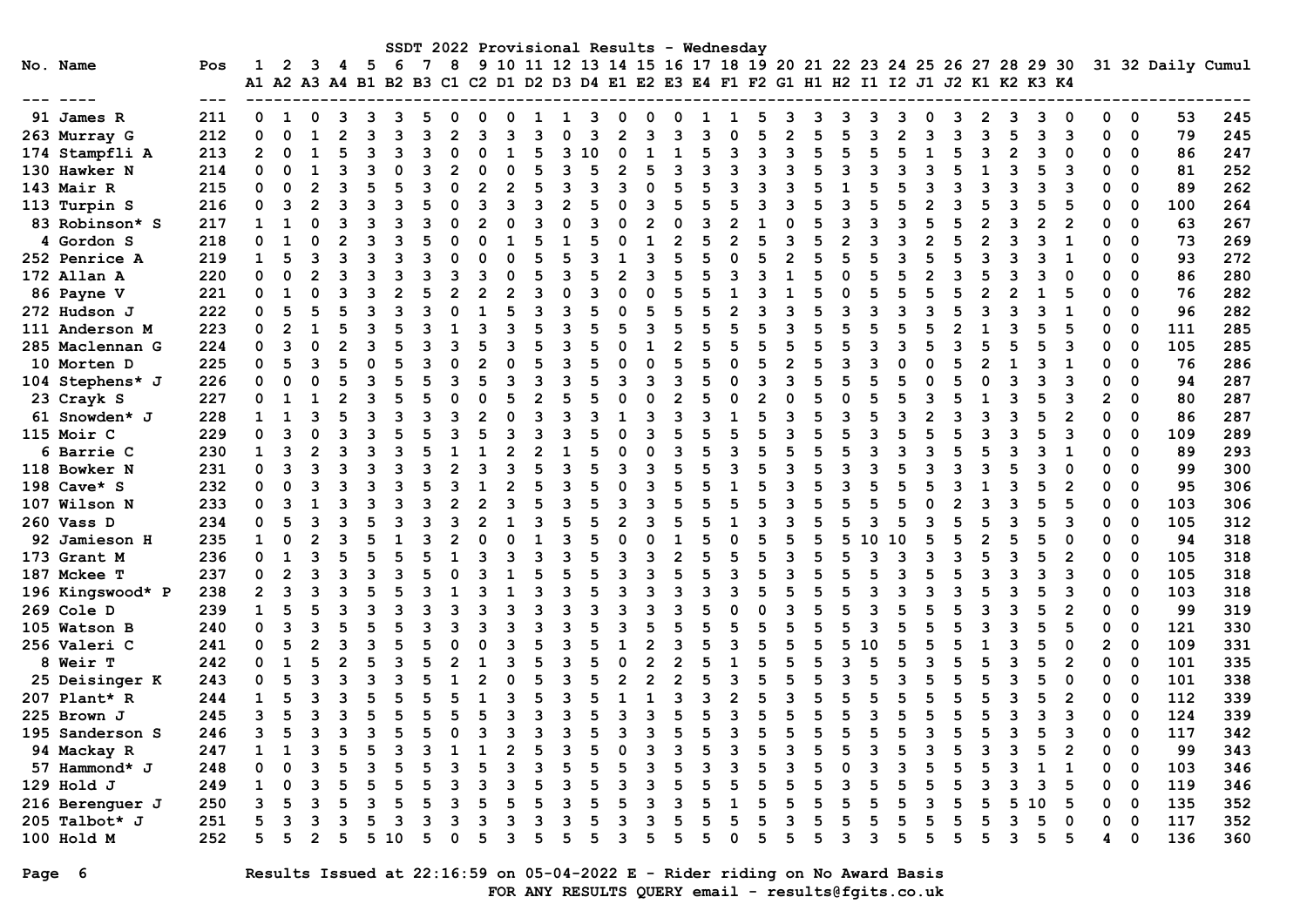| SSDT 2022 Provisional Results - Wednesday<br>9 10 11 12 13 14 15 16 17 18 19 20 21 22 23 24 25 26 27 28 29 30<br>No. Name<br>31 32 Daily Cumul |                      |     |                      |              |                |   |     |    |  |    |  |  |                |   |   |   |   |   |  |                                                                   |   |  |   |  |   |   |    |              |   |                         |     |     |
|------------------------------------------------------------------------------------------------------------------------------------------------|----------------------|-----|----------------------|--------------|----------------|---|-----|----|--|----|--|--|----------------|---|---|---|---|---|--|-------------------------------------------------------------------|---|--|---|--|---|---|----|--------------|---|-------------------------|-----|-----|
|                                                                                                                                                |                      | Pos |                      | $\mathbf{2}$ | 3              | 4 | - 5 | 6  |  | 8  |  |  |                |   |   |   |   |   |  |                                                                   |   |  |   |  |   |   |    |              |   |                         |     |     |
|                                                                                                                                                |                      |     | A1 A2 A3 A4 B1 B2 B3 |              |                |   |     |    |  | C1 |  |  |                |   |   |   |   |   |  | C2 D1 D2 D3 D4 E1 E2 E3 E4 F1 F2 G1 H1 H2 I1 I2 J1 J2 K1 K2 K3 K4 |   |  |   |  |   |   |    |              |   |                         |     |     |
|                                                                                                                                                |                      |     |                      |              |                |   |     |    |  |    |  |  |                |   |   |   |   |   |  |                                                                   |   |  |   |  |   |   |    |              |   |                         |     |     |
|                                                                                                                                                | 91 James R           | 211 | 0                    |              |                |   |     |    |  |    |  |  |                |   |   |   |   |   |  |                                                                   |   |  |   |  |   |   |    |              |   | 0                       | 53  | 245 |
|                                                                                                                                                | 263 Murray G         | 212 | 0                    | $\Omega$     |                |   |     |    |  | 2  |  |  |                |   |   |   |   |   |  |                                                                   |   |  |   |  | ર |   |    | ิว           |   | $\mathbf 0$             | 79  | 245 |
|                                                                                                                                                | 174 Stampfli A       | 213 | $\overline{2}$       | $\Omega$     |                |   |     |    |  |    |  |  |                |   |   |   |   |   |  |                                                                   |   |  |   |  |   |   |    |              |   | 0                       | 86  | 247 |
|                                                                                                                                                | 130 Hawker N         | 214 | O                    |              |                |   |     |    |  |    |  |  |                |   |   |   |   |   |  |                                                                   |   |  |   |  |   |   |    |              |   | $\Omega$                | 81  | 252 |
|                                                                                                                                                | 143 Mair R           | 215 | O                    |              |                |   |     |    |  |    |  |  |                |   |   |   |   |   |  |                                                                   |   |  |   |  |   |   |    |              |   | $\Omega$                | 89  | 262 |
|                                                                                                                                                | 113 Turpin S         | 216 | O                    |              |                |   |     |    |  |    |  |  |                |   |   |   |   |   |  |                                                                   |   |  |   |  |   |   |    |              |   | $\Omega$                | 100 | 264 |
|                                                                                                                                                | 83 Robinson* S       | 217 | 1                    |              |                |   |     |    |  |    |  |  |                |   |   |   |   |   |  |                                                                   |   |  |   |  |   |   |    |              |   | 0                       | 63  | 267 |
|                                                                                                                                                | 4 Gordon S           | 218 | O                    |              |                |   |     |    |  |    |  |  |                |   |   |   |   |   |  |                                                                   |   |  |   |  | 2 |   |    |              |   | $\Omega$                | 73  | 269 |
|                                                                                                                                                | <b>252 Penrice A</b> | 219 | $\mathbf{1}$         |              |                |   |     |    |  |    |  |  |                |   |   |   |   |   |  |                                                                   |   |  | ٩ |  |   |   |    |              |   | $\Omega$                | 93  | 272 |
|                                                                                                                                                | 172 Allan A          | 220 | O                    | O            | $\mathfrak{p}$ |   |     |    |  |    |  |  |                |   |   |   |   |   |  |                                                                   |   |  |   |  |   |   |    |              |   | $\Omega$                | 86  | 280 |
|                                                                                                                                                | 86 Payne V           | 221 | 0                    | 1            | $\Omega$       |   |     |    |  |    |  |  |                |   |   |   |   |   |  |                                                                   |   |  |   |  |   |   |    |              |   | 0                       | 76  | 282 |
|                                                                                                                                                | 272 Hudson J         | 222 | 0                    |              |                |   |     |    |  |    |  |  |                |   |   |   |   |   |  |                                                                   |   |  |   |  |   |   |    |              |   | 0                       | 96  | 282 |
|                                                                                                                                                | 111 Anderson M       | 223 | O                    |              |                |   |     |    |  |    |  |  |                |   |   |   |   |   |  |                                                                   |   |  |   |  |   |   |    |              |   | $\Omega$                | 111 | 285 |
|                                                                                                                                                | 285 Maclennan G      | 224 | O                    |              |                |   |     |    |  |    |  |  |                |   |   |   |   |   |  |                                                                   |   |  |   |  |   |   |    |              |   | $\Omega$                | 105 | 285 |
|                                                                                                                                                | 10 Morten D          | 225 | 0                    |              |                |   |     |    |  |    |  |  |                |   |   |   |   |   |  |                                                                   |   |  |   |  |   |   |    |              |   | $\Omega$                | 76  | 286 |
|                                                                                                                                                | 104 Stephens* J      | 226 | 0                    |              |                |   | 3   |    |  |    |  |  | 3              |   |   |   |   |   |  |                                                                   |   |  |   |  |   |   |    |              |   | $\Omega$                | 94  | 287 |
|                                                                                                                                                | 23 Crayk S           | 227 | 0                    |              |                |   |     |    |  |    |  |  | 2              |   |   |   |   |   |  |                                                                   |   |  |   |  |   |   |    |              |   | $\Omega$                | 80  | 287 |
|                                                                                                                                                | 61 Snowden* J        | 228 | 1                    |              | 3              |   |     |    |  |    |  |  | ٩              |   |   |   | ٩ |   |  |                                                                   |   |  | ٩ |  |   |   |    | 2            |   | $\mathbf 0$             | 86  | 287 |
|                                                                                                                                                | 115 Moir C           | 229 | 0                    | 3            | $\Omega$       |   |     |    |  |    |  |  |                |   |   |   |   |   |  |                                                                   |   |  | 5 |  |   |   |    |              |   | $\Omega$                | 109 | 289 |
|                                                                                                                                                | 6 Barrie C           | 230 | $\mathbf{1}$         | 3            | $\overline{2}$ |   |     |    |  |    |  |  | $\mathfrak{p}$ |   |   |   |   |   |  |                                                                   |   |  |   |  |   |   |    |              |   | 0                       | 89  | 293 |
|                                                                                                                                                | 118 Bowker N         | 231 | 0                    |              |                |   |     |    |  |    |  |  |                |   |   |   |   |   |  |                                                                   |   |  |   |  |   |   |    |              |   | 0                       | 99  | 300 |
|                                                                                                                                                | 198 Cave* S          | 232 | O                    |              |                |   |     |    |  |    |  |  |                |   |   |   |   |   |  |                                                                   |   |  |   |  |   |   |    |              |   | $\Omega$                | 95  | 306 |
|                                                                                                                                                | 107 Wilson N         | 233 | O                    | ิว           |                |   |     |    |  |    |  |  |                |   |   | З |   |   |  |                                                                   |   |  |   |  |   |   |    |              |   | $\Omega$                | 103 | 306 |
|                                                                                                                                                | 260 Vass D           | 234 | O                    |              |                |   |     |    |  |    |  |  |                |   |   |   |   |   |  |                                                                   |   |  |   |  |   |   |    |              |   | $\Omega$                | 105 | 312 |
|                                                                                                                                                | 92 Jamieson H        | 235 | 1                    |              |                |   |     |    |  |    |  |  |                |   |   |   |   |   |  |                                                                   |   |  |   |  |   |   |    |              |   | 0                       | 94  | 318 |
|                                                                                                                                                | 173 Grant M          | 236 | O                    |              |                |   |     |    |  |    |  |  |                |   |   |   | 2 |   |  |                                                                   |   |  |   |  |   |   |    |              |   | 0                       | 105 | 318 |
|                                                                                                                                                | 187 Mckee T          | 237 | n                    |              |                |   |     |    |  |    |  |  |                |   |   |   |   |   |  |                                                                   |   |  | ٩ |  |   |   |    |              |   | 0                       | 105 | 318 |
|                                                                                                                                                | 196 Kingswood* P     | 238 | $\overline{2}$       | 3            |                |   |     |    |  |    |  |  |                |   |   |   |   |   |  |                                                                   |   |  |   |  |   |   |    |              |   | $\Omega$                | 103 | 318 |
|                                                                                                                                                | 269 Cole D           | 239 | $\mathbf{1}$         |              |                |   |     |    |  |    |  |  |                |   |   |   |   |   |  |                                                                   |   |  |   |  |   |   |    | 2            |   | 0                       | 99  | 319 |
|                                                                                                                                                | 105 Watson B         | 240 | 0                    |              |                |   |     |    |  |    |  |  |                |   |   |   |   |   |  |                                                                   |   |  |   |  |   |   |    |              |   | 0                       | 121 | 330 |
|                                                                                                                                                | 256 Valeri C         | 241 | O                    |              |                |   |     |    |  |    |  |  |                |   |   |   |   |   |  |                                                                   |   |  |   |  |   |   |    |              |   | 0                       | 109 | 331 |
|                                                                                                                                                | <b>8 Weir T</b>      | 242 | ი                    |              |                |   |     |    |  |    |  |  |                |   |   |   |   |   |  |                                                                   |   |  |   |  |   |   |    |              |   | $\Omega$                | 101 | 335 |
|                                                                                                                                                | 25 Deisinger K       | 243 | O                    |              |                |   |     |    |  |    |  |  |                |   |   |   |   |   |  |                                                                   |   |  |   |  |   |   |    |              |   | $\Omega$                | 101 | 338 |
|                                                                                                                                                | 207 Plant* R         | 244 | 1                    |              |                |   |     |    |  |    |  |  |                |   |   |   |   |   |  |                                                                   |   |  |   |  |   |   |    |              |   | $\Omega$                | 112 | 339 |
|                                                                                                                                                | 225 Brown J          | 245 | 3                    |              |                |   |     |    |  |    |  |  | 3              |   |   |   |   |   |  |                                                                   |   |  | 5 |  |   |   |    | 3            |   | $\mathbf 0$             | 124 | 339 |
|                                                                                                                                                | 195 Sanderson S      | 246 | 3                    |              | 3              |   |     |    |  |    |  |  |                |   |   |   |   |   |  |                                                                   |   |  |   |  |   | ີ |    | 3            |   | $\overline{\mathbf{0}}$ | 117 | 342 |
|                                                                                                                                                | 94 Mackay R          | 247 | $\mathbf{1}$         | $\mathbf{1}$ | ٦              |   | 5   |    |  |    |  |  | 5              |   |   |   |   |   |  |                                                                   |   |  |   |  |   |   |    | $\mathbf{2}$ | 0 | $\mathbf 0$             | 99  | 343 |
|                                                                                                                                                | 57 Hammond* J        | 248 | 0                    |              |                |   |     |    |  |    |  |  |                |   |   |   |   |   |  |                                                                   |   |  |   |  |   |   |    | 1            | 0 | 0                       | 103 | 346 |
|                                                                                                                                                | 129 Hold J           | 249 | 1                    | 0            | 3              |   | 5   |    |  | 3  |  |  |                |   |   |   |   |   |  |                                                                   |   |  |   |  |   |   | 3  | 5            | 0 | 0                       | 119 | 346 |
|                                                                                                                                                | 216 Berenguer J      | 250 | 3                    | 5            | 3              |   | з   |    |  | 3  |  |  | 5              |   |   |   |   |   |  |                                                                   |   |  |   |  |   | 5 | 10 | 5            | 0 | 0                       | 135 | 352 |
|                                                                                                                                                | 205 Talbot* J        | 251 | 5                    | 3            | 3              |   | 5   | 3  |  | 3  |  |  | 3              |   |   | 3 | 5 |   |  |                                                                   |   |  |   |  |   |   | 5  | 0            | 0 | $\mathbf 0$             | 117 | 352 |
|                                                                                                                                                | 100 Hold M           | 252 | 5                    | 5            | 2              | 5 | 5   | 10 |  | 0  |  |  | 5              | 5 | 5 | 3 | 5 | 5 |  |                                                                   | 5 |  | 5 |  | 5 |   | 5  | 5            | 4 | 0                       | 136 | 360 |

# Page 6 Results Issued at 22:16:59 on 05-04-2022 E - Rider riding on No Award Basis FOR ANY RESULTS QUERY email - results@fgits.co.uk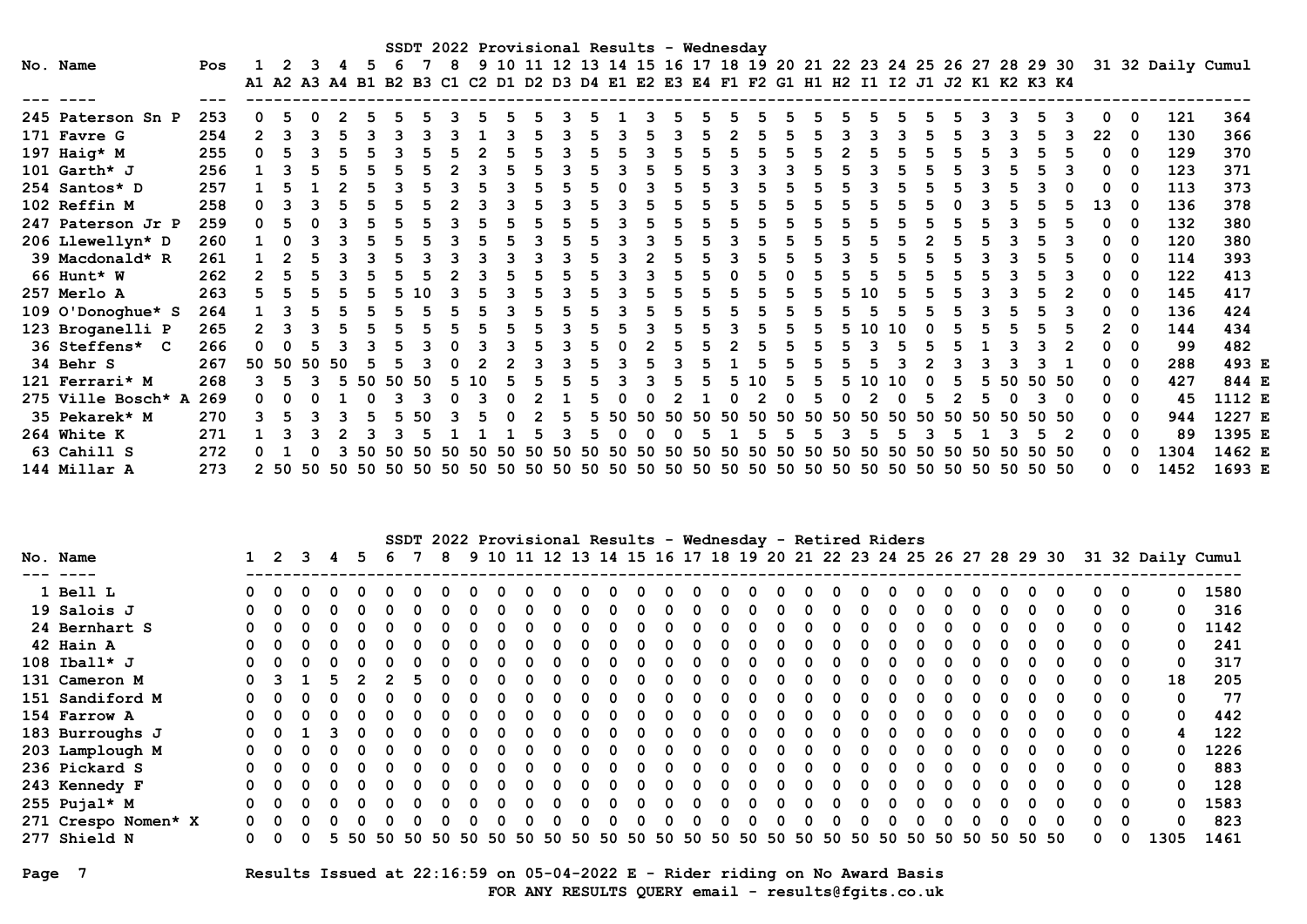| SSDT 2022 Provisional Results - Wednesday<br>9 10 11 12 13 14 15 16 17 18 19 20 21 22 23 24 25 26 27 28 29 30 31 32 Daily Cumul<br>No. Name |                    |     |                                                                                           |  |  |     |    |    |    |  |          |  |  |    |     |    |    |     |     |     |     |     |     |    |    |     |     |    |    |    |       |    |              |      |        |
|---------------------------------------------------------------------------------------------------------------------------------------------|--------------------|-----|-------------------------------------------------------------------------------------------|--|--|-----|----|----|----|--|----------|--|--|----|-----|----|----|-----|-----|-----|-----|-----|-----|----|----|-----|-----|----|----|----|-------|----|--------------|------|--------|
|                                                                                                                                             |                    | Pos |                                                                                           |  |  |     |    |    |    |  |          |  |  |    |     |    |    |     |     |     |     |     |     |    |    |     |     |    |    |    |       |    |              |      |        |
|                                                                                                                                             |                    |     | A1 A2 A3 A4 B1 B2 B3 C1 C2 D1 D2 D3 D4 E1 E2 E3 E4 F1 F2 G1 H1 H2 I1 I2 J1 J2 K1 K2 K3 K4 |  |  |     |    |    |    |  |          |  |  |    |     |    |    |     |     |     |     |     |     |    |    |     |     |    |    |    |       |    |              |      |        |
|                                                                                                                                             |                    |     |                                                                                           |  |  |     |    |    |    |  |          |  |  |    |     |    |    |     |     |     |     |     |     |    |    |     |     |    |    |    |       |    |              |      |        |
|                                                                                                                                             | 245 Paterson Sn P  | 253 | 0                                                                                         |  |  |     |    |    |    |  |          |  |  |    |     |    |    |     |     |     |     |     |     |    |    |     |     |    |    |    |       |    | 0            | 121  | 364    |
|                                                                                                                                             | 171 Favre G        | 254 | $\overline{2}$                                                                            |  |  |     |    |    |    |  |          |  |  |    |     |    |    |     |     |     |     |     |     |    |    |     |     |    |    |    |       | 22 | 0            | 130  | 366    |
|                                                                                                                                             | 197 Haig* M        | 255 | $\Omega$                                                                                  |  |  |     |    |    |    |  |          |  |  |    |     |    |    |     |     |     |     |     |     |    |    |     |     |    |    |    |       |    | 0            | 129  | 370    |
|                                                                                                                                             | 101 $Garth*$ J     | 256 |                                                                                           |  |  |     |    |    |    |  |          |  |  |    |     |    |    |     |     |     |     |     |     |    |    |     |     |    |    |    |       |    | 0            | 123  | 371    |
|                                                                                                                                             | 254 Santos* D      | 257 |                                                                                           |  |  |     |    |    |    |  |          |  |  |    |     |    |    |     |     |     |     |     |     |    |    |     |     |    |    |    |       |    | 0            | 113  | 373    |
|                                                                                                                                             | 102 Reffin M       | 258 | 0                                                                                         |  |  |     |    |    |    |  |          |  |  |    |     |    |    |     |     |     |     |     |     |    |    |     |     |    |    |    |       | 13 | 0            | 136  | 378    |
|                                                                                                                                             | 247 Paterson Jr P  | 259 | 0                                                                                         |  |  |     |    |    |    |  |          |  |  |    |     |    |    |     |     |     |     |     |     |    |    |     |     |    |    |    |       |    | <sup>0</sup> | 132  | 380    |
|                                                                                                                                             | 206 Llewellyn* D   | 260 |                                                                                           |  |  |     |    |    |    |  |          |  |  |    |     |    |    |     |     |     |     |     |     |    |    |     |     |    |    |    |       |    | 0            | 120  | 380    |
|                                                                                                                                             | 39 Macdonald* R    | 261 |                                                                                           |  |  |     |    |    |    |  |          |  |  |    |     |    |    |     |     |     |     |     |     |    |    |     |     |    |    |    |       |    | <sup>0</sup> | 114  | 393    |
|                                                                                                                                             | 66 Hunt* W         | 262 | $\mathcal{P}$                                                                             |  |  |     |    |    |    |  |          |  |  |    |     |    |    |     |     |     |     |     |     |    |    |     |     |    |    |    |       |    | 0            | 122  | 413    |
|                                                                                                                                             | 257 Merlo A        | 263 |                                                                                           |  |  |     |    |    |    |  |          |  |  |    |     |    |    |     |     |     |     |     |     |    |    |     |     |    |    |    |       |    | <sup>0</sup> | 145  | 417    |
|                                                                                                                                             | 109 O'Donoghue* S  | 264 |                                                                                           |  |  |     |    |    |    |  |          |  |  |    |     |    |    |     |     |     |     |     |     |    |    |     |     |    |    |    |       |    | <sup>0</sup> | 136  | 424    |
|                                                                                                                                             | 123 Broganelli P   | 265 |                                                                                           |  |  |     |    |    |    |  |          |  |  |    |     |    |    |     |     |     |     |     |     |    |    |     |     |    |    |    |       |    | <sup>0</sup> | 144  | 434    |
|                                                                                                                                             | 36 Steffens* C     | 266 |                                                                                           |  |  |     |    |    |    |  |          |  |  |    |     |    |    |     |     |     |     |     |     |    |    |     |     |    |    |    |       |    | 0            | 99   | 482    |
|                                                                                                                                             | 34 Behr S          | 267 | 50 50 50                                                                                  |  |  | -50 |    |    |    |  |          |  |  |    |     |    |    |     |     |     |     |     |     |    |    |     |     |    |    |    |       |    | <sup>0</sup> | 288  | 493 E  |
|                                                                                                                                             | 121 Ferrari* M     | 268 |                                                                                           |  |  |     | 50 | 50 | 50 |  | $\Omega$ |  |  |    |     |    |    |     |     |     | 1 N |     |     |    |    |     |     |    |    | 50 | 50 50 |    | $\Omega$     | 427  | 844 E  |
|                                                                                                                                             | 275 Ville Bosch* A | 269 |                                                                                           |  |  |     |    |    |    |  |          |  |  |    |     |    |    |     |     |     |     |     |     |    |    |     |     |    |    |    |       |    | 0            | 45   | 1112 E |
|                                                                                                                                             | 35 Pekarek* M      | 270 |                                                                                           |  |  |     |    |    | 50 |  |          |  |  |    |     |    |    |     |     |     | 50. | 50  |     | 50 | 50 |     |     |    |    |    | 50 50 |    | 0            | 944  | 1227 E |
|                                                                                                                                             | 264 White K        | 271 |                                                                                           |  |  |     |    |    |    |  |          |  |  |    |     |    |    |     |     |     |     |     |     |    |    |     |     |    |    |    |       |    | 0            | 89   | 1395 E |
|                                                                                                                                             | 63 Cahill S        | 272 |                                                                                           |  |  |     |    |    |    |  |          |  |  | 50 | -50 | 50 | 50 | 50. | 50. | -50 | 50  | 50. | -50 | 50 | 50 | 50. | 50. | 50 | 50 |    | 50 50 |    |              | 1304 | 1462 E |
|                                                                                                                                             | 144 Millar A       | 273 |                                                                                           |  |  |     |    |    |    |  |          |  |  |    |     |    |    |     |     |     |     |     |     |    |    |     |     |    |    |    |       |    | <sup>0</sup> | 1452 | 1693 E |

| SSDT 2022 Provisional Results - Wednesday - Retired Riders |          |            |  |       |    |    |              |    |    |              |    |    |    |    |       |              |              |              |             |              |    |    |    |    |    |       |              |          |                         |                                                                                    |      |
|------------------------------------------------------------|----------|------------|--|-------|----|----|--------------|----|----|--------------|----|----|----|----|-------|--------------|--------------|--------------|-------------|--------------|----|----|----|----|----|-------|--------------|----------|-------------------------|------------------------------------------------------------------------------------|------|
| No. Name                                                   |          | $1\quad 2$ |  | 3 4 5 |    | 6  |              | -8 |    |              |    |    |    |    |       |              |              |              |             |              |    |    |    |    |    |       |              |          |                         | 9 10 11 12 13 14 15 16 17 18 19 20 21 22 23 24 25 26 27 28 29 30 31 32 Daily Cumul |      |
|                                                            |          |            |  |       |    |    |              |    |    |              |    |    |    |    |       |              |              |              |             |              |    |    |    |    |    |       |              |          |                         |                                                                                    |      |
| 1 Bell L                                                   |          | n n        |  |       |    |    | <sup>0</sup> |    |    | <sup>n</sup> |    |    | n. | n  | - 0   | 0            | <sup>n</sup> | <sup>0</sup> |             | <sup>0</sup> |    |    | 0  | 0  |    |       | 0            | $\Omega$ | 0                       | 0                                                                                  | 1580 |
| 19 Salois J                                                |          | ი ი        |  |       |    |    |              |    |    |              |    |    |    |    |       | $\Omega$     | <sup>n</sup> |              |             | <sup>n</sup> |    |    |    |    |    |       | n            |          | $0\quad 0$              | 0                                                                                  | 316  |
| 24 Bernhart S                                              |          |            |  |       |    |    |              |    |    |              |    |    |    |    |       | $\Omega$     |              |              |             |              |    |    |    |    |    |       | n            |          | $0\quad 0$              | 0                                                                                  | 1142 |
| 42 Hain A                                                  |          |            |  |       |    |    |              |    |    |              |    |    |    |    |       | <sup>0</sup> |              |              |             |              |    |    |    |    |    |       | n            |          | $0\quad 0$              | 0                                                                                  | 241  |
| 108 Iball* $J$                                             |          |            |  |       |    |    |              |    |    |              |    |    |    |    |       | <sup>0</sup> |              |              |             |              |    |    |    |    |    |       | 0            |          | $0\quad 0$              | $\mathbf 0$                                                                        | 317  |
| 131 Cameron M                                              | $\Omega$ |            |  |       |    |    |              |    |    |              |    |    |    |    |       | <sup>0</sup> |              |              |             |              |    |    |    |    |    |       | n            | 0        | - 0                     | 18                                                                                 | 205  |
| 151 Sandiford M                                            |          |            |  |       |    |    |              |    |    |              |    |    |    |    |       | <sup>n</sup> |              |              |             |              |    |    |    |    |    |       | $\Omega$     | 0        | $\overline{\mathbf{0}}$ | $\mathbf 0$                                                                        | 77   |
| 154 Farrow A                                               |          |            |  |       |    |    |              |    |    |              |    |    |    |    |       | <sup>n</sup> |              |              |             |              |    |    |    |    |    |       | $\Omega$     | 0        | - 0                     | $\mathbf{0}$                                                                       | 442  |
| 183 Burroughs J                                            | $\Omega$ |            |  |       |    |    |              |    |    |              |    |    |    |    |       | <sup>n</sup> |              |              |             | <sup>n</sup> |    |    |    |    |    |       | $\Omega$     | 0        | 0                       | 4                                                                                  | 122  |
| 203 Lamplough M                                            |          |            |  |       |    |    |              |    |    |              |    |    |    |    |       | <sup>n</sup> |              |              |             |              |    |    |    |    |    |       | <sup>0</sup> | 0        | 0                       | $\Omega$                                                                           | 1226 |
| 236 Pickard S                                              |          |            |  |       |    |    |              |    |    |              |    |    |    |    |       | <sup>n</sup> |              |              |             |              |    |    |    |    |    |       | $\Omega$     | 0        | 0                       | $\mathbf 0$                                                                        | 883  |
| 243 Kennedy F                                              |          |            |  |       |    |    |              |    |    |              |    |    |    |    |       | <sup>n</sup> |              |              |             |              |    |    |    |    |    |       | <sup>0</sup> | 0        | 0                       | $\Omega$                                                                           | 128  |
| 255 Pujal* M                                               | 0        |            |  |       |    |    |              |    |    |              |    |    |    |    |       | n            |              |              |             | <sup>n</sup> |    |    |    |    |    |       | n            | 0        | - 0                     | $\Omega$                                                                           | 1583 |
| 271 Crespo Nomen* X                                        | ი ი      |            |  |       |    |    |              |    |    |              |    |    |    |    |       | <sup>0</sup> |              |              |             | <sup>n</sup> |    |    | n. |    |    |       | n            | $\Omega$ | - റ                     | $\Omega$                                                                           | 823  |
| 277 Shield N                                               | <u>n</u> |            |  | 5.    | 50 | 50 | 50 50        |    | 50 | 50           | 50 | 50 | 50 | 50 | 50 50 | 50 50 50     |              |              | 50 50 50 50 |              | 50 | 50 | 50 | 50 | 50 | 50 50 |              | 0        | 0                       | 1305                                                                               | 1461 |

## Page 7 Results Issued at 22:16:59 on 05-04-2022 E - Rider riding on No Award Basis FOR ANY RESULTS QUERY email - results@fgits.co.uk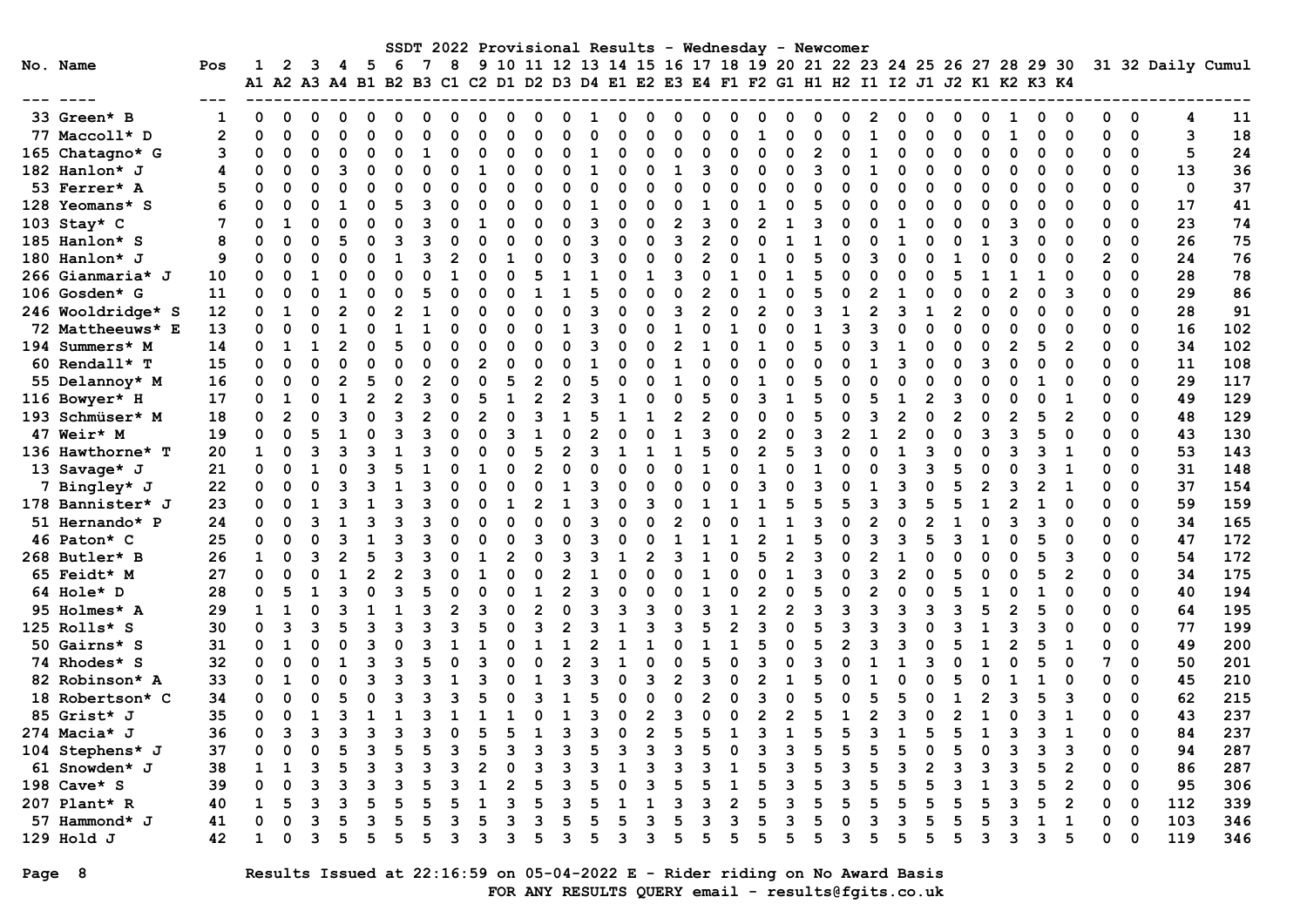|                   |                |              |                |              |   |                |          |   |                |          |   |                |                |    |              |              |                |                | SSDT 2022 Provisional Results - Wednesday - Newcomer                                                                                                          |                |          |                |              |                |                |              |                |                |                |                |                |              |             |                   |     |
|-------------------|----------------|--------------|----------------|--------------|---|----------------|----------|---|----------------|----------|---|----------------|----------------|----|--------------|--------------|----------------|----------------|---------------------------------------------------------------------------------------------------------------------------------------------------------------|----------------|----------|----------------|--------------|----------------|----------------|--------------|----------------|----------------|----------------|----------------|----------------|--------------|-------------|-------------------|-----|
| No. Name          | Pos            | 1            | 2              | 3            | 4 | -5             | 6        | 7 | 8              |          |   |                |                |    |              |              |                |                | 9 10 11 12 13 14 15 16 17 18 19 20 21 22 23 24 25 26 27 28 29 30<br>A1 A2 A3 A4 B1 B2 B3 C1 C2 D1 D2 D3 D4 E1 E2 E3 E4 F1 F2 G1 H1 H2 I1 I2 J1 J2 K1 K2 K3 K4 |                |          |                |              |                |                |              |                |                |                |                |                |              |             | 31 32 Daily Cumul |     |
|                   |                |              |                |              |   |                |          |   |                |          |   |                |                |    |              |              |                |                |                                                                                                                                                               |                |          |                |              |                |                |              |                |                |                |                |                |              |             |                   |     |
| 33 Green* B       | 1              | 0            | 0              | 0            | 0 | 0              | $\Omega$ |   | 0              | O        | O | n              | <sup>0</sup>   | 1  | 0            | <sup>0</sup> | 0              | O              | 0                                                                                                                                                             | $\Omega$       | O        | O              | 0            | 2              | 0              | 0            | n              | 0              | 1              | O              | 0              | $\Omega$     | 0           | 4                 | 11  |
| 77 Maccoll* D     | $\overline{2}$ | $\Omega$     | $\Omega$       | $\Omega$     |   | $\Omega$       | $\Omega$ |   | $\Omega$       | n        | ი | $\Omega$       |                | O  |              |              | O              | r              | O                                                                                                                                                             | 1              |          | n              | O            |                | 0              | O            |                | O              |                | 0              | $\Omega$       | 0            | 0           | 3                 | 18  |
| 165 Chatagno* G   | 3              | O            | $\Omega$       | $\Omega$     |   | $\Omega$       | $\Omega$ |   | 0              |          | O | $\Omega$       | O              | 1  | $\Omega$     |              | $\Omega$       | O              |                                                                                                                                                               | O              |          | $\overline{2}$ | 0            |                | 0              | 0            |                | $\Omega$       | O              | 0              | 0              | 0            | $\Omega$    | $5\phantom{.0}$   | 24  |
| 182 Hanlon* J     | 4              | $\Omega$     | O              | $\Omega$     |   | $\Omega$       | $\Omega$ |   | $\Omega$       |          | O | $\Omega$       | $\Omega$       | -1 | O            | O            | $\mathbf{1}$   | З              | O                                                                                                                                                             | $\Omega$       | O        | 3              | $\Omega$     | $\mathbf{1}$   | 0              | $\Omega$     |                | $\Omega$       | $\Omega$       | O              | $\Omega$       | $\Omega$     | $\mathbf 0$ | 13                | 36  |
| 53 Ferrer* A      | 5              | O            | $\Omega$       | $\Omega$     | O | $\Omega$       | $\Omega$ |   | $\Omega$       | n        | O | $\Omega$       | $\Omega$       | O  | $\Omega$     | O            | $\Omega$       | O              | O                                                                                                                                                             | $\Omega$       | 0        | $\Omega$       | $\Omega$     | O              | 0              | $\Omega$     | ∩              | $\Omega$       | $\Omega$       | O              | $\Omega$       | $\Omega$     | $\Omega$    | $\mathbf 0$       | 37  |
| 128 Yeomans* S    | 6              | $\Omega$     | $\Omega$       | $\Omega$     |   | 0              | 5        |   | $\Omega$       |          | O | $\Omega$       | $\Omega$       |    | $\Omega$     | $\Omega$     | $\Omega$       |                | O                                                                                                                                                             | 1              | $\Omega$ | 5              | $\Omega$     | O              | 0              | $\Omega$     | ∩              | $\Omega$       | O              | $\Omega$       | $\Omega$       | 0            | $\Omega$    | 17                | 41  |
| 103 Stay* C       | 7              | 0            | $\mathbf{1}$   | $\Omega$     |   | 0              | $\Omega$ |   | O              |          |   | $\Omega$       | O              | 3  | $\Omega$     | O            | $\overline{2}$ | 3              |                                                                                                                                                               | $\overline{2}$ |          | 3              | $\Omega$     | O              | $\mathbf{1}$   | 0            |                | 0              | З              | $\Omega$       | $\mathbf 0$    | 0            | 0           | 23                | 74  |
| 185 Hanlon* S     | 8              | $\Omega$     | O              | $\Omega$     |   | $\Omega$       | 3        |   | O              |          | ი | $\Omega$       | O              | ٩  | $\Omega$     |              | 3              | $\overline{2}$ |                                                                                                                                                               | O              | -1       |                | $\Omega$     | O              | 1              | 0            |                | $\mathbf{1}$   | 3              | O              | $\Omega$       | 0            | $\Omega$    | 26                | 75  |
| 180 Hanlon* $J$   | 9              | $\Omega$     | $\Omega$       | $\Omega$     |   | O              | 1        |   | 2              |          |   | O              | O              | ٩  | O            | O            | $\Omega$       | 2              |                                                                                                                                                               |                | O        | 5              | ∩            |                | 0              | 0            |                | $\Omega$       |                | 0              | $\Omega$       | $\mathbf{2}$ | $\Omega$    | 24                | 76  |
| 266 Gianmaria* J  | 10             | $\Omega$     | $\Omega$       |              |   | $\Omega$       | $\Omega$ |   | 1              |          |   |                | 1              |    | $\Omega$     |              | 3              | $\Omega$       |                                                                                                                                                               | $\Omega$       |          | 5              | $\Omega$     |                | 0              | 0            |                | 1              |                | 1              | 0              | 0            | $\mathbf 0$ | 28                | 78  |
| 106 Gosden* G     | 11             | $\mathbf 0$  | $\Omega$       | $\Omega$     |   | $\Omega$       | $\Omega$ |   | 0              |          | O | 1              |                | 5  | $\Omega$     |              | $\Omega$       |                |                                                                                                                                                               | 1              | O        | 5              | ∩            |                | 1              | O            |                | $\Omega$       |                | $\Omega$       | 3              | 0            | $\Omega$    | 29                | 86  |
| 246 Wooldridge* S | 12             | $\Omega$     | $\mathbf{1}$   | $\Omega$     | 2 | $\Omega$       | 2        |   | $\Omega$       | $\Omega$ | n | $\Omega$       | $\Omega$       | २  | $\Omega$     | O            | 3              | $\mathcal{P}$  | O                                                                                                                                                             | $\overline{2}$ | O        | २              | $\mathbf{1}$ | 2              | 3              | $\mathbf{1}$ | $\mathfrak{p}$ | $\Omega$       | $\Omega$       | $\Omega$       | $\Omega$       | $\Omega$     | $\Omega$    | 28                | 91  |
| 72 Mattheeuws* E  | 13             | 0            | $\mathbf 0$    | $\Omega$     |   | $\Omega$       |          |   | O              | n        | ი | $\Omega$       | 1              | ٩  | $\Omega$     | O            | $\mathbf{1}$   | O              |                                                                                                                                                               | $\Omega$       | O        |                | 3            |                | $\Omega$       | $\Omega$     |                | 0              | O              | $\Omega$       | $\Omega$       | 0            | $\Omega$    | 16                | 102 |
| 194 Summers* M    | 14             | 0            | 1              |              |   | $\Omega$       |          |   | O              |          | O | $\Omega$       | ∩              | 3  | O            |              | $\mathcal{P}$  |                |                                                                                                                                                               |                |          | 5              | O            |                |                |              |                | O              | 2              | 5              | $\overline{2}$ | 0            | $\Omega$    | 34                | 102 |
| 60 Rendall* T     | 15             | 0            | 0              | $\Omega$     |   | 0              | $\Omega$ |   | 0              |          |   | $\Omega$       | O              |    | $\Omega$     |              | 1              | C              |                                                                                                                                                               | O              |          | ŋ              | n            |                | 3              | 0            |                | 3              |                | 0              | $\Omega$       | $\Omega$     | $\mathbf 0$ | 11                | 108 |
| 55 Delannoy* M    | 16             | $\Omega$     | O              | $\Omega$     | 2 | 5              | $\Omega$ |   | $\Omega$       | n        | 5 | $\overline{2}$ | O              | 5  | $\Omega$     |              | 1              | O              |                                                                                                                                                               | 1              | O        | 5              | ∩            | O              | O              | 0            |                | $\Omega$       |                | 1              | $\Omega$       | $\Omega$     | $\mathbf 0$ | 29                | 117 |
| 116 Bowyer* H     | 17             | $\Omega$     | $\mathbf{1}$   |              |   | $\mathfrak{p}$ |          |   | O              | 5        |   | $\mathfrak{p}$ |                | ٩  |              |              | O              | 5              |                                                                                                                                                               | २              |          | 5              | $\Omega$     |                | $\mathbf{1}$   |              |                | $\Omega$       | O              | $\Omega$       |                | 0            | $\Omega$    | 49                | 129 |
| 193 Schmüser* M   | 18             | 0            | $\overline{2}$ |              |   | $\Omega$       | Р        |   | O              |          |   | 3              |                | 5  |              |              | $\overline{2}$ | 2              | $\Omega$                                                                                                                                                      | $\Omega$       |          |                | $\Omega$     |                | $\overline{2}$ | $\Omega$     |                | $\Omega$       | $\mathfrak{p}$ | 5              | $\overline{2}$ | 0            | $\Omega$    | 48                | 129 |
| 47 Weir* M        | 19             | 0            | $\mathbf 0$    | 5            |   | $\Omega$       |          |   | O              |          | ٩ | 1              |                | 2  | $\Omega$     |              | $\mathbf{1}$   | ٩              | n                                                                                                                                                             | $\mathfrak{p}$ | $\Omega$ | ٩              | 2            | $\mathbf{1}$   | $\mathfrak{p}$ |              |                | २              |                | 5              | $\Omega$       | O            | $\Omega$    | 43                | 130 |
| 136 Hawthorne* T  | 20             | $\mathbf{1}$ | $\Omega$       | ิว           |   | 3              |          |   | U              |          |   | 5              | 2              | 3  | 1            |              | 1              | 5              | O                                                                                                                                                             | $\overline{2}$ | 5        | 3              | $\Omega$     | ŋ              | 1              | ว            |                | $\Omega$       | 3              | 3              | 1              | ∩            | $\Omega$    | 53                | 143 |
| 13 Savage* $J$    | 21             | $\Omega$     | $\Omega$       | $\mathbf{1}$ |   | 3              | 5        |   | O              |          | O | $\mathfrak{p}$ | O              | ∩  | O            |              | $\Omega$       |                | U                                                                                                                                                             | $\mathbf{1}$   | O        |                | ∩            | U              | 3              | ٩            |                | $\Omega$       | O              | 3              | 1              | 0            | $\mathbf 0$ | 31                | 148 |
| 7 Bingley* J      | 22             | $\Omega$     | $\Omega$       |              |   | २              |          |   | O              |          |   | $\Omega$       |                | 3  | $\Omega$     |              | O              |                |                                                                                                                                                               | २              |          | ٩              |              |                | २              |              |                | $\mathfrak{p}$ |                | $\overline{2}$ |                | 0            | $\Omega$    | 37                | 154 |
| 178 Bannister* J  | 23             | $\Omega$     | $\Omega$       | 1            |   |                |          |   | O              |          |   | 2              | 1              | ٩  | $\Omega$     |              | $\Omega$       |                |                                                                                                                                                               |                |          | 5              | 5            | ٩              | 3              | 5            |                | $\mathbf{1}$   |                |                | ∩              | O            | $\mathbf 0$ | 59                | 159 |
| 51 Hernando* P    | 24             | $\Omega$     | $\Omega$       | 3            |   | २              | Р        |   | O              |          | O | $\Omega$       | O              | ٩  | $\Omega$     |              | $\mathfrak{p}$ |                |                                                                                                                                                               | $\mathbf{1}$   |          | ٩              | $\Omega$     | $\mathfrak{p}$ | $\Omega$       |              |                | $\Omega$       | ٦              | ٩              | $\Omega$       | 0            | $\Omega$    | 34                | 165 |
| 46 Paton* C       | 25             | $\mathbf 0$  | $\Omega$       | $\Omega$     |   |                |          |   | U              |          | O | २              | ∩              | २  | n            |              |                |                |                                                                                                                                                               | 2              |          | 5              | $\Omega$     | ર              | २              |              |                |                |                | 5              |                | 0            | $\Omega$    | 47                | 172 |
| 268 Butler* B     | 26             | $\mathbf{1}$ | $\mathbf 0$    | 3            |   | 5              | 3        |   | O              |          |   | $\Omega$       | 3              | 3  | $\mathbf{1}$ |              | 3              |                | $\Omega$                                                                                                                                                      |                |          | 3              | $\Omega$     |                |                |              |                | O              |                |                | 3              | 0            | $\Omega$    | 54                | 172 |
| 65 Feidt* M       | 27             | $\mathbf 0$  | $\Omega$       | $\Omega$     |   | $\overline{2}$ |          |   | O              |          |   | $\Omega$       |                |    | $\Omega$     |              | O              | 1              |                                                                                                                                                               | $\Omega$       | -1       | ٩              | ∩            | 3              | $\overline{2}$ |              |                | $\Omega$       |                | 5              | $\overline{2}$ | 0            | $\mathbf 0$ | 34                | 175 |
| 64 Hole* D        | 28             | $\Omega$     | 5              | 1            |   | $\Omega$       | 3        |   | O              |          | n | $\mathbf{1}$   | 2              | ٩  | $\Omega$     |              | $\Omega$       | 1              | O                                                                                                                                                             | $\overline{2}$ | $\Omega$ | 5              | $\Omega$     | 2              | $\Omega$       | O            |                | 1              |                |                | $\Omega$       | $\Omega$     | $\Omega$    | 40                | 194 |
| 95 Holmes* A      | 29             | $\mathbf{1}$ | $\mathbf{1}$   | $\Omega$     |   |                |          |   | $\overline{2}$ | ٩        | O | $\overline{2}$ | O              | 3  | 3            |              | $\Omega$       | 3              | 1                                                                                                                                                             | $\overline{2}$ |          | ٩              | 3            | २              | 3              | Р            | З              | 5              |                | 5              | ∩              | O            | $\Omega$    | 64                | 195 |
| 125 Rolls* S      | 30             | $\Omega$     | 3              | В            |   | २              | २        |   | ٩              |          |   | 3              |                | ٩  |              |              | ٩              | 5              | $\mathfrak{p}$                                                                                                                                                | २              |          |                | २            |                | 3              |              |                |                |                | ٩              | $\Omega$       | $\Omega$     | $\Omega$    | 77                | 199 |
| 50 Gairns* S      | 31             | $\mathbf 0$  | $\mathbf{1}$   | $\Omega$     |   | २              | O        |   | 1              |          |   | 1              | 1              | 2  |              |              | 0              |                |                                                                                                                                                               | 5              |          | 5              | 2            |                | २              | O            |                | $\mathbf{1}$   |                | 5              | $\mathbf{1}$   | 0            | $\mathbf 0$ | 49                | 200 |
| 74 Rhodes* S      | 32             | $\Omega$     | $\Omega$       | $\Omega$     |   | 3              | 3        |   | $\Omega$       |          |   | $\Omega$       | $\overline{2}$ | 3  | $\mathbf{1}$ | n            | $\Omega$       | 5              | U                                                                                                                                                             | २              | U        | ٩              | $\Omega$     |                | 1              | Р            |                | 1              |                | 5              | $\Omega$       | 7            | $\Omega$    | 50                | 201 |
| 82 Robinson* A    | 33             | 0            | $\mathbf{1}$   | $\Omega$     |   | 3              | ٩        |   | 1              |          |   | 1              |                | 3  | $\Omega$     |              | $\overline{2}$ | 3              | O                                                                                                                                                             | $\mathfrak{p}$ |          | 5              | O            |                | $\Omega$       | O            |                | $\Omega$       |                |                | $\Omega$       | 0            | $\mathbf 0$ | 45                | 210 |
| 18 Robertson* C   | 34             | 0            | $\Omega$       | $\Omega$     |   | $\Omega$       |          |   | २              |          |   | 3              |                |    | $\Omega$     | $\Omega$     | $\Omega$       | 2              |                                                                                                                                                               | 3              |          |                | $\Omega$     |                | 5              |              |                | $\overline{2}$ |                |                | 3              | $\Omega$     | $\mathbf 0$ | 62                | 215 |
| 85 Grist* J       | 35             | $\Omega$     | O              | 1            |   |                |          |   |                |          |   |                |                | ٩  | $\Omega$     |              | 3              | O              |                                                                                                                                                               | $\mathfrak{p}$ |          | 5              | 1            |                | २              |              |                | 1              |                | 3              | 1              | O            | $\mathbf 0$ | 43                | 237 |
| 274 Macia* J      | 36             | $\Omega$     | 3              | ิว           |   | २              | ্ব       |   | $\Omega$       | 5        |   |                |                | २  | $\Omega$     | 2            | 5              | 5              |                                                                                                                                                               | २              | 1        | 5              | 5            |                | $\mathbf{1}$   | 5            |                | $\mathbf{1}$   |                | ٩              | $\mathbf{1}$   | O            | $\Omega$    | 84                | 237 |
| 104 Stephens* J   | 37             | $\mathbf 0$  | $\Omega$       | $\Omega$     |   | २              |          |   | २              |          |   | 3              |                | 5  | 3            |              | 3              |                | $\Omega$                                                                                                                                                      | २              | २        |                | 5            |                | 5              | O            |                | 0              |                | ٩              | 3              | 0            | $\Omega$    | 94                | 287 |
| 61 Snowden* J     | 38             | $\mathbf{1}$ | 1              | 3            | 5 | 3              | Р        |   | २              |          |   | 3              |                | 3  | $\mathbf{1}$ |              | २              | ٩              |                                                                                                                                                               | 5              | २        | 5              | २            |                | 3              |              |                | 3              |                | 5              | $\overline{2}$ | 0            | $\mathbf 0$ | 86                | 287 |
| 198 Cave* S       | 39             | $\mathbf 0$  | $\Omega$       | 3            |   | 3              | ٩        |   | ٩              |          |   | 5              |                | 5  | O            | ิว           | 5              | 5              | 1                                                                                                                                                             | 5              | ٩        | 5              | ٦            |                | 5              | 5            |                | 1              |                | 5              | $\overline{2}$ | $\Omega$     | $\mathbf 0$ | 95                | 306 |
| $207$ Plant* R    | 40             | $\mathbf{1}$ | 5              | 3            |   | 5              | 5        |   | 5              |          |   | 5              | ٩              | 5  |              |              | 3              | ว              |                                                                                                                                                               | 5              | २        | 5              | 5            | 5              | 5              | 5            |                | 5              | ٩              | 5              | 2              | ∩            | $\Omega$    | 112               | 339 |
| 57 Hammond* J     | 41             | $\Omega$     | $\Omega$       | В            |   | 3              |          |   | २              |          |   | ॎ              |                | 5  | 5            |              | 5              | ٩              | ٩                                                                                                                                                             |                | ٩        | 5              | $\Omega$     |                | 3              |              |                |                |                |                |                | $\Omega$     | $\mathbf 0$ | 103               | 346 |
| 129 Hold J        | 42             | $\mathbf{1}$ | $\Omega$       | В            |   | 5.             | 5        |   | 3              | ٩        | ٩ | 5              | 3              | 5  | 3            | 3            | 5              | 5              | 5                                                                                                                                                             | 5              | 5        | 5              | २            |                | 5              | 5            |                | 3              | ٦              | ٩              | 5              | O            | $\Omega$    | 119               | 346 |
|                   |                |              |                |              |   |                |          |   |                |          |   |                |                |    |              |              |                |                |                                                                                                                                                               |                |          |                |              |                |                |              |                |                |                |                |                |              |             |                   |     |

Page 8 Results Issued at 22:16:59 on 05-04-2022 E - Rider riding on No Award Basis FOR ANY RESULTS QUERY email - results@fgits.co.uk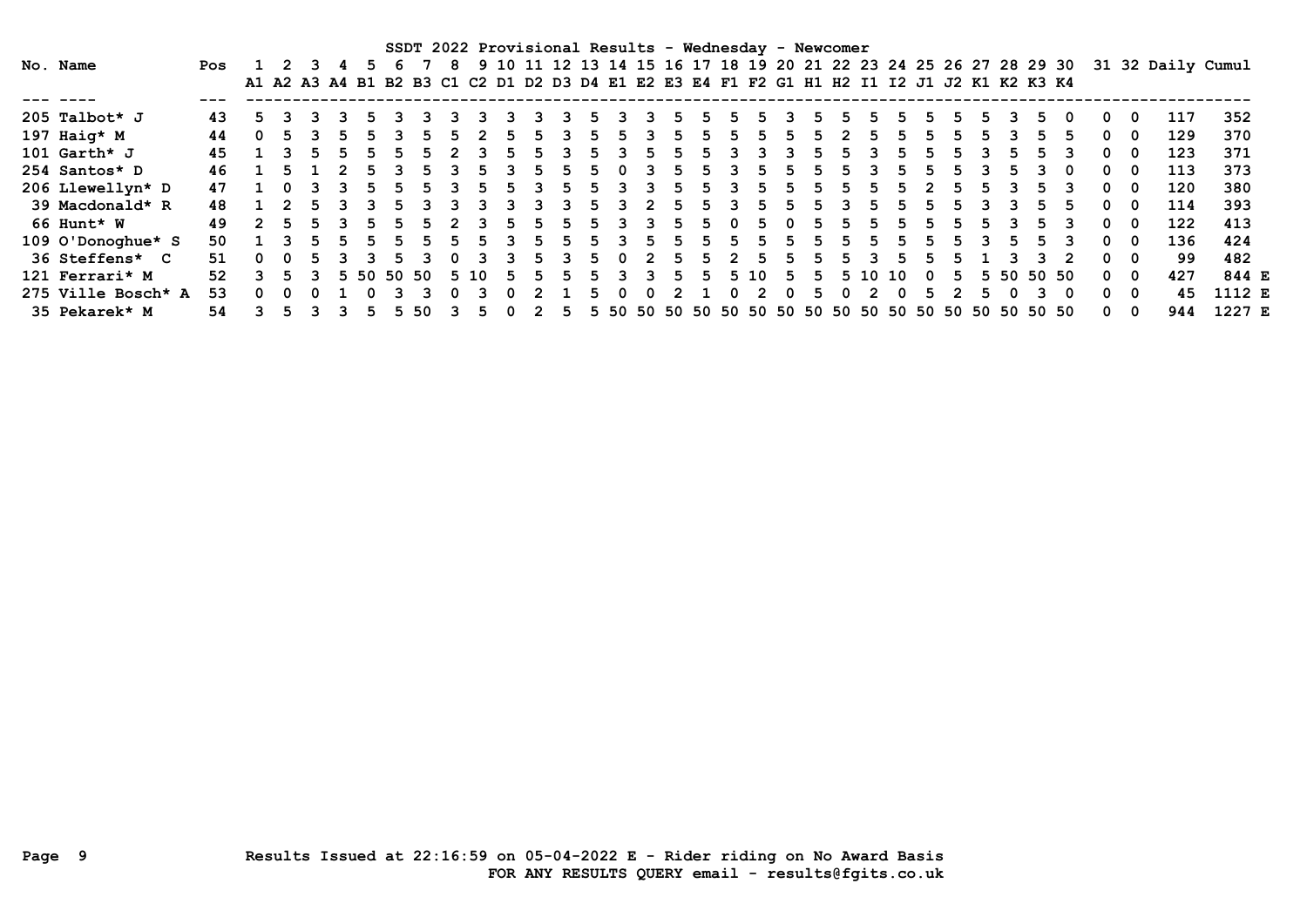SSDT 2022 Provisional Results - Wednesday - Newcomer No. Name Pos 1 2 3 4 5 6 7 8 9 10 11 12 13 14 15 16 17 18 19 20 21 22 23 24 25 26 27 28 29 30 31 32 Daily Cumul A1 A2 A3 A4 B1 B2 B3 C1 C2 D1 D2 D3 D4 E1 E2 E3 E4 F1 F2 G1 H1 H2 I1 I2 J1 J2 K1 K2 K3 K4 --- ---- --- ------------------------------------------------------------------------------------------------------------ 205 Talbot\* J 43 5 3 3 3 5 3 3 3 3 3 3 3 5 3 3 5 5 5 5 3 5 5 5 5 5 5 5 3 5 0 0 0 117 352 197 Haig\* M 44 0 5 3 5 5 3 5 5 2 5 5 3 5 5 3 5 5 5 5 5 5 2 5 5 5 5 5 3 5 5 0 0 129 370 101 Garth\* J 45 1 3 5 5 5 5 5 2 3 5 5 3 5 3 5 5 5 3 3 3 5 5 3 5 5 5 3 5 5 3 0 0 123 371 254 Santos\* D 46 1 5 1 2 5 3 5 3 5 3 5 5 5 0 3 5 5 3 5 5 5 5 3 5 5 5 3 5 3 0 0 0 113 373 206 Llewellyn\* D 47 1 0 3 3 5 5 5 3 5 5 3 5 5 3 3 5 5 3 5 5 5 5 5 5 2 5 5 3 5 3 0 0 120 380 39 Macdonald\* R 48 1 2 5 3 3 5 3 3 3 3 3 3 5 3 2 5 5 3 5 5 5 3 5 5 5 5 3 3 5 5 0 0 114 393 66 Hunt\* W 49 2 5 5 3 5 5 5 2 3 5 5 5 5 3 3 5 5 0 5 0 5 5 5 5 5 5 5 3 5 3 0 0 122 413 109 O'Donoghue\* S 50 1 3 5 5 5 5 5 5 5 3 5 5 5 3 5 5 5 5 5 5 5 5 5 5 5 5 3 5 5 3 0 0 136 424 36 Steffens\* C 51 0 0 5 3 3 5 3 0 3 3 5 3 5 0 2 5 5 2 5 5 5 5 3 5 5 5 1 3 3 2 0 0 99 482 121 Ferrari\* M 52 3 5 3 5 50 50 50 5 10 5 5 5 5 3 3 5 5 5 10 5 5 5 10 10 0 5 5 50 50 50 0 0 427 844 E 275 Ville Bosch\* A 53 0 0 0 1 0 3 3 0 3 0 2 1 5 0 0 2 1 0 2 0 5 0 2 0 5 2 5 0 3 0 0 0 45 1112 E 35 Pekarek\* M 54 3 5 3 3 5 5 50 3 5 0 2 5 5 50 50 50 50 50 50 50 50 50 50 50 50 50 50 50 50 50 0 0 944 1227 E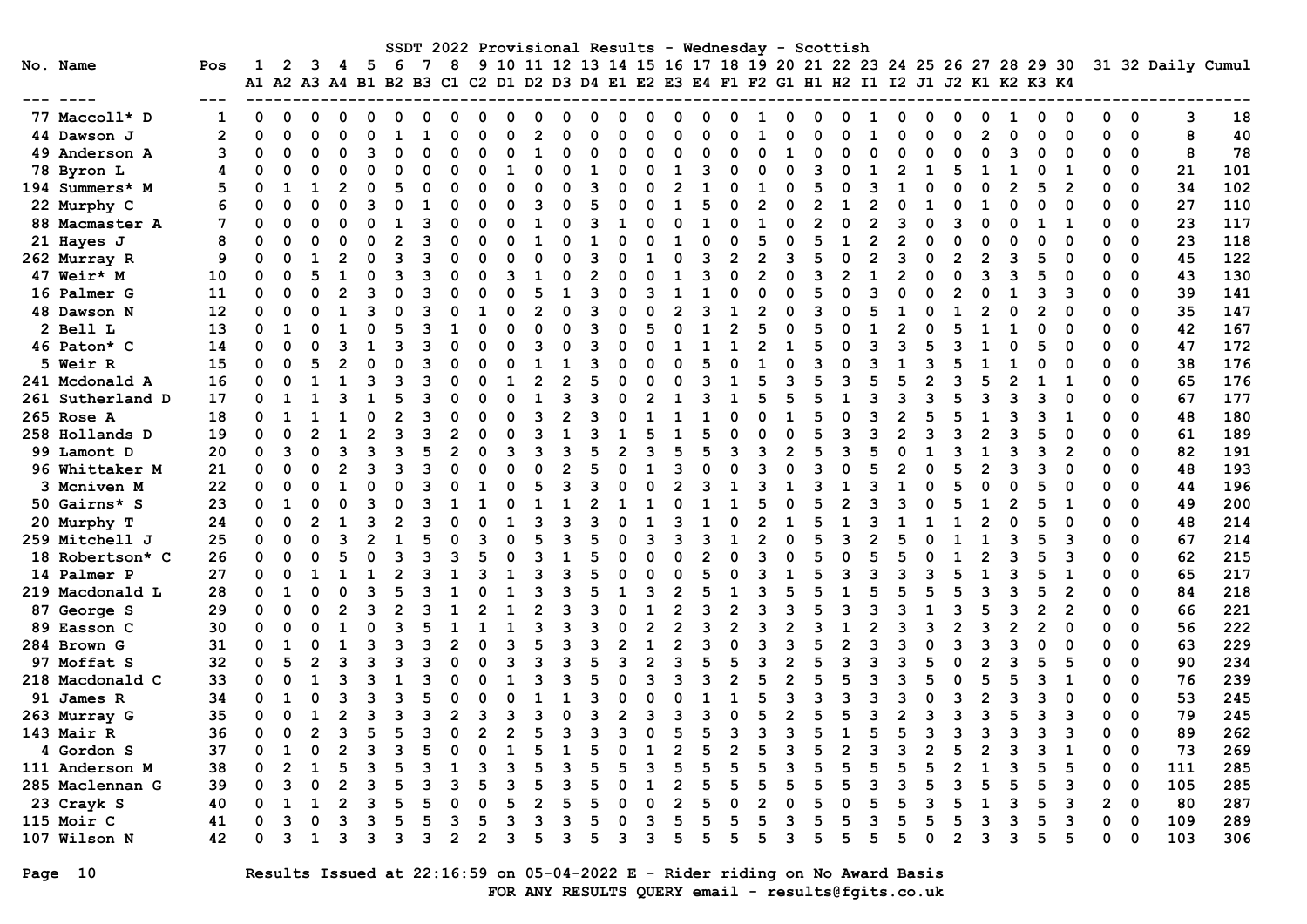|                  |                |                      |          |   |   |     |   |   |             |   |   |          |    |   |                |   |                |   | SSDT 2022 Provisional Results - Wednesday - Scottish                 |              |   |   |          |   |                |   |                |   |   |                |              |             |                   |     |
|------------------|----------------|----------------------|----------|---|---|-----|---|---|-------------|---|---|----------|----|---|----------------|---|----------------|---|----------------------------------------------------------------------|--------------|---|---|----------|---|----------------|---|----------------|---|---|----------------|--------------|-------------|-------------------|-----|
| No. Name         | Pos            | ı                    | 2        | 3 | 4 | - 5 | 6 | 7 | 8           |   |   |          |    |   |                |   |                |   | 9 10 11 12 13 14 15 16 17 18 19 20 21 22 23 24 25 26 27 28 29 30     |              |   |   |          |   |                |   |                |   |   |                |              |             | 31 32 Daily Cumul |     |
|                  |                | A1 A2 A3 A4 B1 B2 B3 |          |   |   |     |   |   |             |   |   |          |    |   |                |   |                |   | C1 C2 D1 D2 D3 D4 E1 E2 E3 E4 F1 F2 G1 H1 H2 I1 I2 J1 J2 K1 K2 K3 K4 |              |   |   |          |   |                |   |                |   |   |                |              |             |                   |     |
|                  |                |                      |          |   |   |     |   |   |             |   |   |          |    |   |                |   |                |   |                                                                      |              |   |   |          |   |                |   |                |   |   |                |              |             |                   |     |
| 77 Maccoll* D    |                | 0                    | O        |   |   | o   |   |   | ი           |   |   | 0        | O  | O |                |   |                |   |                                                                      |              |   |   |          |   | o              |   | 0              |   |   |                | 0            | 0           | 3                 | 18  |
| 44 Dawson J      | $\overline{2}$ | U                    | O        |   |   |     |   |   | ი           |   |   | 2        |    | ŋ |                |   | n              |   |                                                                      |              |   | n |          |   | ი              | O | $\overline{2}$ |   | O | $\Omega$       | O            | $\mathbf 0$ | 8                 | 40  |
| 49 Anderson A    | 3              | O                    | n        | ∩ |   | 3   | n |   | O           |   | ŋ | -1       |    | ი | O              |   | ი              | C |                                                                      | <sup>0</sup> |   | n |          |   | O              | n | $\Omega$       |   | O | ∩              | ŋ            | $\Omega$    | 8                 | 78  |
| 78 Byron L       | 4              | n                    | n        |   |   | O   |   |   |             |   |   |          |    |   |                |   |                |   |                                                                      |              |   |   |          |   |                |   |                |   |   |                |              | $\Omega$    | 21                | 101 |
| 194 Summers* M   | 5              | $\Omega$             |          |   |   |     |   |   |             |   |   |          |    | ٩ |                |   | 2              |   |                                                                      |              |   |   |          |   |                |   | O              |   |   | 2              |              | $\Omega$    | 34                | 102 |
| 22 Murphy C      | 6              | U                    |          |   |   | 3   |   |   |             |   |   |          |    |   |                |   |                |   |                                                                      | 2            |   |   |          |   |                |   |                |   |   |                |              | $\mathbf 0$ | 27                | 110 |
| 88 Macmaster A   | 7              | U                    |          |   |   |     |   |   |             |   |   |          |    |   |                |   |                |   |                                                                      |              |   |   |          |   |                |   |                |   |   |                |              | $\Omega$    | 23                | 117 |
| 21 Hayes J       | 8              | U                    |          |   |   |     |   |   |             |   |   |          |    |   |                |   |                |   |                                                                      |              |   |   |          |   |                |   |                |   |   |                | ŋ            | $\Omega$    | 23                | 118 |
| 262 Murray R     | 9              | O                    | O        |   |   |     |   |   | O           |   |   | $\Omega$ |    | ٩ |                |   |                |   |                                                                      | 2            | ว |   |          |   | ٩              |   | $\mathfrak{p}$ |   |   |                | 0            | $\mathbf 0$ | 45                | 122 |
| 47 Weir* M       | 10             | 0                    | O        |   |   | ი   |   |   |             |   |   |          |    | 2 |                |   |                |   |                                                                      | 2            |   | ٩ |          |   | 2              |   | 3              |   |   | O              | 0            | $\Omega$    | 43                | 130 |
| 16 Palmer G      | 11             | O                    | O        |   |   | ٩   |   |   | ი           |   |   |          | 1  | ٩ | O              |   |                |   |                                                                      | O            |   |   | $\Omega$ | ર | O              |   | $\Omega$       |   | ٩ | з              | O            | $\mathbf 0$ | 39                | 141 |
| 48 Dawson N      | 12             | O                    | ∩        |   |   | ٩   |   |   |             |   |   | 2        |    | ٩ |                |   | 2              |   |                                                                      |              |   | ٩ |          |   |                |   |                |   |   |                | ŋ            | $\Omega$    | 35                | 147 |
| 2 Bell L         | 13             | $\Omega$             |          |   |   |     |   |   |             |   |   |          |    |   |                |   |                |   |                                                                      |              |   |   |          |   | $\mathfrak{p}$ |   |                |   |   |                | ŋ            | $\mathbf 0$ | 42                | 167 |
| 46 Paton* C      | 14             | O                    | O        |   |   |     |   |   |             |   |   |          |    |   |                |   |                |   |                                                                      |              |   |   |          |   | ٩              |   |                |   |   |                | ŋ            | $\mathbf 0$ | 47                | 172 |
| 5 Weir R         | 15             | 0                    |          |   |   |     |   |   |             |   |   |          |    |   |                |   |                |   |                                                                      |              |   |   |          |   |                |   |                |   |   |                |              | $\mathbf 0$ | 38                | 176 |
| 241 Mcdonald A   | 16             | O                    |          |   |   |     |   |   | ∩           |   |   |          |    |   |                |   |                |   |                                                                      |              |   |   |          |   |                |   |                |   |   |                |              | $\Omega$    | 65                | 176 |
| 261 Sutherland D | 17             | O                    |          |   |   |     |   |   |             |   |   |          |    |   |                |   |                |   |                                                                      |              |   |   |          |   |                |   |                |   |   |                |              | $\Omega$    | 67                | 177 |
| 265 Rose A       | 18             | 0                    |          |   |   |     |   |   |             |   |   | ิจ       |    |   |                |   |                |   |                                                                      |              |   |   |          |   | $\mathfrak{p}$ |   |                |   |   |                | O            | $\mathbf 0$ | 48                | 180 |
| 258 Hollands D   | 19             | 0                    | O        |   |   | 2   |   |   | 2           |   |   |          |    |   |                |   |                |   |                                                                      |              | O |   |          |   | $\mathfrak{p}$ |   | $\mathfrak{p}$ |   |   |                | O            | $\Omega$    | 61                | 189 |
| 99 Lamont D      | 20             | 0                    | ٩        | ∩ |   | २   |   |   | 2           |   |   | ิว       | ิว |   | $\overline{2}$ |   | 5              |   | ิว                                                                   | ٩            |   |   | ิว       |   | O              |   | 1              |   |   | 2              |              | $\Omega$    | 82                | 191 |
| 96 Whittaker M   | 21             | 0                    | O        |   |   |     |   |   |             |   |   |          |    |   |                |   |                |   |                                                                      |              |   | ٩ |          |   | 2              |   | $\mathfrak{p}$ |   |   |                |              | $\Omega$    | 48                | 193 |
| 3 Mcniven M      | 22             | $\Omega$             | O        |   |   |     |   |   |             |   |   |          |    |   |                |   | 2              |   |                                                                      |              |   |   |          |   |                |   |                |   |   |                |              | $\Omega$    | 44                | 196 |
| 50 Gairns* S     | 23             | $\Omega$             |          |   |   |     |   |   |             |   |   |          |    |   |                |   |                |   |                                                                      |              |   |   |          |   |                |   |                |   |   |                |              | $\mathbf 0$ | 49                | 200 |
| 20 Murphy T      | 24             | 0                    | O        | 2 |   | 3   |   |   |             |   |   |          |    |   |                |   | ٩              |   |                                                                      |              |   |   |          |   |                |   | $\mathfrak{p}$ |   |   |                |              | $\mathbf 0$ | 48                | 214 |
| 259 Mitchell J   | 25             | 0                    |          |   |   |     |   |   | ∩           |   |   |          |    |   |                |   |                |   |                                                                      |              |   |   |          |   |                |   |                |   |   |                |              | $\Omega$    | 67                | 214 |
| 18 Robertson* C  | 26             | 0                    |          |   |   |     |   |   |             |   |   |          |    |   |                |   |                |   |                                                                      |              |   |   |          |   |                |   |                |   |   |                |              | $\Omega$    | 62                | 215 |
| 14 Palmer P      | 27             | 0                    | O        |   |   |     |   |   |             |   |   | ิว       |    |   |                |   |                |   |                                                                      |              |   |   |          |   |                |   |                |   |   |                |              | $\Omega$    | 65                | 217 |
| 219 Macdonald L  | 28             | 0                    |          |   |   | 3   |   |   |             |   |   |          |    |   |                |   | 2              |   |                                                                      |              |   |   |          |   |                |   |                |   |   | 2              | O            | $\Omega$    | 84                | 218 |
| 87 George S      | 29             | 0                    | $\Omega$ | ∩ |   | 3   |   |   |             |   |   | 2        |    |   |                |   | 2              |   |                                                                      |              |   |   |          |   | ঽ              |   |                |   |   | $\overline{2}$ |              | $\Omega$    | 66                | 221 |
| 89 Easson C      | 30             | O                    | O        |   |   |     |   |   |             |   |   |          |    |   |                |   |                |   |                                                                      |              |   |   |          |   |                |   |                |   |   |                | n            | $\Omega$    | 56                | 222 |
| 284 Brown G      | 31             | O                    |          |   |   |     |   |   |             |   |   |          |    |   |                |   |                |   |                                                                      |              |   |   |          |   |                |   |                |   |   |                |              | 0           | 63                | 229 |
| 97 Moffat S      | 32             | 0                    |          |   |   |     |   |   |             |   |   |          |    |   |                |   |                |   |                                                                      |              |   |   |          |   |                |   |                |   |   |                | ŋ            | 0           | 90                | 234 |
| 218 Macdonald C  | 33             | O                    |          |   |   |     |   |   |             |   |   |          |    |   |                |   |                |   |                                                                      |              |   |   |          |   |                |   |                |   |   |                |              | 0           | 76                | 239 |
| 91 James R       | 34             | O                    |          |   |   | ٩   |   |   | n           |   |   |          |    |   |                |   |                |   |                                                                      |              |   |   |          |   | ว              |   | 2              |   |   |                |              | $\Omega$    | 53                | 245 |
| 263 Murray G     | 35             | O                    |          |   |   | २   |   |   | 2           |   |   | ิว       |    |   | $\mathbf{2}$   |   | ٦              |   |                                                                      |              |   | 5 |          |   | 2              |   | 3              |   |   |                |              | $\Omega$    | 79                | 245 |
| 143 Mair R       | 36             | 0                    |          |   |   |     |   |   | 0           |   |   |          |    |   |                |   |                |   |                                                                      |              |   |   |          |   |                |   |                |   |   |                |              | 0           | 89                | 262 |
| 4 Gordon S       | 37             | 0                    |          |   |   |     |   |   |             |   |   |          |    |   |                |   |                |   |                                                                      |              |   |   |          |   |                |   |                |   |   |                | 0            | 0           | 73                | 269 |
| 111 Anderson M   | 38             | 0                    | 2        |   |   | з   |   |   |             |   |   |          |    |   |                | 3 | 5              |   |                                                                      |              |   |   |          |   | 5              |   | 1              |   |   |                | 0            | 0           | 111               | 285 |
| 285 Maclennan G  | 39             | 0                    | 3        | 0 |   | 3   | 5 |   | 3           |   | 3 |          |    | 5 | $\Omega$       |   | 2              | 5 | 5                                                                    |              |   |   |          |   | 3              |   | 5              |   | 5 | 3              | 0            | 0           | 105               | 285 |
| 23 Crayk S       | 40             | 0                    |          | 1 |   | 3   |   |   |             |   |   |          |    |   |                |   | $\overline{2}$ |   |                                                                      |              |   |   |          |   | 5              |   |                |   |   | 3              | $\mathbf{2}$ | 0           | 80                | 287 |
| 115 Moir C       | 41             | 0                    | 3        |   |   | 3   |   |   | 3           |   |   | 3        |    |   | 0              | 3 | 5              |   |                                                                      |              |   |   |          |   | 5              |   | 3              |   |   | 3              | 0            | 0           | 109               | 289 |
| 107 Wilson N     | 42             | 0                    | з        | 1 | 3 | 3   | 3 | 3 | $\mathbf 2$ | 2 | 3 | 5        | 3  | 5 | 3              | 3 | 5              | 5 | 5                                                                    | 5            |   | 5 |          |   | 5              | 0 | 3              | з | 5 | 5              | 0            | 0           | 103               | 306 |

Page 10 Results Issued at 22:16:59 on 05-04-2022 E - Rider riding on No Award Basis FOR ANY RESULTS QUERY email - results@fgits.co.uk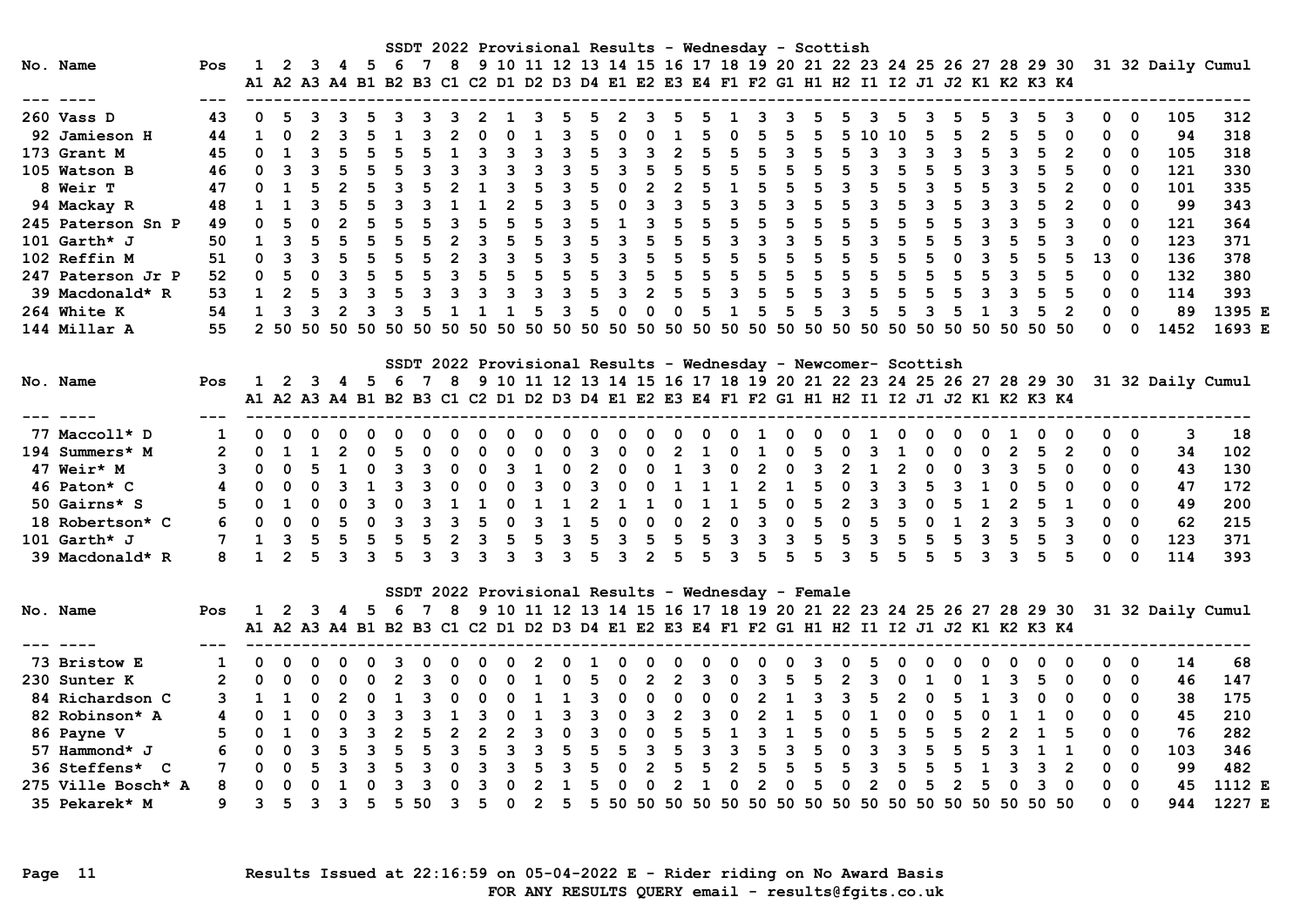|                    |                |              |                     |              |                         |                         |                                                                                           |                         |                         |                         |                     |                             |                         |                |                         |                             |                |                             |                |                | SSDT 2022 Provisional Results - Wednesday - Scottish           |              |                         |                         |                         |                         |                         |                |                         |                 |                |              |                         |                                                                                                    |        |
|--------------------|----------------|--------------|---------------------|--------------|-------------------------|-------------------------|-------------------------------------------------------------------------------------------|-------------------------|-------------------------|-------------------------|---------------------|-----------------------------|-------------------------|----------------|-------------------------|-----------------------------|----------------|-----------------------------|----------------|----------------|----------------------------------------------------------------|--------------|-------------------------|-------------------------|-------------------------|-------------------------|-------------------------|----------------|-------------------------|-----------------|----------------|--------------|-------------------------|----------------------------------------------------------------------------------------------------|--------|
| No. Name           | Pos            |              |                     |              |                         |                         | A1 A2 A3 A4 B1 B2 B3 C1 C2 D1 D2 D3 D4 E1 E2 E3 E4 F1 F2 G1 H1 H2 I1 I2 J1 J2 K1 K2 K3 K4 |                         |                         |                         |                     |                             |                         |                |                         |                             |                |                             |                |                |                                                                |              |                         |                         |                         |                         |                         |                |                         |                 |                |              |                         | 1 2 3 4 5 6 7 8 9 10 11 12 13 14 15 16 17 18 19 20 21 22 23 24 25 26 27 28 29 30 31 32 Daily Cumul |        |
| --- ----           |                |              |                     |              |                         |                         |                                                                                           |                         |                         |                         |                     |                             |                         |                |                         |                             |                |                             |                |                |                                                                |              |                         |                         |                         |                         |                         |                |                         |                 |                |              |                         |                                                                                                    |        |
| $260$ Vass D       | 43             | 0            | -5.                 |              |                         |                         |                                                                                           |                         |                         |                         | $\mathbf{1}$        | 3                           | .5                      | -5.            |                         | $2 \quad 3$                 | .5.            |                             | $\mathbf{1}$   | 3              |                                                                |              |                         |                         |                         |                         |                         |                |                         |                 |                | 0            | 0                       | 105                                                                                                | 312    |
| 92 Jamieson H      | 44             | $\mathbf{1}$ |                     |              |                         |                         |                                                                                           |                         |                         |                         | $\Omega$            | $\mathbf{1}$                |                         | 5              | $\mathbf{0}$            | $\Omega$                    | $\mathbf{1}$   |                             | 0              | 5              | 5                                                              |              |                         | 5 10 10                 |                         |                         | 5                       | $\overline{2}$ |                         | 5               | 0              | $\Omega$     | $\Omega$                | 94                                                                                                 | 318    |
| 173 Grant M        | 45             |              |                     |              | $0 \t1 \t3 \t5 \t5 \t5$ |                         |                                                                                           |                         | $\mathbf{1}$            | $\mathbf{3}$            | 3 3 3 5 3 3 2 5     |                             |                         |                |                         |                             |                |                             | 5              | $5^{\circ}$    | $3\quad 5$                                                     |              | $-5$                    |                         | $3 \quad 3 \quad 3$     |                         | $\overline{\mathbf{3}}$ | $-5$           | $\overline{\mathbf{3}}$ | $5\overline{)}$ | $\overline{2}$ | $\Omega$     | $\Omega$                | 105                                                                                                | 318    |
| 105 Watson B       | 46             |              |                     |              |                         |                         | $0$ 3 3 5 5 5 3                                                                           |                         | $\overline{\mathbf{3}}$ | $\overline{\mathbf{3}}$ |                     | 3 3 3 5 3 5 5 5             |                         |                |                         |                             |                |                             | $5\quad 5$     |                | 5 5 5 3 5 5                                                    |              |                         |                         |                         |                         | 5                       | $\mathbf{3}$   | $\overline{\mathbf{3}}$ | 5               |                | 0            | $\Omega$                | 121                                                                                                | 330    |
| 8 Weir T           | 47             | $\Omega$     |                     |              |                         |                         |                                                                                           |                         |                         |                         |                     | $3 \quad 5 \quad 3 \quad 5$ |                         |                | $\overline{\mathbf{0}}$ |                             |                | $2 \quad 2 \quad 5 \quad 1$ |                | 5 <sup>1</sup> |                                                                | $-5$         | 3 <sub>5</sub>          |                         |                         |                         |                         |                |                         |                 |                | $\Omega$     | - 0                     | 101                                                                                                | 335    |
| 94 Mackay R        | 48             |              | $1 \quad 1 \quad 3$ |              |                         |                         | $5$ 5 3 3 1 1                                                                             |                         |                         |                         |                     | 2 <sub>5</sub>              |                         | 3 <sub>5</sub> | $\overline{0}$          | $\overline{\mathbf{3}}$     |                | 3 <sub>5</sub>              | 3 <sub>5</sub> |                | $3\overline{5}$                                                |              |                         | $\overline{\mathbf{3}}$ |                         | $\overline{\mathbf{3}}$ |                         | 3              | $\overline{\mathbf{3}}$ | 5               |                | $\Omega$     | $\Omega$                | 99                                                                                                 | 343    |
| 245 Paterson Sn P  | 49             | 0            |                     |              |                         |                         | 0 2 5 5 5 3 5                                                                             |                         |                         |                         |                     |                             |                         |                |                         |                             |                |                             |                |                | 5 5 3 5 1 3 5 5 5 5 5 5 5 5 5                                  |              |                         |                         |                         | 5 5                     |                         |                |                         |                 |                | $\Omega$     | $\Omega$                | 121                                                                                                | 364    |
| 101 Garth* $J$     | 50             |              |                     |              |                         |                         | 1 3 5 5 5 5 5 2 3 5 5 3 5 3 5 5 5 3 3 3                                                   |                         |                         |                         |                     |                             |                         |                |                         |                             |                |                             |                |                |                                                                |              | 5 5 3 5 5               |                         |                         |                         | 5                       |                | 3 <sub>5</sub>          | -5              |                | $\Omega$     | - 0                     | 123                                                                                                | 371    |
| 102 Reffin M       | 51             | $\Omega$     | $\mathbf{3}$        |              |                         |                         |                                                                                           |                         | $\overline{2}$          |                         | 3 5 3 5             |                             |                         |                |                         | 3 <sub>5</sub>              |                | $5\quad 5\quad 5$           |                |                | $-5$                                                           | $5^{\circ}$  | 5                       |                         | 5 <sup>1</sup>          |                         | $\overline{0}$          | $\mathbf{3}$   |                         | 5               | 5              | 13           | - 0                     | 136                                                                                                | 378    |
| 247 Paterson Jr P  | 52             | $\mathbf{0}$ | $-5$                | $\mathbf{0}$ | 3 5 5                   |                         |                                                                                           | $5^{\circ}$             | 3 <sub>5</sub>          |                         | 5 5 5 5             |                             |                         |                |                         | 3 5 5 5 5 5                 |                |                             |                |                | $5^{\circ}$                                                    |              | 5 5 5 5 5               |                         |                         |                         | $5^{\circ}$             | 5              | $\overline{\mathbf{3}}$ | 5               | 5              | $\Omega$     | $\overline{0}$          | 132                                                                                                | 380    |
| 39 Macdonald* R    | 53             |              |                     |              | $1 \t2 \t5 \t3 \t3 \t5$ |                         |                                                                                           | $\overline{\mathbf{3}}$ | $\overline{\mathbf{3}}$ | $\overline{\mathbf{3}}$ | 3 3 3 5             |                             |                         |                |                         | 3 2 5 5 3 5                 |                |                             |                |                | $5^{\circ}$                                                    |              | 5 3 5 5 5               |                         |                         |                         | 5                       |                | $3 \quad 3$             | 5               | - 5            | $\Omega$     | $\Omega$                | 114                                                                                                | 393    |
| 264 White K        | 54             |              | $1 \quad 3$         | $\mathbf{3}$ | $\overline{2}$          | $\overline{\mathbf{3}}$ | $\overline{\mathbf{3}}$                                                                   | $-5$                    | $\mathbf{1}$            | $\mathbf{1}$            | $\mathbf{1}$        | 5                           |                         | $3\quad 5$     | $\overline{0}$          | $\Omega$                    | $\overline{0}$ |                             | 5 1 5          |                | $-5$                                                           | $-5$         | $\overline{\mathbf{3}}$ | 5                       | $-5$                    | $\overline{\mathbf{3}}$ | - 5                     |                | $1 \quad 3$             | -5              |                | $\mathbf{0}$ | $\Omega$                | 89                                                                                                 | 1395 E |
| 144 Millar A       | 55             |              |                     |              |                         |                         |                                                                                           |                         |                         |                         |                     |                             |                         |                |                         |                             |                |                             |                |                |                                                                |              |                         |                         |                         |                         |                         |                |                         |                 |                |              | $0\quad 0$              | 1452                                                                                               | 1693 E |
|                    |                |              |                     |              |                         |                         |                                                                                           |                         |                         |                         |                     |                             |                         |                |                         |                             |                |                             |                |                |                                                                |              |                         |                         |                         |                         |                         |                |                         |                 |                |              |                         |                                                                                                    |        |
|                    |                |              |                     |              |                         |                         |                                                                                           |                         |                         |                         |                     |                             |                         |                |                         |                             |                |                             |                |                | SSDT 2022 Provisional Results - Wednesday - Newcomer- Scottish |              |                         |                         |                         |                         |                         |                |                         |                 |                |              |                         |                                                                                                    |        |
| No. Name           | Pos            |              |                     |              |                         |                         |                                                                                           |                         |                         |                         |                     |                             |                         |                |                         |                             |                |                             |                |                |                                                                |              |                         |                         |                         |                         |                         |                |                         |                 |                |              |                         | 1 2 3 4 5 6 7 8 9 10 11 12 13 14 15 16 17 18 19 20 21 22 23 24 25 26 27 28 29 30 31 32 Daily Cumul |        |
|                    |                |              |                     |              |                         |                         | A1 A2 A3 A4 B1 B2 B3 C1 C2 D1 D2 D3 D4 E1 E2 E3 E4 F1 F2 G1 H1 H2 I1 I2 J1 J2 K1 K2 K3 K4 |                         |                         |                         |                     |                             |                         |                |                         |                             |                |                             |                |                |                                                                |              |                         |                         |                         |                         |                         |                |                         |                 |                |              |                         |                                                                                                    |        |
| --- ----           | $- - -$        |              |                     |              |                         |                         |                                                                                           |                         |                         |                         |                     |                             |                         |                |                         |                             |                |                             |                |                |                                                                |              |                         |                         |                         |                         |                         |                |                         |                 |                |              |                         |                                                                                                    |        |
| 77 Maccoll* D      | 1              | $\Omega$     | $\Omega$            | $\mathbf{0}$ | $\mathbf 0$             | $\mathbf{0}$            | $\mathbf 0$                                                                               | $\mathbf 0$             | $\mathbf{0}$            | $\mathbf{0}$            | $\mathbf 0$         | $\mathbf 0$                 | $\mathbf{0}$            | $\mathbf 0$    | $\mathbf 0$             | $\mathbf 0$                 | $\mathbf 0$    | $\mathbf 0$                 | $\mathbf{0}$   | 1              | $\Omega$                                                       | $\mathbf{0}$ | $\mathbf 0$             | 1                       | 0                       | $\mathbf 0$             | $\mathbf 0$             | $\mathbf{0}$   | 1                       | $\mathbf{0}$    | $\Omega$       |              | $0\quad 0$              | 3                                                                                                  | 18     |
| 194 Summers* M     | $\overline{2}$ | $\Omega$     |                     |              | 1 1 2 0                 |                         |                                                                                           | $\overline{\mathbf{0}}$ | $\mathbf 0$             | $\Omega$                | $\mathbf 0$         | - 0                         | $\mathbf 0$             | $\mathbf{3}$   | $\mathbf{O}$            |                             |                | $0\quad 2\quad 1$           |                | $0\quad 1$     | $\mathbf{0}$                                                   |              | 5 0                     | $\mathbf{3}$            | 1                       | $\mathbf 0$             | $\mathbf 0$             | $\Omega$       | $\overline{\mathbf{2}}$ | -5              | $\overline{2}$ |              | $0 \quad 0$             | 34                                                                                                 | 102    |
| 47 Weir* M         | 3              | $\Omega$     |                     |              |                         |                         | 0 5 1 0 3 3                                                                               |                         | $\overline{\mathbf{0}}$ | $\mathbf{0}$            | $3 \quad 1 \quad 0$ |                             |                         | $\overline{2}$ |                         | $0 \quad 0 \quad 1 \quad 3$ |                |                             |                | 0 <sub>2</sub> | $\overline{0}$                                                 |              | $3 \quad 2 \quad 1$     |                         | $\overline{2}$          | $\overline{0}$          | $\mathbf 0$             |                | $3 \quad 3$             | -5              | 0              |              | $\Omega$                | 43                                                                                                 | 130    |
| 46 Paton* C        |                | $\Omega$     | $\Omega$            |              |                         |                         |                                                                                           | $\mathbf{3}$            | $\mathbf 0$             |                         | $\Omega$            | $\overline{\mathbf{3}}$     | $\Omega$                | $\overline{3}$ | $\overline{0}$          | $\Omega$                    |                | $1 \quad 1$                 | $\mathbf{1}$   | $\overline{2}$ | $\mathbf{1}$                                                   | 5            | $\Omega$                | $\overline{\mathbf{3}}$ |                         | 5                       |                         |                |                         |                 |                | $\Omega$     | - 0                     | 47                                                                                                 | 172    |
| 50 Gairns* S       |                | $\Omega$     | $\mathbf{1}$        | $\Omega$     |                         |                         | $0$ 3 0 3 1 1                                                                             |                         |                         |                         |                     | 0 1 1 2 1 1                 |                         |                |                         |                             |                | $0$ 1 1 5                   |                |                | $\overline{\mathbf{0}}$                                        | $-5$         |                         | $2 \quad 3$             | $\overline{\mathbf{3}}$ | $\Omega$                | -5                      |                | $1\quad 2$              | 5               | $\blacksquare$ | $\Omega$     | - 0                     | 49                                                                                                 | 200    |
| 18 Robertson* C    |                | $\Omega$     | $\Omega$            | $\Omega$     |                         |                         | 5 0 3 3 3 5                                                                               |                         |                         |                         | $0$ 3 1 5 0         |                             |                         |                |                         |                             |                |                             |                |                | 0 0 2 0 3 0                                                    |              | 5 0 5 5 0 1 2 3         |                         |                         |                         |                         |                |                         |                 |                |              | 0 O                     | 62                                                                                                 | 215    |
| 101 Garth* $J$     |                | 1            | $\mathbf{3}$        | -5           | 5 <sup>5</sup>          | $-5$                    | 5 5 2 3                                                                                   |                         |                         |                         | $-5$                | $-5$                        |                         | $3\quad 5$     | $\overline{\mathbf{3}}$ | $-5$                        | $-5$           |                             |                |                | 5 3 3 3 5 5 3 5                                                |              |                         |                         |                         | 5                       |                         |                | 3 <sub>5</sub>          |                 | 3              | $\Omega$     | $\Omega$                | 123                                                                                                | 371    |
| 39 Macdonald* R    | 8              | $\mathbf{1}$ | $\overline{2}$      | -5           | $\overline{3}$          | $\mathbf{3}$            | $5\overline{)}$                                                                           | $\mathbf{3}$            | $\mathbf{3}$            | $\mathbf{3}$            | $\mathbf{3}$        | $\mathbf{3}$                | $\mathbf{3}$            | 5              | $\mathbf{3}$            | $\overline{2}$              | 5              | $-5$                        | $3\quad 5$     |                | $-5$                                                           |              | 5 <sup>3</sup>          | $5^{\circ}$             | 5 5                     |                         | - 5                     | $\mathbf{3}$   | $\overline{\mathbf{3}}$ | 5               | 5              | 0            | $\Omega$                | 114                                                                                                | 393    |
|                    |                |              |                     |              |                         |                         |                                                                                           |                         |                         |                         |                     |                             |                         |                |                         |                             |                |                             |                |                |                                                                |              |                         |                         |                         |                         |                         |                |                         |                 |                |              |                         |                                                                                                    |        |
|                    |                |              |                     |              |                         |                         |                                                                                           |                         |                         |                         |                     |                             |                         |                |                         |                             |                |                             |                |                | SSDT 2022 Provisional Results - Wednesday - Female             |              |                         |                         |                         |                         |                         |                |                         |                 |                |              |                         |                                                                                                    |        |
| No. Name           | Pos            | $\mathbf{1}$ | $\overline{2}$      |              |                         |                         |                                                                                           |                         |                         |                         |                     |                             |                         |                |                         |                             |                |                             |                |                |                                                                |              |                         |                         |                         |                         |                         |                |                         |                 |                |              |                         | 3 4 5 6 7 8 9 10 11 12 13 14 15 16 17 18 19 20 21 22 23 24 25 26 27 28 29 30 31 32 Daily Cumul     |        |
|                    |                |              |                     |              |                         |                         | A1 A2 A3 A4 B1 B2 B3 C1 C2 D1 D2 D3 D4 E1 E2 E3 E4 F1 F2 G1 H1 H2 I1 I2 J1 J2 K1 K2 K3 K4 |                         |                         |                         |                     |                             |                         |                |                         |                             |                |                             |                |                |                                                                |              |                         |                         |                         |                         |                         |                |                         |                 |                |              |                         |                                                                                                    |        |
|                    |                |              |                     |              |                         |                         |                                                                                           |                         |                         |                         |                     |                             |                         |                |                         |                             |                |                             |                |                |                                                                |              |                         |                         |                         |                         |                         |                |                         |                 |                |              |                         |                                                                                                    |        |
| 73 Bristow E       | 1              | $\Omega$     | $\mathbf 0$         | $\mathbf 0$  | $\mathbf 0$             | $\Omega$                | 3                                                                                         | $\mathbf 0$             | $\mathbf 0$             | 0                       | $\mathbf 0$         | $\overline{2}$              | 0                       | 1              | $\mathbf 0$             | $\mathbf 0$                 | $\mathbf 0$    | $\mathbf 0$                 | $\Omega$       | $\mathbf 0$    | $\mathbf 0$                                                    | 3            | $\mathbf 0$             | 5                       | $\Omega$                | 0                       | $\mathbf 0$             | $\Omega$       | $\Omega$                | $\mathbf 0$     |                | 0            | $\mathbf 0$             | 14                                                                                                 | 68     |
| 230 Sunter K       | $\overline{2}$ |              | $0\quad 0\quad 0$   |              | $\Omega$                | $\overline{0}$          |                                                                                           |                         | $0\quad 0$              |                         |                     | $0 \quad 1 \quad 0$         |                         | 5              | $\overline{\mathbf{0}}$ | $\overline{2}$              | $\overline{2}$ | $\overline{\mathbf{3}}$     |                |                | $0$ 3 5 5 2 3                                                  |              |                         |                         | $\mathbf 0$             | $\mathbf{1}$            |                         |                | $0 \quad 1 \quad 3$     | 5 <sup>5</sup>  | $\Omega$       | $\mathbf{0}$ | - 0                     | 46                                                                                                 | 147    |
| 84 Richardson C    | 3              |              | $1\quad 1$          | $\Omega$     |                         |                         | 2 0 1                                                                                     |                         | $\mathbf 0$             | $\mathbf{0}$            |                     | $0$ 1 1                     |                         | $\mathbf{3}$   | $\mathbf 0$             | $\mathbf{0}$                | $\mathbf{0}$   | $\overline{\mathbf{0}}$     |                |                | $0$ 2 1 3 3 5                                                  |              |                         |                         | $\overline{2}$          | $\mathbf{0}$            | -5                      | $\mathbf{1}$   |                         | $\mathbf 0$     | $\Omega$       | $\Omega$     | $\mathbf 0$             | 38                                                                                                 | 175    |
| 82 Robinson* A     | 4              |              | $\mathbf{1}$        | $\Omega$     |                         |                         | $0 \quad 3 \quad 3$                                                                       |                         | $\mathbf{1}$            | $\mathbf{3}$            | $\mathbf 0$         | $1 \quad 3$                 |                         | $\overline{3}$ | $\mathbf 0$             | $\mathbf{3}$                | $\overline{2}$ | $\overline{\mathbf{3}}$     | $\mathbf{0}$   | $\overline{2}$ | $\mathbf{1}$                                                   | 5            | $\Omega$                | $\mathbf{1}$            | $\mathbf 0$             | $\mathbf{0}$            | 5                       | $\Omega$       |                         |                 | $1 \quad 0$    | 0            | $\Omega$                | 45                                                                                                 | 210    |
| 86 Payne V         |                | $\Omega$     | <sup>1</sup>        | $\Omega$     |                         |                         |                                                                                           |                         | $\overline{2}$          |                         | $\overline{2}$      | $\overline{\mathbf{3}}$     |                         | $\overline{3}$ | $\mathbf 0$             | $\mathbf 0$                 | 5              | $5^{\circ}$                 | $1 \quad 3$    |                | $\mathbf{1}$                                                   | 5            | $\mathbf 0$             | 5                       | 5                       | 5                       |                         |                |                         |                 |                | 0            | 0                       | 76                                                                                                 | 282    |
| 57 Hammond* J      | 6              | $\mathbf 0$  | $\mathbf 0$         | 3            |                         |                         | $5$ 3 5 5 3 5                                                                             |                         |                         |                         |                     | $3 \quad 3 \quad 5$         |                         | $5^{\circ}$    | $-5$                    |                             |                | 3 5 3 3 5                   |                |                | $\overline{\mathbf{3}}$                                        | 5            | $\mathbf{0}$            | $\mathbf{3}$            |                         | 3 <sub>5</sub>          | - 5                     |                | 5 <sup>3</sup>          |                 | $1\quad1$      | 0            | $\overline{\mathbf{0}}$ | 103                                                                                                | 346    |
| 36 Steffens* C     |                | $\Omega$     | $\Omega$            |              |                         |                         | $3 \quad 3 \quad 5 \quad 3$                                                               |                         | $\Omega$                | $\mathbf{3}$            |                     | 3 <sub>5</sub>              | $\overline{\mathbf{3}}$ | 5              | $\Omega$                | $\overline{2}$              | $5^{\circ}$    | $5^{\circ}$                 | 2 <sub>5</sub> |                | $5^{\circ}$                                                    | $5^{\circ}$  | $\overline{5}$          |                         | 3 5 5 5                 |                         |                         |                | $1 \quad 3$             |                 | $3 \quad 2$    | 0            | $\Omega$                | 99                                                                                                 | 482    |
| 275 Ville Bosch* A | 8              | $\Omega$     | $\Omega$            | $\Omega$     | $\mathbf{1}$            |                         |                                                                                           | $\mathbf{3}$            | $\Omega$                |                         | $3 \quad 0$         | $\overline{2}$              |                         | 5              | $\Omega$                | $\Omega$                    | $\overline{2}$ | $\mathbf{1}$                | $\Omega$       | $\overline{2}$ | $\Omega$                                                       | 5            | $\Omega$                | $\overline{2}$          | $\Omega$                | 5                       | $\overline{2}$          | 5              | $\Omega$                | $\mathbf{3}$    | $\Omega$       | $\Omega$     | $\Omega$                | 45                                                                                                 | 1112 E |
| 35 Pekarek* M      |                | 3            | -5                  | 3            | $\mathbf{R}$            | .5                      |                                                                                           | 5 50                    |                         |                         | $3 \quad 5 \quad 0$ | 2 5                         |                         |                |                         |                             |                |                             |                |                |                                                                |              |                         |                         |                         |                         |                         |                |                         |                 |                | 0            | $\Omega$                | 944                                                                                                | 1227 E |
|                    |                |              |                     |              |                         |                         |                                                                                           |                         |                         |                         |                     |                             |                         |                |                         |                             |                |                             |                |                |                                                                |              |                         |                         |                         |                         |                         |                |                         |                 |                |              |                         |                                                                                                    |        |

# Page 11 Results Issued at 22:16:59 on 05-04-2022 E - Rider riding on No Award Basis FOR ANY RESULTS QUERY email - results@fgits.co.uk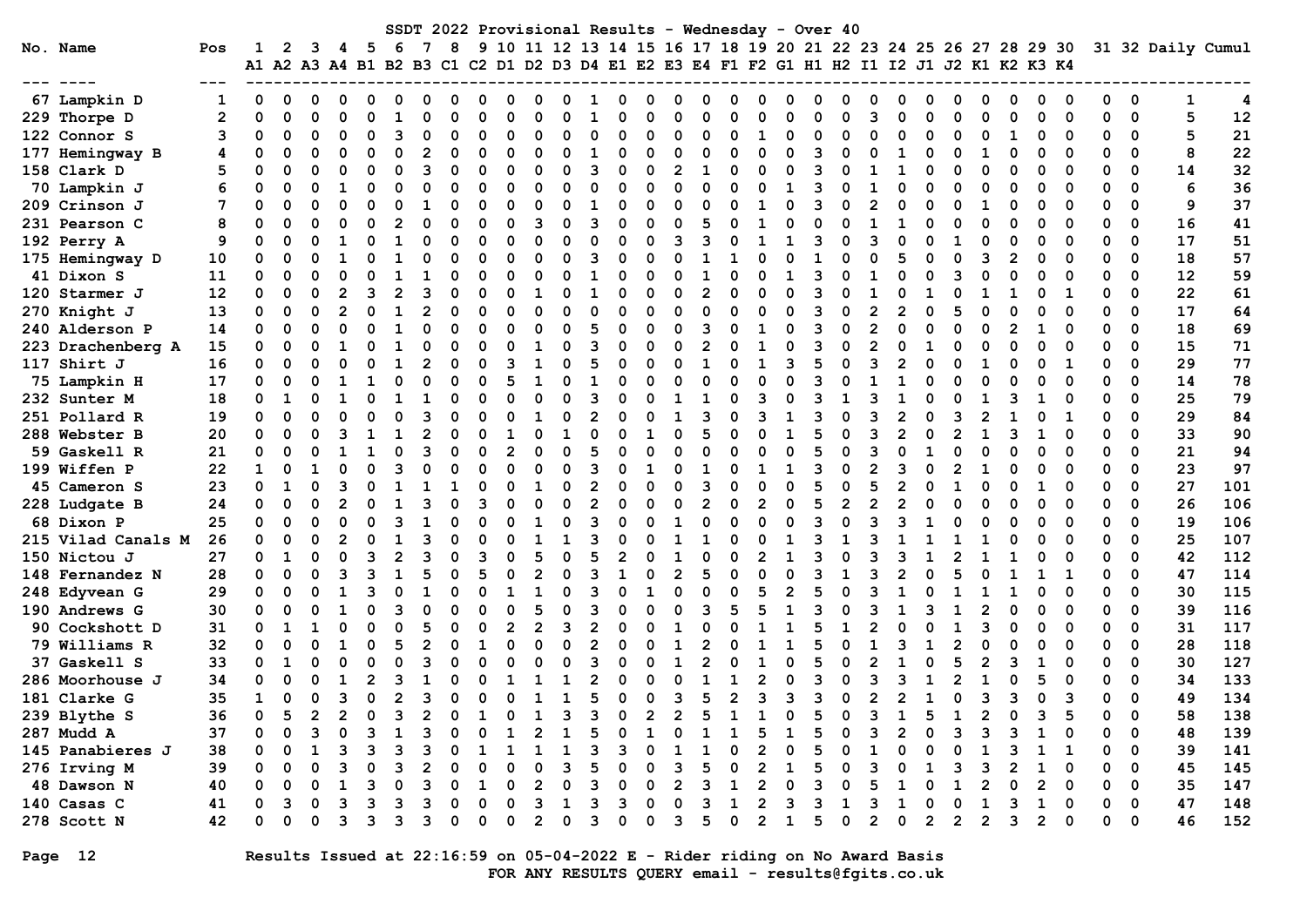| SSDT 2022 Provisional Results - Wednesday - Over 40<br>10 11 12 13 14 15 16 17 18 19 20 21 22 23 24 25 26 27 28 29 30 31 32 Daily Cumul |                    |              |          |          |              |   |          |    |   |          |    |                |                |   |                |              |              |                |          |                                                                                           |                |   |              |                |              |                |   |              |                |   |              |          |              |               |    |     |
|-----------------------------------------------------------------------------------------------------------------------------------------|--------------------|--------------|----------|----------|--------------|---|----------|----|---|----------|----|----------------|----------------|---|----------------|--------------|--------------|----------------|----------|-------------------------------------------------------------------------------------------|----------------|---|--------------|----------------|--------------|----------------|---|--------------|----------------|---|--------------|----------|--------------|---------------|----|-----|
|                                                                                                                                         | No. Name           | Pos          | 1        | 2        |              | 4 | 5        | -6 |   | 8        | 9  |                |                |   |                |              |              |                |          |                                                                                           |                |   |              |                |              |                |   |              |                |   |              |          |              |               |    |     |
|                                                                                                                                         |                    |              |          |          |              |   |          |    |   |          |    |                |                |   |                |              |              |                |          | A1 A2 A3 A4 B1 B2 B3 C1 C2 D1 D2 D3 D4 E1 E2 E3 E4 F1 F2 G1 H1 H2 I1 I2 J1 J2 K1 K2 K3 K4 |                |   |              |                |              |                |   |              |                |   |              |          |              |               |    |     |
|                                                                                                                                         | 67 Lampkin D       |              |          | 0        |              |   |          |    |   |          |    |                |                |   |                |              |              |                |          |                                                                                           |                |   |              |                |              |                |   |              |                |   | ი            |          |              | 0             | 1  | 4   |
|                                                                                                                                         | 229 Thorpe D       | $\mathbf{2}$ |          | $\Omega$ |              |   |          |    |   |          |    | O              |                |   | 1              |              |              | O              |          | n                                                                                         |                |   | 0            |                |              | $\Omega$       |   |              | $\Omega$       |   | U            | $\Omega$ | ŋ            | $\Omega$      | 5  | 12  |
|                                                                                                                                         | 122 Connor S       | 3            |          | 0        |              |   | $\Omega$ |    |   | O        | U  | 0              | $\Omega$       |   | 0              |              | ი            | $\Omega$       | $\Omega$ | O                                                                                         |                |   | 0            | ∩              |              | 0              |   |              | $\Omega$       |   | 0            | 0        | 0            | 0             | 5  | 21  |
|                                                                                                                                         | 177 Hemingway B    | 4            |          | O        | O            | O | $\Omega$ | O  |   | O        | O  | 0              | $\Omega$       | O | -1             | O            | O            | $\Omega$       | $\Omega$ | 0                                                                                         | ∩              | O | 3            | O              |              | 1              |   | O            |                | 0 | 0            | 0        | 0            | 0             | 8  | 22  |
|                                                                                                                                         | 158 Clark D        | 5            |          | $\Omega$ |              |   | O        |    |   | O        | O  | 0              | $\Omega$       |   | 3              | O            | $\Omega$     | $\mathbf{2}$   | 1        | O                                                                                         |                | ŋ | 3            |                |              | 1              |   |              | $\Omega$       | O | 0            | O        | 0            | $\Omega$      | 14 | 32  |
|                                                                                                                                         | 70 Lampkin J       |              |          | $\Omega$ | O            |   | O        |    | O | ∩        | U  | 0              | $\Omega$       | O | $\Omega$       | O            | $\Omega$     | $\Omega$       | ŋ        | n                                                                                         | ∩              | 1 | 3            | O              |              | $\Omega$       |   | O            | $\Omega$       | 0 | 0            | $\Omega$ | O            | $\Omega$      | 6  | 36  |
|                                                                                                                                         | 209 Crinson J      | 7            |          | $\Omega$ |              |   | O        |    |   |          | O  | O              | $\Omega$       |   | -1             | O            | O            | $\Omega$       |          | O                                                                                         |                |   | 3            | ∩              |              | $\Omega$       |   | ი            | 1              |   | 0            | $\Omega$ | 0            | 0             | 9  | 37  |
|                                                                                                                                         | 231 Pearson C      | 8            |          | $\Omega$ |              |   | $\Omega$ |    |   | 0        | O  | 0              | 3              | O | 3              | O            | $\Omega$     | $\Omega$       | 5        | O                                                                                         |                |   | O            | $\Omega$       |              | 1              |   |              | $\Omega$       |   | 0            | 0        | 0            | 0             | 16 | 41  |
|                                                                                                                                         | 192 Perry A        | 9            |          | $\Omega$ |              |   |          |    |   | O        | O  | O              | $\Omega$       |   | 0              | O            | O            | 3              |          | O                                                                                         |                |   | 3            | O              |              | $\Omega$       |   |              | $\Omega$       |   | 0            | O        | 0            | 0             | 17 | 51  |
|                                                                                                                                         | 175 Hemingway D    | 10           |          | $\Omega$ |              |   |          |    |   | ∩        |    | O              | $\Omega$       |   | 3              |              | ი            | O              |          |                                                                                           |                |   | $\mathbf{1}$ | ∩              |              | 5              |   |              | 3              |   | ი            | O        | 0            | 0             | 18 | 57  |
|                                                                                                                                         | 41 Dixon S         | 11           | O        | $\Omega$ |              |   |          |    |   |          |    | O              | O              |   | 1              |              | ი            | O              |          | n                                                                                         | ∩              |   | 3            |                |              | O              |   |              |                |   | ი            | O        | ი            | $\Omega$      | 12 | 59  |
|                                                                                                                                         | 120 Starmer J      | 12           | 0        | $\Omega$ |              |   | 3        |    | ٩ | O        |    | O              |                |   | 1              |              | O            | $\Omega$       | 2        | n                                                                                         |                | O | 3            |                |              | O              |   |              |                |   | 0            |          | 0            | $\Omega$      | 22 | 61  |
|                                                                                                                                         | 270 Knight J       | 13           | 0        | $\Omega$ | O            |   | 0        |    | 2 | $\Omega$ | O  | 0              | $\Omega$       | O | 0              | 0            | $\Omega$     | $\Omega$       | ŋ        | O                                                                                         | n              | O | 3            | ∩              | $\mathbf{2}$ | $\mathbf{2}$   |   |              | $\Omega$       |   | O            | $\Omega$ | 0            | $\Omega$      | 17 | 64  |
|                                                                                                                                         | 240 Alderson P     | 14           |          | $\Omega$ |              |   | O        |    | ŋ | ∩        | U  | 0              | $\Omega$       |   | 5              | O            | O            | $\Omega$       | 3        | 0                                                                                         |                | O | 3            | ∩              | 2            | $\Omega$       |   | O            | $\Omega$       |   |              | O        | 0            | $\Omega$      | 18 | 69  |
|                                                                                                                                         | 223 Drachenberg A  | 15           |          | $\Omega$ | O            |   | O        |    | n | ∩        | O  | O              | 1              |   | 3              | O            | O            | $\Omega$       |          | O                                                                                         | 1              | U | 3            | ∩              |              | $\Omega$       |   |              | ∩              |   | O            | ∩        | O            | $\Omega$      | 15 | 71  |
|                                                                                                                                         | 117 Shirt J        | 16           | $\Omega$ | 0        |              |   |          |    |   | $\Omega$ | O  | 3              |                |   | 5              |              | $\Omega$     | $\Omega$       |          | O                                                                                         |                |   | 5            | ∩              |              | $\mathbf{2}$   |   |              | 1              |   | ი            | 1        | O            | 0             | 29 | 77  |
|                                                                                                                                         | 75 Lampkin H       | 17           | 0        | 0        | O            |   |          |    |   | $\Omega$ | O  | 5              | $\mathbf{1}$   |   | 1              | O            | $\Omega$     | O              |          | n                                                                                         |                | O | 3            | $\Omega$       |              | 1              |   |              | $\Omega$       |   |              | $\Omega$ | O            | $\Omega$      | 14 | 78  |
|                                                                                                                                         | 232 Sunter M       | 18           |          | 1        |              |   |          |    |   | O        | U  | n              | $\Omega$       |   | 3              | O            | O            |                |          | O                                                                                         |                | O | 3            |                |              |                |   |              |                |   |              | O        | 0            | 0             | 25 | 79  |
|                                                                                                                                         | 251 Pollard R      | 19           |          | 0        |              |   | O        |    | ٩ | $\Omega$ |    | O              |                |   | $\mathbf{2}$   |              | O            | 1              | 3        | O                                                                                         | В              |   | 3            | ∩              | ิว           | $\overline{2}$ |   |              | $\overline{2}$ |   |              | 1        | 0            | 0             | 29 | 84  |
|                                                                                                                                         | 288 Webster B      | 20           |          | $\Omega$ |              |   |          |    |   | O        |    |                | ∩              |   | $\Omega$       |              | 1            | $\Omega$       |          | O                                                                                         |                |   | 5            | ∩              |              | $\overline{2}$ |   |              | 1              |   | 1            | O        | 0            | $\Omega$      | 33 | 90  |
|                                                                                                                                         | 59 Gaskell R       | 21           | O        | $\Omega$ |              |   |          |    | ٩ | $\Omega$ | U  | $\overline{2}$ | O              |   | 5              |              | O            | $\Omega$       |          | O                                                                                         |                |   | 5            | ∩              |              | O              |   |              | $\Omega$       |   | 0            | 0        | 0            | $\Omega$      | 21 | 94  |
|                                                                                                                                         | 199 Wiffen P       | 22           |          | $\Omega$ |              |   | $\Omega$ |    |   | O        |    | O              | O              |   | 3              |              |              | $\Omega$       |          | O                                                                                         |                |   | 3            | $\Omega$       |              | 3              |   |              |                |   | 0            | $\Omega$ | 0            | 0             | 23 | 97  |
|                                                                                                                                         | 45 Cameron S       | 23           |          | 1        | n            |   | n        |    |   |          |    | O              |                |   | $\mathbf{2}$   | O            | O            | $\Omega$       | 3        | O                                                                                         |                |   | 5            | ∩              |              | $\mathbf{2}$   |   |              | $\Omega$       |   | 1            | O        | 0            | $\Omega$      | 27 | 101 |
|                                                                                                                                         | 228 Ludgate B      | 24           |          | $\Omega$ | O            |   | $\Omega$ | -1 | ٩ | ∩        |    | O              | $\Omega$       | O | $\mathbf{2}$   | O            | O            | $\Omega$       | 2        | O                                                                                         | 2              | n | 5            | $\overline{2}$ | 2            | $\mathbf{2}$   | 0 | O            | $\Omega$       | 0 | 0            | $\Omega$ | 0            | $\Omega$      | 26 | 106 |
|                                                                                                                                         | 68 Dixon P         | 25           | O        | $\Omega$ | $\Omega$     |   | O        |    |   |          |    | O              |                |   | 3              |              | ი            | 1              |          | n                                                                                         |                |   | 3            | $\Omega$       |              | 3              |   |              | $\Omega$       |   | ŋ            | $\Omega$ | O            | 0             | 19 | 106 |
|                                                                                                                                         | 215 Vilad Canals M | 26           |          | $\Omega$ | $\Omega$     |   | $\Omega$ |    |   |          |    |                |                |   |                |              | O            |                |          | n                                                                                         |                |   | 3            | -1             |              | -1             |   |              |                |   | 0            | O        | 0            | 0             | 25 | 107 |
|                                                                                                                                         | 150 Nictou J       | 27           |          | 1        |              |   | 3        |    |   |          |    |                | 5              |   | 5              |              |              |                |          | O                                                                                         | 2              |   | 3            |                |              | 3              |   |              |                |   |              |          | 0            | 0             | 42 | 112 |
|                                                                                                                                         | 148 Fernandez N    | 28           |          | $\Omega$ |              |   | ิว       |    |   |          |    |                |                |   | 3              |              | O            | $\overline{2}$ |          | O                                                                                         |                | ŋ | 3            |                |              | 2              |   |              |                |   |              |          |              | $\Omega$      | 47 | 114 |
|                                                                                                                                         | 248 Edyvean G      | 29           |          | O        |              |   |          |    |   |          |    |                |                |   | 3              |              |              | O              |          | O                                                                                         |                |   | 5            |                |              |                |   |              |                |   | ŋ            | O        | ŋ            | $\Omega$      | 30 | 115 |
|                                                                                                                                         | 190 Andrews G      | 30           | 0        | $\Omega$ |              |   | $\Omega$ |    |   | $\Omega$ |    | $\Omega$       | 5              |   | 3              |              | O            | O              | ٩        | 5                                                                                         |                |   | 3            |                |              |                |   |              | $\overline{2}$ |   | 0            | $\Omega$ | 0            | $\Omega$      | 39 | 116 |
|                                                                                                                                         | 90 Cockshott D     | 31           | 0        | -1       |              | O | $\Omega$ |    |   | $\Omega$ | O  | 2              | $\overline{2}$ |   | $\overline{2}$ | O            | O            |                |          | O                                                                                         |                |   | 5            |                |              | $\Omega$       |   |              | 3              |   | 0            | $\Omega$ | 0            | 0             | 31 | 117 |
|                                                                                                                                         | 79 Williams R      | 32           |          | $\Omega$ |              |   | $\Omega$ | 5  |   | ∩        | 1  | 0              | $\Omega$       | n | $\overline{2}$ |              | n            | 1              |          | O                                                                                         |                |   | 5            | ∩              |              | 3              |   | 2            | $\Omega$       |   | O            | O        | 0            | $\Omega$      | 28 | 118 |
|                                                                                                                                         | 37 Gaskell S       | 33           | 0        | 1        | O            | O | O        |    |   |          |    | O              | n              |   | 3              |              | O            | 1              |          | O                                                                                         | 1              | O | 5            | ∩              |              | ำ              |   |              | 2              |   |              | ∩        | O            | $\Omega$      | 30 | 127 |
|                                                                                                                                         | 286 Moorhouse J    | 34           |          | $\Omega$ |              |   | 2        |    |   |          |    |                |                |   | 2              |              | ი            | O              |          |                                                                                           |                | U | 3            | ∩              |              | 3              |   |              | 1              |   | 5            |          | n            | $\Omega$      | 34 | 133 |
|                                                                                                                                         | 181 Clarke G       | 35           |          | 0<br>5   | O            | ٩ | 0        |    | 3 | 0        | O  | O              | 1              | 1 | 5              | 0            | 0            | 3              | 5        | $\overline{2}$                                                                            | 3              | 3 | 3            | 0              | 2            | $\overline{2}$ |   | O            | 3              | 3 | 0            | 3<br>5   | O            | 0<br>$\Omega$ | 49 | 134 |
|                                                                                                                                         | 239 Blythe S       | 36           | 0        |          | $\mathbf{2}$ |   | $\Omega$ | 3  | 2 | 0        | -1 | 0              | 1              | 3 | 3              | <sup>0</sup> | $\mathbf{2}$ | 2              | 5        | 1                                                                                         | 1              | 0 | 5            | 0              | 3            | 1              | 5 | 1            | $\mathbf{2}$   | 0 | 3            |          | <sup>n</sup> |               | 58 | 138 |
|                                                                                                                                         | 287 Mudd A         | 37           |          |          |              |   |          |    |   |          |    |                |                |   |                |              |              |                |          |                                                                                           |                |   |              |                |              |                |   |              |                |   |              |          |              | 0             | 48 | 139 |
|                                                                                                                                         | 145 Panabieres J   | 38           |          |          |              |   |          |    |   |          |    |                |                |   |                |              |              |                |          |                                                                                           |                |   |              |                |              |                |   |              |                |   |              |          |              | 0             | 39 | 141 |
|                                                                                                                                         | 276 Irving M       | 39           |          |          |              |   |          |    |   |          |    |                |                |   |                |              |              |                |          |                                                                                           |                |   |              |                |              |                |   |              | 3              |   |              |          | ი            | 0             | 45 | 145 |
|                                                                                                                                         | 48 Dawson N        | 40           |          |          |              |   |          |    |   |          |    |                |                |   |                |              |              |                |          |                                                                                           |                |   |              |                |              |                |   |              |                |   | 2            | 0        | 0            | 0             | 35 | 147 |
|                                                                                                                                         | 140 Casas C        | 41           |          |          |              |   |          |    |   |          |    |                | з              |   | 3              |              | 0            | O              |          |                                                                                           |                |   | 3            |                |              |                |   |              |                |   |              | 0        | 0            | 0             | 47 | 148 |
|                                                                                                                                         | 278 Scott N        | 42           |          | 0        |              |   | 3        |    | ٦ | 0        |    | 0              | 2              |   | 3              |              | O            | 3              |          | O                                                                                         | $\overline{2}$ |   | 5            | 0              | 2            | $\mathbf 0$    | 2 | $\mathbf{2}$ | $\overline{2}$ | 3 | $\mathbf{2}$ | 0        | 0            | $\mathbf 0$   | 46 | 152 |

Page 12 Results Issued at 22:16:59 on 05-04-2022 E - Rider riding on No Award Basis FOR ANY RESULTS QUERY email - results@fgits.co.uk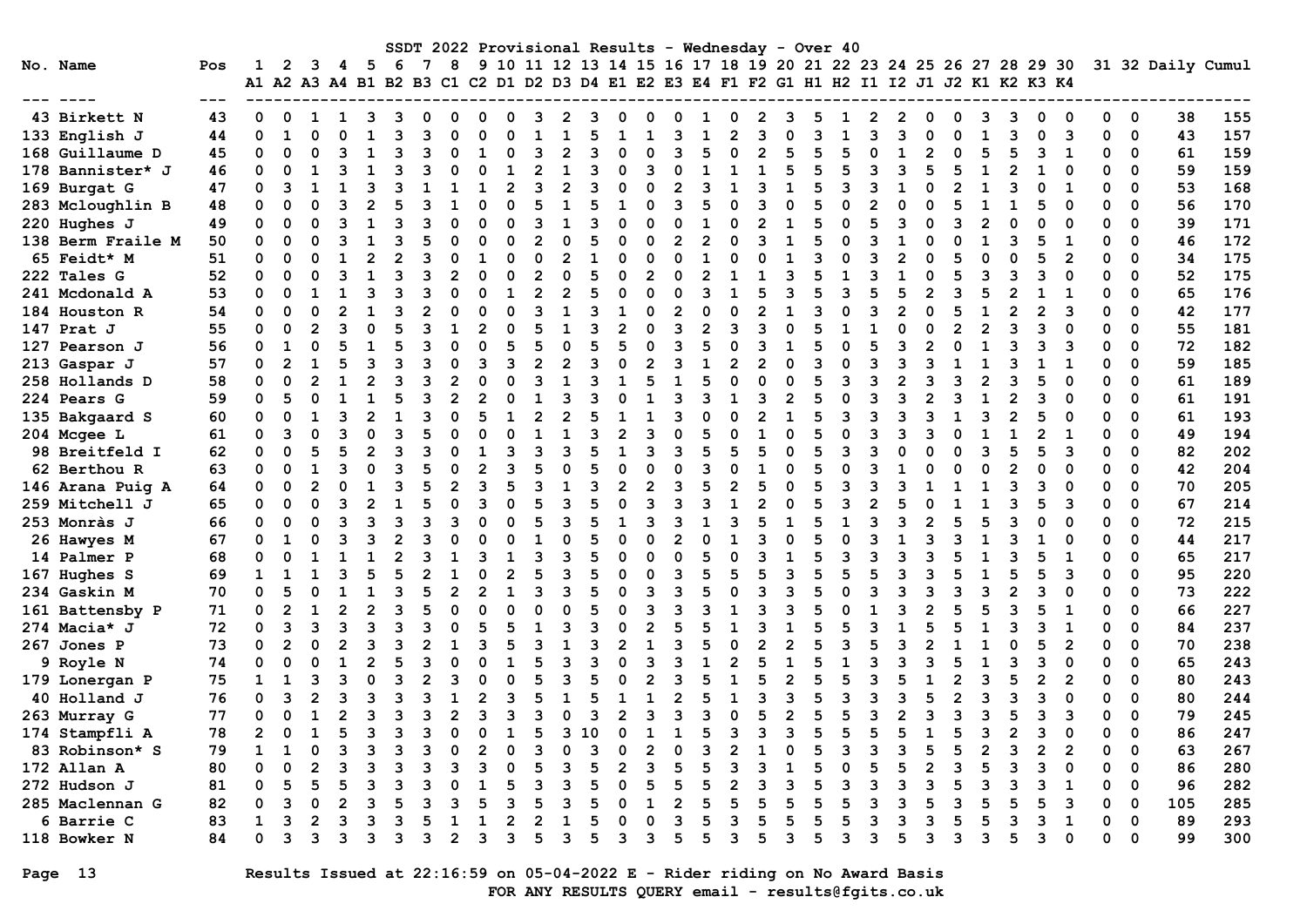| SSDT 2022 Provisional Results - Wednesday - Over 40<br>9 10 11 12 13 14 15 16 17 18 19 20 21 22 23 24 25 26 27 28 29 30 |         |                |                |                |    |                                                                                                  |    |   |                |   |                |                |                |   |                |   |                |                |              |                |              |   |              |   |                |          |   |                |   |                |                |          |             |                   |     |
|-------------------------------------------------------------------------------------------------------------------------|---------|----------------|----------------|----------------|----|--------------------------------------------------------------------------------------------------|----|---|----------------|---|----------------|----------------|----------------|---|----------------|---|----------------|----------------|--------------|----------------|--------------|---|--------------|---|----------------|----------|---|----------------|---|----------------|----------------|----------|-------------|-------------------|-----|
| No. Name                                                                                                                | Pos     | 1              | $\mathbf{2}$   | 3              | 4  | - 5<br>A1 A2 A3 A4 B1 B2 B3 C1 C2 D1 D2 D3 D4 E1 E2 E3 E4 F1 F2 G1 H1 H2 I1 I2 J1 J2 K1 K2 K3 K4 | -6 | 7 | 8              |   |                |                |                |   |                |   |                |                |              |                |              |   |              |   |                |          |   |                |   |                |                |          |             | 31 32 Daily Cumul |     |
|                                                                                                                         | $- - -$ |                |                |                |    |                                                                                                  |    |   |                |   |                |                |                |   |                |   |                |                |              |                |              |   |              |   |                |          |   |                |   |                |                |          |             |                   |     |
| 43 Birkett N                                                                                                            | 43      | 0              | 0              | 1              | 1. | 3                                                                                                | З  |   | <sup>0</sup>   | O | O              | 3              | 2              | 3 | O              |   | 0              |                | O            | $\mathbf{2}$   | З            | 5 |              |   | $\mathbf{2}$   | O        | n | 3              | 3 | O              | O              | $\Omega$ | $\mathbf 0$ | 38                | 155 |
| 133 English J                                                                                                           | 44      | 0              | $\mathbf{1}$   | $\Omega$       |    |                                                                                                  | ٩  |   | O              |   |                |                |                | 5 |                |   | 3              |                |              | 3              |              | २ |              |   | 3              | n        |   | $\mathbf{1}$   | 3 | $\Omega$       | 3              | 0        | $\mathbf 0$ | 43                | 157 |
| 168 Guillaume D                                                                                                         | 45      | $\Omega$       | O              |                |    |                                                                                                  |    |   |                |   |                | 3              |                | 3 |                |   | २              | 5              |              |                | 5            |   |              |   |                |          |   | 5              | 5 | 3              | 1              | 0        | 0           | 61                | 159 |
| 178 Bannister* J                                                                                                        | 46      | $\Omega$       | $\Omega$       | 1              |    | 1                                                                                                |    |   | O              |   |                | 2              | 1              | 3 | O              | २ | $\Omega$       |                |              | 1              | 5            | 5 | 5            |   | 3              | 5        |   | $\mathbf{1}$   | 2 |                | $\Omega$       | 0        | 0           | 59                | 159 |
| 169 Burgat G                                                                                                            | 47      | $\Omega$       | 3              | $\mathbf{1}$   |    | 3                                                                                                | Р  |   | $\mathbf{1}$   |   | $\mathfrak{p}$ | 3              | $\overline{2}$ | २ | $\Omega$       |   | $\overline{2}$ | ٩              |              | 3              | 1            | 5 | 3            | ٩ | $\mathbf{1}$   | O        |   | $\mathbf{1}$   | ٦ | $\Omega$       | 1              | O        | $\Omega$    | 53                | 168 |
| 283 Mcloughlin B                                                                                                        | 48      | $\Omega$       | $\Omega$       | $\Omega$       |    | $\mathfrak{p}$                                                                                   |    |   |                |   |                |                |                | 5 |                |   | २              |                | $\Omega$     |                | O            |   | O            |   | $\Omega$       |          |   |                |   | 5              | $\Omega$       | $\Omega$ | $\Omega$    | 56                | 170 |
| 220 Hughes J                                                                                                            | 49      | 0              | 0              | $\Omega$       |    | $\mathbf{1}$                                                                                     |    |   | $\Omega$       |   | O              | 3              | 1              | 3 | $\Omega$       |   | $\Omega$       |                | $\Omega$     | $\mathfrak{p}$ |              | 5 | O            |   | 3              | C        |   | $\mathfrak{p}$ |   | O              | $\Omega$       | O        | 0           | 39                | 171 |
| 138 Berm Fraile M                                                                                                       | 50      | $\Omega$       | O              |                |    |                                                                                                  |    |   | U              |   | 0              | $\overline{2}$ |                | 5 |                |   | $\overline{2}$ | $\mathfrak{p}$ |              |                |              | 5 | n            |   |                |          |   |                |   | 5              | 1              | O        | 0           | 46                | 172 |
| 65 Feidt* M                                                                                                             | 51      | $\Omega$       | O              |                |    | 2                                                                                                |    |   |                |   | n              | $\Omega$       |                |   | O              |   | O              |                |              |                |              | R |              |   | $\mathfrak{p}$ |          |   |                |   | 5              | 2              | O        | $\Omega$    | 34                | 175 |
| 222 Tales G                                                                                                             | 52      | $\Omega$       | $\Omega$       | $\Omega$       |    |                                                                                                  |    |   | $\mathfrak{p}$ |   | ŋ              | $\overline{2}$ |                | 5 | $\Omega$       |   | $\Omega$       |                |              |                |              |   | $\mathbf{1}$ |   |                |          |   | 3              |   | 3              | $\Omega$       | O        | 0           | 52                | 175 |
| 241 Mcdonald A                                                                                                          | 53      | $\Omega$       | O              | 1              |    | 3                                                                                                |    |   | $\Omega$       |   | $\mathbf{1}$   | $\overline{2}$ |                | 5 | $\Omega$       |   | O              | ٩              |              | 5              |              | 5 |              |   | 5              |          |   | 5              |   | 1              | 1              | O        | 0           | 65                | 176 |
| 184 Houston R                                                                                                           | 54      | $\Omega$       | $\Omega$       | $\Omega$       |    | 1                                                                                                | ٩  |   | $\Omega$       |   | O              | 3              | 1              | २ | $\mathbf{1}$   |   | $\mathfrak{p}$ | O              | O            | $\mathfrak{p}$ | 1            | २ | $\Omega$     |   | $\mathfrak{p}$ | $\Omega$ |   | $\mathbf{1}$   |   | 2              | 3              | $\Omega$ | $\Omega$    | 42                | 177 |
| 147 Prat J                                                                                                              | 55      | $\Omega$       | O              | $\mathfrak{p}$ |    | O                                                                                                |    |   |                |   | $\Omega$       | 5              |                | २ | $\mathfrak{p}$ |   | २              | 2              | ٩            | 3              |              | 5 |              |   |                |          |   | $\mathfrak{p}$ |   | ٩              |                | O        | 0           | 55                | 181 |
| 127 Pearson J                                                                                                           | 56      | 0              | $\mathbf{1}$   | $\Omega$       |    |                                                                                                  |    |   | O              |   |                |                |                |   |                |   |                |                |              | २              |              |   | O            |   | 3              |          |   |                |   |                | 3              | 0        | 0           | 72                | 182 |
| 213 Gaspar J                                                                                                            | 57      | $\Omega$       | $\overline{2}$ | 1              |    | 3                                                                                                |    |   | $\Omega$       |   | ٩              | $\mathfrak{p}$ |                | 3 | $\Omega$       |   | 3              |                | 2            |                |              | ٩ | O            |   | 3              |          |   | $\mathbf{1}$   |   | 1              | 1              | O        | $\mathbf 0$ | 59                | 185 |
| 258 Hollands D                                                                                                          | 58      | $\Omega$       | $\Omega$       | $\overline{2}$ |    | $\overline{2}$                                                                                   |    |   | $\overline{2}$ |   |                | 3              | 1              | 3 | $\mathbf{1}$   |   | $\mathbf{1}$   | 5              | O            | $\Omega$       | O            | 5 | 3            | ٩ | $\mathfrak{p}$ | ٩        |   | $\overline{2}$ |   | 5              | $\Omega$       | O        | 0           | 61                | 189 |
| 224 Pears G                                                                                                             | 59      | $\Omega$       | 5              | $\Omega$       |    |                                                                                                  |    |   | 2              |   |                |                |                |   | $\Omega$       |   | २              |                |              |                | 2            |   |              |   | 3              |          |   | 1              |   | ٩              |                | 0        | $\Omega$    | 61                | 191 |
| 135 Bakgaard S                                                                                                          | 60      | $\Omega$       | $\Omega$       |                |    | 2                                                                                                |    |   | $\Omega$       |   |                | 2              |                |   |                |   | २              |                |              |                |              |   | 3            |   | 3              |          |   |                |   |                |                | 0        | 0           | 61                | 193 |
| 204 Mcgee L                                                                                                             | 61      | 0              | 3              |                |    |                                                                                                  |    |   | $\Omega$       |   |                |                |                | २ |                |   | O              | 5              |              |                |              | 5 |              |   | R              |          |   |                |   | 2              | 1              | O        | 0           | 49                | 194 |
| 98 Breitfeld I                                                                                                          | 62      | 0              | $\Omega$       | 5              |    | $\overline{2}$                                                                                   |    |   | U              |   |                | ิว             |                | 5 |                |   | ર              | Б              |              |                |              | 5 | ર            |   | U              |          |   | 3              |   | г,             | ิว             | U        | 0           | 82                | 202 |
| 62 Berthou R                                                                                                            | 63      | 0              | O              | 1              |    | U                                                                                                | З  |   | O              |   |                |                | O              | 5 | $\Omega$       |   | $\Omega$       | ٩              | n            |                |              | 5 | n            |   |                |          |   | $\Omega$       |   | O              |                | O        | 0           | 42                | 204 |
| 146 Arana Puig A                                                                                                        | 64      | $\Omega$       | $\Omega$       |                |    |                                                                                                  |    |   |                |   |                | 3              |                | 3 | $\overline{2}$ |   | ٩              |                |              |                |              |   | २            |   |                |          |   |                |   | 3              |                | 0        | 0           | 70                | 205 |
| 259 Mitchell J                                                                                                          | 65      | $\Omega$       | $\Omega$       | $\Omega$       |    | $\mathfrak{p}$                                                                                   |    |   | $\Omega$       |   |                | 5              |                | 5 | $\Omega$       |   | ٩              | ٩              |              |                |              | 5 | ٦            |   | 5              |          |   | 1              |   | 5              | з              | 0        | $\mathbf 0$ | 67                | 214 |
| 253 Monràs J                                                                                                            | 66      | $\Omega$       | O              | $\Omega$       |    | 3                                                                                                | З  |   | २              |   | n              | 5              | ٩              | 5 | $\mathbf{1}$   |   | 3              | $\mathbf{1}$   | ٩            | 5              | $\mathbf{1}$ |   | $\mathbf{1}$ | ર | 3              |          |   | 5              |   | O              |                | 0        | $\Omega$    | 72                | 215 |
| 26 Hawyes M                                                                                                             | 67      | 0              | $\mathbf{1}$   | O              |    | ٩                                                                                                |    |   |                |   | n              |                |                | 5 | $\Omega$       |   | 2              |                |              |                |              | 5 |              |   |                |          |   |                |   |                |                | 0        | 0           | 44                | 217 |
| 14 Palmer P                                                                                                             | 68      | $\Omega$       | $\Omega$       |                |    |                                                                                                  |    |   |                |   |                | 3              |                |   | 0              |   | $\Omega$       |                |              |                |              |   | 3            |   | 3              |          |   |                |   |                | $\mathbf{1}$   | O        | 0           | 65                | 217 |
| 167 Hughes S                                                                                                            | 69      | $\mathbf{1}$   | 1              |                |    | 5                                                                                                |    |   | $\mathbf{1}$   |   | $\overline{2}$ | 5              |                | 5 | $\Omega$       |   | 3              | 5              | 5            | 5              | 3            | 5 | 5            |   | 3              |          |   | $\mathbf{1}$   |   | 5              | 3              | 0        | $\mathbf 0$ | 95                | 220 |
| 234 Gaskin M                                                                                                            | 70      | $\Omega$       | 5              | $\Omega$       |    |                                                                                                  |    |   | $\mathfrak{p}$ |   |                | 3              |                |   | $\Omega$       |   | २              |                | $\Omega$     | २              | २            |   | $\Omega$     |   | 3              | Р        |   | २              |   | ٩              | $\Omega$       | 0        | $\Omega$    | 73                | 222 |
| 161 Battensby P                                                                                                         | 71      | $\Omega$       | $\overline{2}$ |                |    | $\mathfrak{p}$                                                                                   | З  |   | $\Omega$       |   |                |                |                | 5 | $\Omega$       |   | 3              |                |              | 3              |              |   | $\Omega$     |   | 3              |          |   |                |   |                |                | O        | 0           | 66                | 227 |
| 274 Macia* J                                                                                                            | 72      | $\Omega$       | 3              | 3              |    |                                                                                                  |    |   |                |   |                |                |                |   |                |   |                |                |              |                |              |   |              |   |                |          |   |                |   |                |                | 0        | $\Omega$    | 84                | 237 |
| 267 Jones P                                                                                                             | 73      | $\Omega$       | $\overline{2}$ | $\Omega$       |    | 3                                                                                                | ٩  |   | $\mathbf{1}$   |   |                | В              |                | ٩ | 2              | 1 | २              | 5              | O            |                |              | 5 | ٩            |   | 3              |          |   |                |   |                | $\mathfrak{p}$ | U        | $\mathbf 0$ | 70                | 238 |
| 9 Royle N                                                                                                               | 74      | $\Omega$       | O              |                |    | $\overline{2}$                                                                                   |    |   | $\Omega$       |   |                |                |                | 3 | $\Omega$       | 3 | 3              | $\mathbf{1}$   |              | 5              | $\mathbf{1}$ |   | $\mathbf{1}$ | ٩ | 3              |          |   | $\mathbf{1}$   |   | 3              | $\Omega$       | 0        | $\Omega$    | 65                | 243 |
| 179 Lonergan P                                                                                                          | 75      | $\mathbf{1}$   | $\mathbf{1}$   | З              |    | 0                                                                                                |    |   | 3              |   |                |                |                | 5 | $\Omega$       |   | R              |                |              |                |              |   |              |   | 5              |          |   | 3              |   |                |                | 0        | 0           | 80                | 243 |
| 40 Holland J                                                                                                            | 76      | $\Omega$       | 3              |                |    | 3                                                                                                |    |   |                |   |                |                |                | 5 |                |   | $\overline{2}$ |                | $\mathbf{1}$ | 3              |              |   | २            |   | 3              |          |   | २              |   | 3              |                | 0        | 0           | 80                | 244 |
| 263 Murray G                                                                                                            | 77      | $\Omega$       | O              |                |    | ٩                                                                                                |    |   |                |   | ٩              | З              |                | 3 | 2              | २ | ٩              |                |              |                |              | 5 | 5            |   | 2              |          |   | २              |   | 3              | 3              | O        | 0           | 79                | 245 |
| 174 Stampfli A                                                                                                          | 78      | $\overline{2}$ | $\Omega$       | $\mathbf{1}$   |    | २                                                                                                |    |   | O              |   |                |                |                |   | $\Omega$       |   | 1              | 5              | २            | ิจ             | 3            | 5 | 5            |   | 5              |          |   | २              |   | ว              |                | O        | $\Omega$    | 86                | 247 |
| 83 Robinson* S                                                                                                          | 79      | $\mathbf{1}$   | $\mathbf{1}$   | $\Omega$       |    | 3                                                                                                |    |   | $\Omega$       |   |                | Р              |                | २ | $\Omega$       |   | $\Omega$       |                |              |                |              |   | २            |   | $\mathbf{z}$   |          |   | $\mathfrak{p}$ |   | $\mathfrak{p}$ | $\mathfrak{p}$ | 0        | 0           | 63                | 267 |
| 172 Allan A                                                                                                             | 80      | 0              | $\Omega$       | $\mathcal{P}$  |    | 3                                                                                                |    |   | 3              |   |                | 5              |                | 5 | $\overline{2}$ | 3 | 5              | 5              | २            | २              |              | 5 |              |   | 5              |          |   | 5              |   | 3              | $\Omega$       | 0        | $\mathbf 0$ | 86                | 280 |
| 272 Hudson J                                                                                                            | 81      | $\Omega$       | 5              | 5              |    | 3                                                                                                | ٩  |   | $\Omega$       |   |                | В              |                | 5 | $\Omega$       |   | 5              | 5              |              |                |              | 5 | ٦            |   | 3              |          |   | 3              |   | ٩              | 1              | O        | $\mathbf 0$ | 96                | 282 |
| 285 Maclennan G                                                                                                         | 82      | 0              | 3              | $\Omega$       |    | २                                                                                                |    |   | २              | 5 |                |                |                | 5 |                |   | $\mathfrak{p}$ | 5              |              | 5              | 5.           | 5 |              |   | 3              |          |   | 5              |   |                | з              | ŋ        | $\Omega$    | 105               | 285 |
| 6 Barrie C                                                                                                              | 83      | $\mathbf{1}$   | 3              | $\mathbf{2}$   |    | ٩                                                                                                |    |   |                |   |                |                |                | 5 | O              |   | ٩              |                | ٩            |                |              | 5 |              |   | 3              |          |   |                |   | ٩              |                | $\Omega$ | $\Omega$    | 89                | 293 |
| 118 Bowker N                                                                                                            | 84      | U              | 3              | 3              | ٦  | 3                                                                                                | 3  | ٩ | $\overline{2}$ | ٩ | ٩              | 5              | 3              | 5 | २              | 3 | 5              | 5              | 3            | 5              | 3            | 5 | 3            | 3 | 5              | ٩        | ٩ | 3              | 5 | ٩              | $\Omega$       | n        | $\Omega$    | 99                | 300 |

Page 13 Results Issued at 22:16:59 on 05-04-2022 E - Rider riding on No Award Basis FOR ANY RESULTS QUERY email - results@fgits.co.uk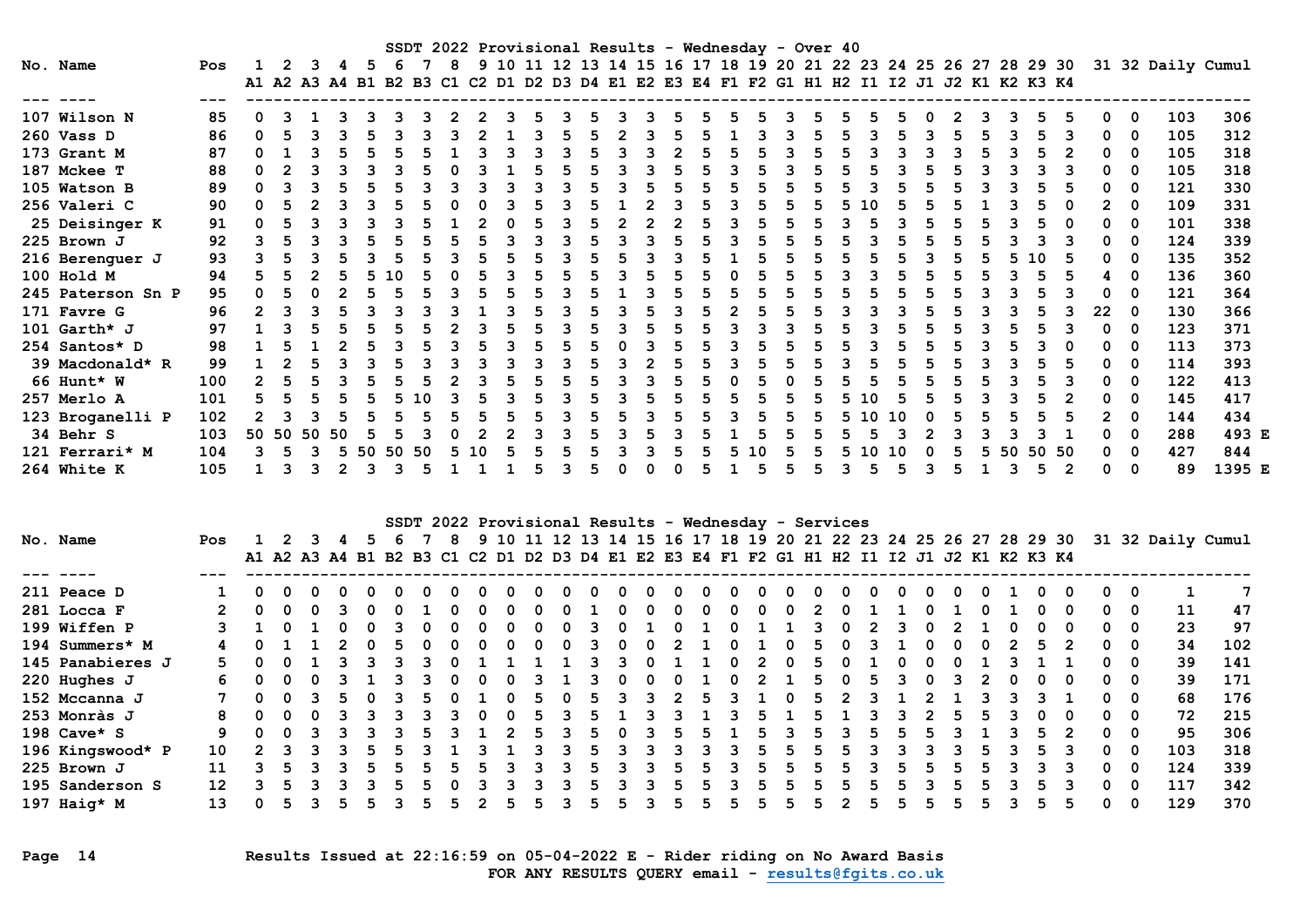|                   |     |               |          |   |               |     |     |           |   |   |  | SSDT 2022 Provisional Results - Wednesday - Over 40                                       |  |   |  |    |  |   |       |   |  |     |       |   |    |              |                                                                                    |        |
|-------------------|-----|---------------|----------|---|---------------|-----|-----|-----------|---|---|--|-------------------------------------------------------------------------------------------|--|---|--|----|--|---|-------|---|--|-----|-------|---|----|--------------|------------------------------------------------------------------------------------|--------|
| No. Name          | Pos |               |          | 3 | 4             | - 5 | -6  |           | 8 |   |  |                                                                                           |  |   |  |    |  |   |       |   |  |     |       |   |    |              | 9 10 11 12 13 14 15 16 17 18 19 20 21 22 23 24 25 26 27 28 29 30 31 32 Daily Cumul |        |
|                   |     |               |          |   |               |     |     |           |   |   |  | A1 A2 A3 A4 B1 B2 B3 C1 C2 D1 D2 D3 D4 E1 E2 E3 E4 F1 F2 G1 H1 H2 I1 I2 J1 J2 K1 K2 K3 K4 |  |   |  |    |  |   |       |   |  |     |       |   |    |              |                                                                                    |        |
|                   |     |               |          |   |               |     |     |           |   |   |  |                                                                                           |  |   |  |    |  |   |       |   |  |     |       |   |    |              |                                                                                    |        |
| 107 Wilson N      | 85  | 0             |          |   |               |     |     |           |   |   |  |                                                                                           |  |   |  |    |  |   |       |   |  |     |       |   | 0  | $\mathbf 0$  | 103                                                                                | 306    |
| 260 Vass D        | 86  | $\Omega$      |          |   |               |     |     |           |   |   |  |                                                                                           |  |   |  |    |  |   |       |   |  |     |       |   |    | 0            | 105                                                                                | 312    |
| 173 Grant M       | 87  | 0             |          |   |               |     |     |           |   |   |  |                                                                                           |  |   |  |    |  |   |       |   |  |     |       |   |    | 0            | 105                                                                                | 318    |
| 187 Mckee T       | 88  | <sup>n</sup>  |          |   |               |     |     |           |   |   |  |                                                                                           |  |   |  |    |  |   |       |   |  |     |       |   |    | o            | 105                                                                                | 318    |
| 105 Watson B      | 89  | <sup>0</sup>  |          |   |               |     |     |           |   |   |  |                                                                                           |  | 5 |  |    |  |   |       |   |  |     |       |   |    | <sup>0</sup> | 121                                                                                | 330    |
| 256 Valeri C      | 90  | <sup>0</sup>  |          |   |               |     |     |           |   |   |  |                                                                                           |  |   |  |    |  |   |       |   |  |     |       |   |    | o            | 109                                                                                | 331    |
| 25 Deisinger K    | 91  |               |          |   |               |     |     |           |   |   |  |                                                                                           |  |   |  |    |  |   |       |   |  |     |       |   |    | o            | 101                                                                                | 338    |
| 225 Brown J       | 92  |               |          |   |               |     |     |           |   |   |  |                                                                                           |  |   |  |    |  |   |       |   |  |     |       |   |    | ŋ            | 124                                                                                | 339    |
| 216 Berenguer J   | 93  |               |          |   |               |     |     |           |   |   |  |                                                                                           |  |   |  |    |  |   |       |   |  |     | 1 O   |   |    | o            | 135                                                                                | 352    |
| 100 Hold M        | 94  |               |          |   |               |     |     |           |   |   |  |                                                                                           |  |   |  |    |  |   |       |   |  |     |       |   |    | O            | 136                                                                                | 360    |
| 245 Paterson Sn P | 95  | <sup>0</sup>  |          |   |               |     |     |           |   |   |  |                                                                                           |  |   |  |    |  |   |       |   |  |     |       |   |    | o            | 121                                                                                | 364    |
| 171 Favre G       | 96  | 2             |          |   |               |     |     |           |   |   |  |                                                                                           |  |   |  |    |  |   |       |   |  |     |       |   | 22 | 0            | 130                                                                                | 366    |
| 101 $Garth*$ J    | 97  |               |          |   |               |     |     |           |   |   |  |                                                                                           |  | 5 |  |    |  |   |       |   |  |     |       |   |    | o            | 123                                                                                | 371    |
| 254 Santos* D     | 98  |               |          |   |               |     |     |           |   |   |  |                                                                                           |  |   |  |    |  |   |       |   |  |     |       |   |    | O            | 113                                                                                | 373    |
| 39 Macdonald* R   | 99  |               |          |   |               |     |     |           |   | ર |  |                                                                                           |  | 5 |  |    |  |   |       |   |  |     |       |   |    | o            | 114                                                                                | 393    |
| 66 Hunt* W        | 100 | 2             |          |   |               |     |     |           |   |   |  |                                                                                           |  |   |  |    |  |   |       |   |  |     |       |   |    | ŋ            | 122                                                                                | 413    |
| 257 Merlo A       | 101 |               |          |   | 5             |     |     | <u>າດ</u> |   |   |  |                                                                                           |  |   |  |    |  |   | ີ 1 ດ |   |  |     |       |   |    | <sup>0</sup> | 145                                                                                | 417    |
| 123 Broganelli P  | 102 | $\mathcal{P}$ |          |   |               |     |     |           |   |   |  |                                                                                           |  |   |  |    |  |   |       |   |  |     |       |   |    | <sup>0</sup> | 144                                                                                | 434    |
| 34 Behr S         | 103 |               | 50 50 50 |   | 50            |     |     |           |   |   |  |                                                                                           |  |   |  |    |  |   |       |   |  |     |       |   |    | o            | 288                                                                                | 493 E  |
| 121 Ferrari* M    | 104 | ર             |          |   |               |     | -50 | 50        |   |   |  |                                                                                           |  |   |  |    |  |   |       |   |  | -50 | 50 50 |   |    | <sup>0</sup> | 427                                                                                | 844    |
| 264 White K       | 105 |               |          | २ | $\mathcal{P}$ | 3   | ঽ   |           |   |   |  | 5                                                                                         |  |   |  | 5. |  | ٩ |       | 5 |  |     | 5.    | 2 | O. | $\Omega$     | 89                                                                                 | 1395 E |

| SSDT 2022 Provisional Results - Wednesday - Services |                 |              |  |  |  |              |  |  |    |  |   |              |              |  |     |    |              |    |                                                                                           |   |  |              |  |  |              |              |              |          |                                                                                    |     |
|------------------------------------------------------|-----------------|--------------|--|--|--|--------------|--|--|----|--|---|--------------|--------------|--|-----|----|--------------|----|-------------------------------------------------------------------------------------------|---|--|--------------|--|--|--------------|--------------|--------------|----------|------------------------------------------------------------------------------------|-----|
| No. Name                                             | Pos             |              |  |  |  |              |  |  | 8  |  |   |              |              |  |     |    |              |    |                                                                                           |   |  |              |  |  |              |              |              |          | 9 10 11 12 13 14 15 16 17 18 19 20 21 22 23 24 25 26 27 28 29 30 31 32 Daily Cumul |     |
|                                                      |                 |              |  |  |  |              |  |  |    |  |   |              |              |  |     |    |              |    | A1 A2 A3 A4 B1 B2 B3 C1 C2 D1 D2 D3 D4 E1 E2 E3 E4 F1 F2 G1 H1 H2 I1 I2 J1 J2 K1 K2 K3 K4 |   |  |              |  |  |              |              |              |          |                                                                                    |     |
|                                                      |                 |              |  |  |  |              |  |  |    |  |   |              |              |  |     |    |              |    |                                                                                           |   |  |              |  |  |              |              |              |          |                                                                                    |     |
| 211 Peace D                                          |                 |              |  |  |  |              |  |  |    |  |   |              |              |  |     |    |              |    |                                                                                           |   |  | <sup>0</sup> |  |  |              |              |              | 0        |                                                                                    |     |
| 281 Locca F                                          |                 | റ            |  |  |  | 0            |  |  |    |  | 0 | 0            | 0            |  | - 0 | 0  | 0            | 0  |                                                                                           | 2 |  |              |  |  | <sup>0</sup> | - 0          | 0            | 0        | 11                                                                                 | 47  |
| 199 Wiffen P                                         |                 |              |  |  |  | <sup>0</sup> |  |  |    |  |   | <sup>0</sup> | <sup>0</sup> |  |     |    |              |    |                                                                                           |   |  |              |  |  | 0            | <sup>0</sup> | 0            | 0        | 23                                                                                 | 97  |
| 194 Summers* M                                       |                 |              |  |  |  |              |  |  |    |  |   |              |              |  |     |    |              |    |                                                                                           |   |  |              |  |  | 5.           |              | n.           | 0        | 34                                                                                 | 102 |
| 145 Panabieres J                                     | 5.              |              |  |  |  |              |  |  |    |  |   |              |              |  |     |    |              |    |                                                                                           |   |  | $\Omega$     |  |  |              |              | n.           | 0        | 39                                                                                 | 141 |
| 220 Hughes J                                         | 6.              | <sup>n</sup> |  |  |  |              |  |  |    |  |   |              |              |  |     |    | <sup>0</sup> |    |                                                                                           |   |  |              |  |  | <sup>0</sup> | n            | <sup>n</sup> | 0        | 39                                                                                 | 171 |
| 152 Mccanna J                                        |                 |              |  |  |  |              |  |  |    |  |   |              |              |  | ર   |    |              |    |                                                                                           |   |  |              |  |  |              |              | n.           | - 0      | 68                                                                                 | 176 |
| 253 Monràs J                                         | 8               |              |  |  |  |              |  |  |    |  |   | 5.           |              |  |     |    |              |    |                                                                                           |   |  |              |  |  | 0            | - 0          | 0            | 0        | 72                                                                                 | 215 |
| 198 $Cave* S$                                        | 9.              |              |  |  |  |              |  |  |    |  |   | 5.           |              |  |     | h. |              | ъ. |                                                                                           | 5 |  | 5            |  |  | 5.           |              | 0            | - 0      | 95                                                                                 | 306 |
| 196 Kingswood* P                                     | 10              |              |  |  |  |              |  |  |    |  |   |              |              |  |     |    |              |    |                                                                                           |   |  |              |  |  | ь.           |              | 0            | 0        | 103                                                                                | 318 |
| 225 Brown J                                          | 11              |              |  |  |  |              |  |  |    |  |   |              |              |  |     |    |              |    |                                                                                           |   |  | 5            |  |  |              | ર            | <sup>n</sup> | - 0      | 124                                                                                | 339 |
| 195 Sanderson S                                      | 12 <sup>2</sup> |              |  |  |  |              |  |  |    |  |   |              |              |  |     |    | વ            |    |                                                                                           |   |  | 5            |  |  | .5           |              | 0            | $\Omega$ | 117                                                                                | 342 |
| 197 Haig* M                                          | 13              |              |  |  |  |              |  |  | 5. |  |   |              |              |  | ર   | 5. | b.           |    |                                                                                           |   |  | 5.           |  |  | 5.           |              |              | 0        | 129                                                                                | 370 |

Page 14 Results Issued at 22:16:59 on 05-04-2022 E - Rider riding on No Award Basis FOR ANY RESULTS QUERY email - results@fgits.co.uk